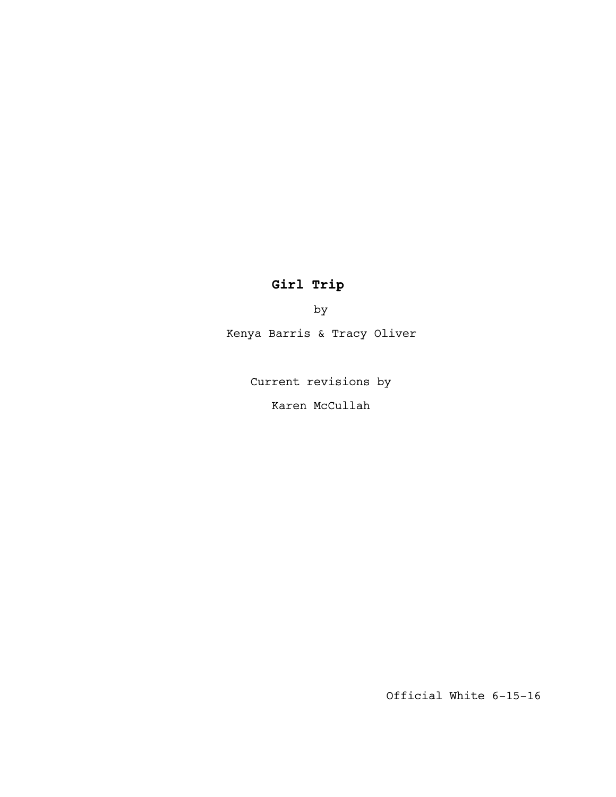# **Girl Trip**

by

Kenya Barris & Tracy Oliver

Current revisions by

Karen McCullah

Official White 6-15-16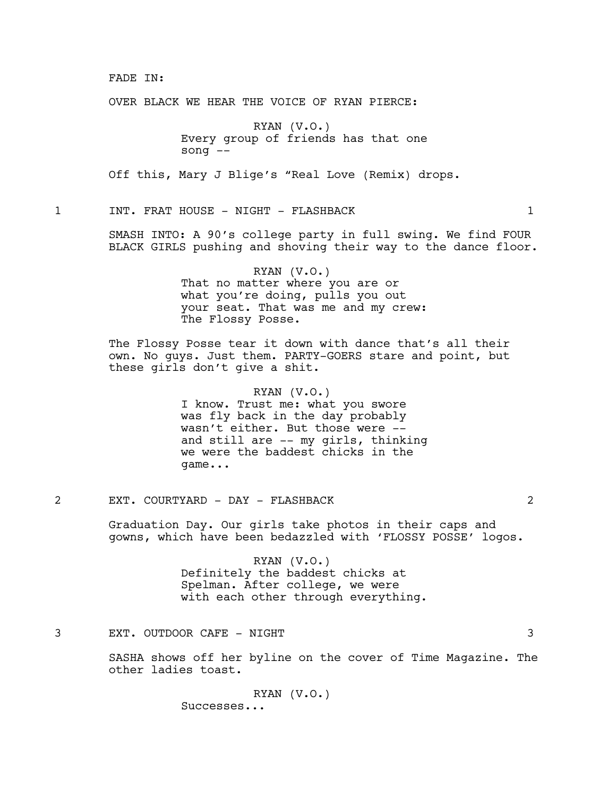#### FADE IN:

OVER BLACK WE HEAR THE VOICE OF RYAN PIERCE:

RYAN (V.O.) Every group of friends has that one song --

Off this, Mary J Blige's "Real Love (Remix) drops.

1 1 INT. FRAT HOUSE - NIGHT - FLASHBACK 1 1

SMASH INTO: A 90's college party in full swing. We find FOUR BLACK GIRLS pushing and shoving their way to the dance floor.

> RYAN (V.O.) That no matter where you are or what you're doing, pulls you out your seat. That was me and my crew: The Flossy Posse.

The Flossy Posse tear it down with dance that's all their own. No guys. Just them. PARTY-GOERS stare and point, but these girls don't give a shit.

> RYAN (V.O.) I know. Trust me: what you swore was fly back in the day probably wasn't either. But those were - and still are -- my girls, thinking we were the baddest chicks in the game...

2 EXT. COURTYARD - DAY - FLASHBACK 2

Graduation Day. Our girls take photos in their caps and gowns, which have been bedazzled with 'FLOSSY POSSE' logos.

> RYAN (V.O.) Definitely the baddest chicks at Spelman. After college, we were with each other through everything.

3 EXT. OUTDOOR CAFE - NIGHT 3

SASHA shows off her byline on the cover of Time Magazine. The other ladies toast.

> RYAN (V.O.) Successes...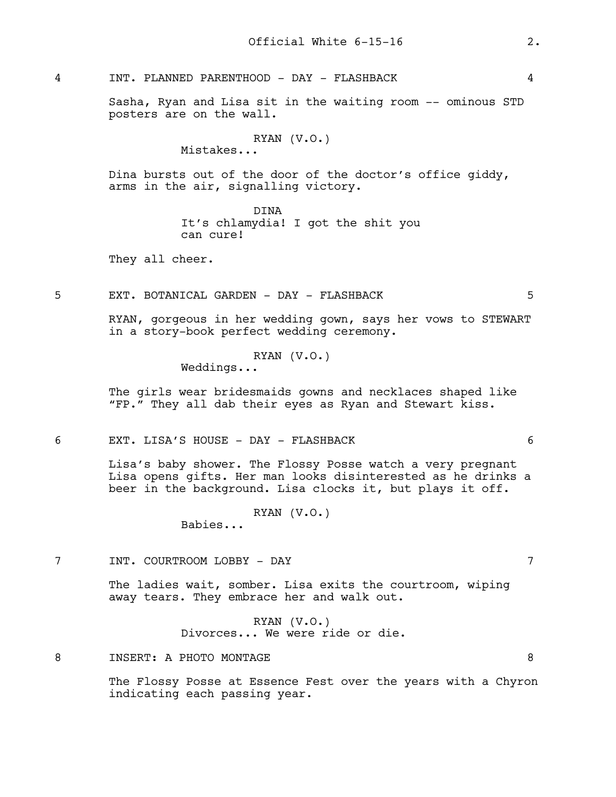4 INT. PLANNED PARENTHOOD - DAY - FLASHBACK 4

Sasha, Ryan and Lisa sit in the waiting room -- ominous STD posters are on the wall.

```
RYAN (V.O.)
```
Mistakes...

Dina bursts out of the door of the doctor's office giddy, arms in the air, signalling victory.

> DINA It's chlamydia! I got the shit you can cure!

They all cheer.

5 EXT. BOTANICAL GARDEN - DAY - FLASHBACK 5

RYAN, gorgeous in her wedding gown, says her vows to STEWART in a story-book perfect wedding ceremony.

#### RYAN (V.O.)

Weddings...

The girls wear bridesmaids gowns and necklaces shaped like "FP." They all dab their eyes as Ryan and Stewart kiss.

6 EXT. LISA'S HOUSE - DAY - FLASHBACK 6

Lisa's baby shower. The Flossy Posse watch a very pregnant Lisa opens gifts. Her man looks disinterested as he drinks a beer in the background. Lisa clocks it, but plays it off.

RYAN (V.O.)

Babies...

7 INT. COURTROOM LOBBY - DAY 7

The ladies wait, somber. Lisa exits the courtroom, wiping away tears. They embrace her and walk out.

> RYAN (V.O.) Divorces... We were ride or die.

8 INSERT: A PHOTO MONTAGE 8

The Flossy Posse at Essence Fest over the years with a Chyron indicating each passing year.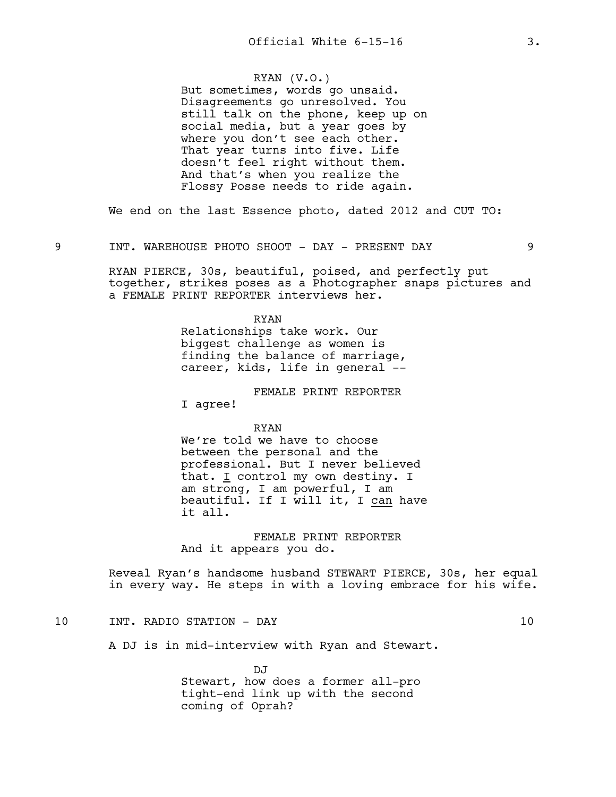# RYAN (V.O.)

But sometimes, words go unsaid. Disagreements go unresolved. You still talk on the phone, keep up on social media, but a year goes by where you don't see each other. That year turns into five. Life doesn't feel right without them. And that's when you realize the Flossy Posse needs to ride again.

We end on the last Essence photo, dated 2012 and CUT TO:

9 INT. WAREHOUSE PHOTO SHOOT - DAY - PRESENT DAY 9

RYAN PIERCE, 30s, beautiful, poised, and perfectly put together, strikes poses as a Photographer snaps pictures and a FEMALE PRINT REPORTER interviews her.

#### RYAN

Relationships take work. Our biggest challenge as women is finding the balance of marriage, career, kids, life in general --

FEMALE PRINT REPORTER

I agree!

RYAN

We're told we have to choose between the personal and the professional. But I never believed that. I control my own destiny. I am strong, I am powerful, I am beautiful. If I will it, I can have it all.

FEMALE PRINT REPORTER And it appears you do.

Reveal Ryan's handsome husband STEWART PIERCE, 30s, her equal in every way. He steps in with a loving embrace for his wife.

# 10 INT. RADIO STATION - DAY 10

A DJ is in mid-interview with Ryan and Stewart.

DJ Stewart, how does a former all-pro tight-end link up with the second coming of Oprah?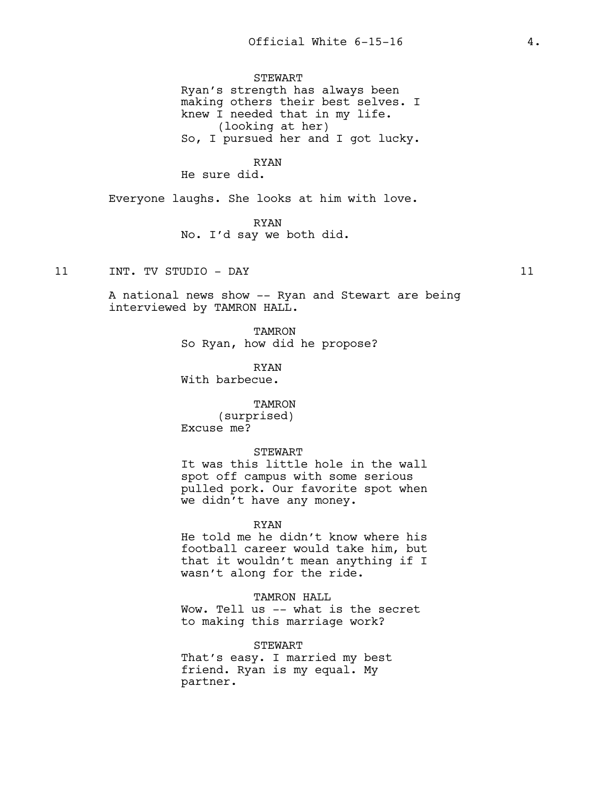STEWART Ryan's strength has always been making others their best selves. I knew I needed that in my life. (looking at her) So, I pursued her and I got lucky.

# RYAN

He sure did.

Everyone laughs. She looks at him with love.

RYAN No. I'd say we both did.

11 INT. TV STUDIO - DAY 11

A national news show -- Ryan and Stewart are being interviewed by TAMRON HALL.

> TAMRON So Ryan, how did he propose?

RYAN With barbecue.

TAMRON (surprised) Excuse me?

STEWART

It was this little hole in the wall spot off campus with some serious pulled pork. Our favorite spot when we didn't have any money.

RYAN

He told me he didn't know where his football career would take him, but that it wouldn't mean anything if I wasn't along for the ride.

TAMRON HALL

Wow. Tell us -- what is the secret to making this marriage work?

STEWART That's easy. I married my best friend. Ryan is my equal. My partner.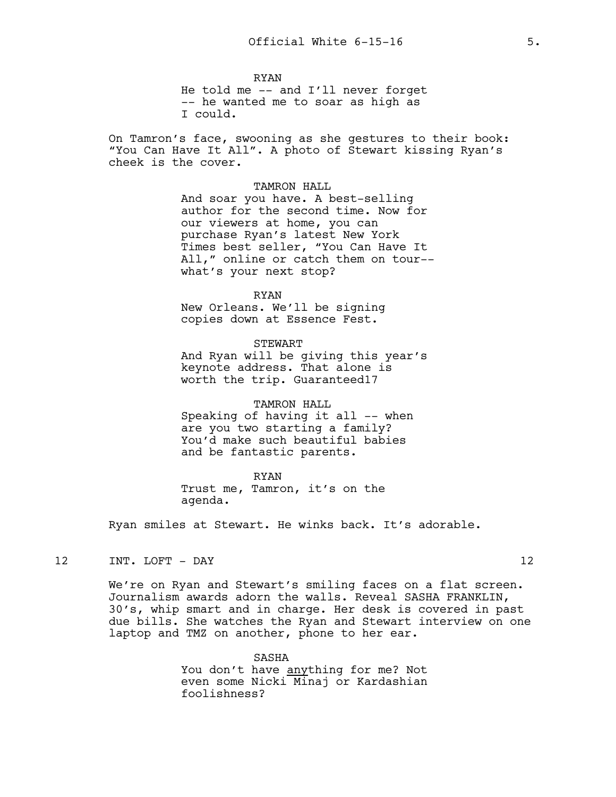RYAN He told me -- and I'll never forget -- he wanted me to soar as high as I could.

On Tamron's face, swooning as she gestures to their book: "You Can Have It All". A photo of Stewart kissing Ryan's cheek is the cover.

> TAMRON HALL And soar you have. A best-selling author for the second time. Now for our viewers at home, you can purchase Ryan's latest New York Times best seller, "You Can Have It All," online or catch them on tour- what's your next stop?

#### RYAN

New Orleans. We'll be signing copies down at Essence Fest.

STEWART

And Ryan will be giving this year's keynote address. That alone is worth the trip. Guaranteed17

TAMRON HALL Speaking of having it all -- when are you two starting a family? You'd make such beautiful babies and be fantastic parents.

RYAN

Trust me, Tamron, it's on the agenda.

Ryan smiles at Stewart. He winks back. It's adorable.

12 INT. LOFT - DAY 12

We're on Ryan and Stewart's smiling faces on a flat screen. Journalism awards adorn the walls. Reveal SASHA FRANKLIN, 30's, whip smart and in charge. Her desk is covered in past due bills. She watches the Ryan and Stewart interview on one laptop and TMZ on another, phone to her ear.

> SASHA You don't have anything for me? Not even some Nicki Minaj or Kardashian foolishness?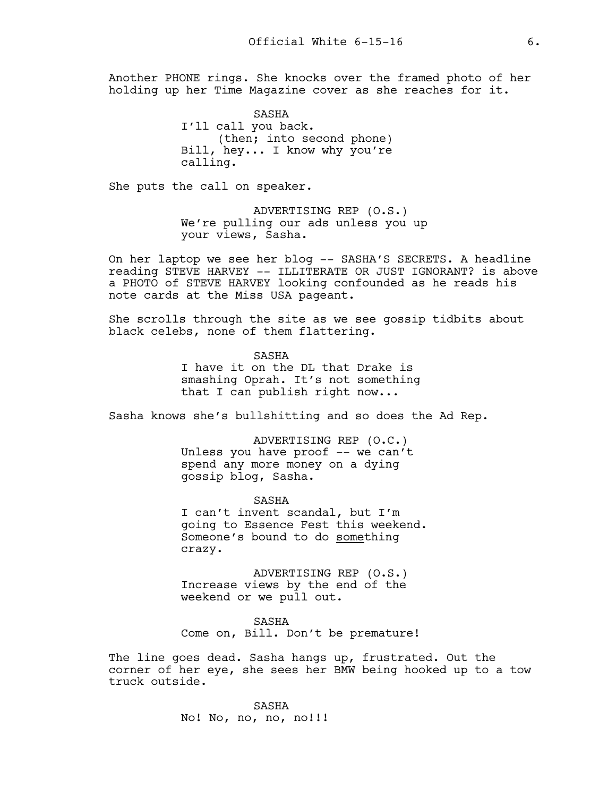Another PHONE rings. She knocks over the framed photo of her holding up her Time Magazine cover as she reaches for it.

> SASHA I'll call you back. (then; into second phone) Bill, hey... I know why you're calling.

She puts the call on speaker.

ADVERTISING REP (O.S.) We're pulling our ads unless you up your views, Sasha.

On her laptop we see her blog -- SASHA'S SECRETS. A headline reading STEVE HARVEY -- ILLITERATE OR JUST IGNORANT? is above a PHOTO of STEVE HARVEY looking confounded as he reads his note cards at the Miss USA pageant.

She scrolls through the site as we see gossip tidbits about black celebs, none of them flattering.

> SASHA I have it on the DL that Drake is smashing Oprah. It's not something that I can publish right now...

Sasha knows she's bullshitting and so does the Ad Rep.

ADVERTISING REP (O.C.) Unless you have proof -- we can't spend any more money on a dying gossip blog, Sasha.

SASHA I can't invent scandal, but I'm going to Essence Fest this weekend. Someone's bound to do something crazy.

ADVERTISING REP (O.S.) Increase views by the end of the weekend or we pull out.

SASHA Come on, Bill. Don't be premature!

The line goes dead. Sasha hangs up, frustrated. Out the corner of her eye, she sees her BMW being hooked up to a tow truck outside.

> SASHA No! No, no, no, no!!!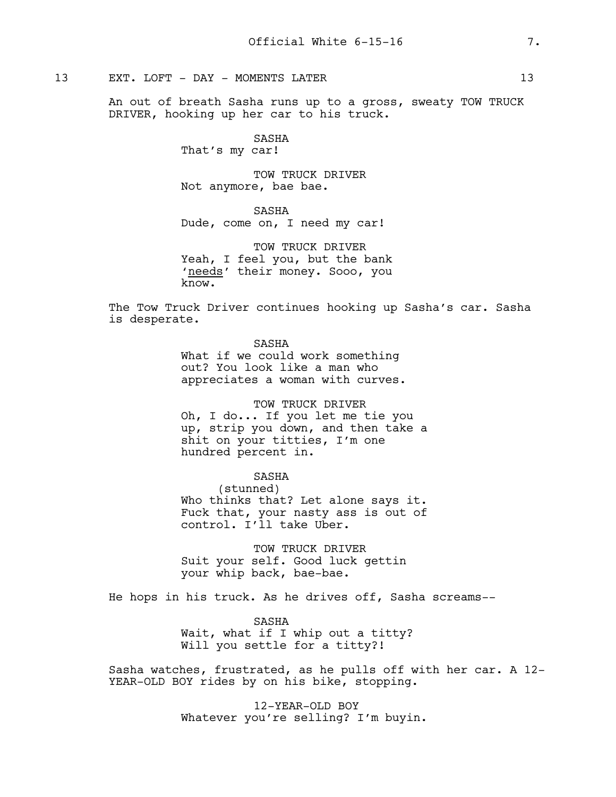# 13 EXT. LOFT - DAY - MOMENTS LATER 13

An out of breath Sasha runs up to a gross, sweaty TOW TRUCK DRIVER, hooking up her car to his truck.

> SASHA That's my car!

TOW TRUCK DRIVER Not anymore, bae bae.

SASHA

Dude, come on, I need my car!

TOW TRUCK DRIVER Yeah, I feel you, but the bank 'needs' their money. Sooo, you know.

The Tow Truck Driver continues hooking up Sasha's car. Sasha is desperate.

SASHA

What if we could work something out? You look like a man who appreciates a woman with curves.

TOW TRUCK DRIVER Oh, I do... If you let me tie you up, strip you down, and then take a shit on your titties, I'm one

hundred percent in.

SASHA

(stunned) Who thinks that? Let alone says it. Fuck that, your nasty ass is out of control. I'll take Uber.

TOW TRUCK DRIVER Suit your self. Good luck gettin your whip back, bae-bae.

He hops in his truck. As he drives off, Sasha screams--

SASHA Wait, what if I whip out a titty? Will you settle for a titty?!

Sasha watches, frustrated, as he pulls off with her car. A 12- YEAR-OLD BOY rides by on his bike, stopping.

> 12-YEAR-OLD BOY Whatever you're selling? I'm buyin.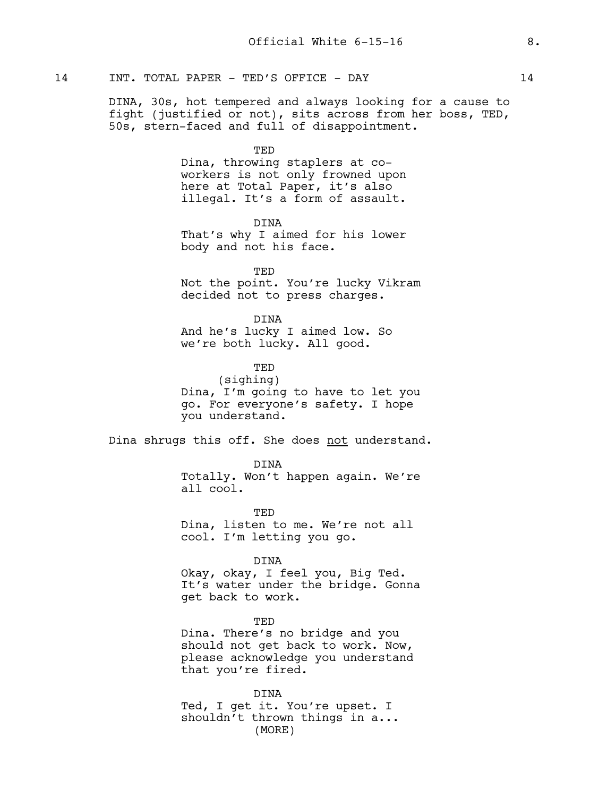# 14 INT. TOTAL PAPER - TED'S OFFICE - DAY 14

DINA, 30s, hot tempered and always looking for a cause to fight (justified or not), sits across from her boss, TED, 50s, stern-faced and full of disappointment.

TED

Dina, throwing staplers at coworkers is not only frowned upon here at Total Paper, it's also illegal. It's a form of assault.

DINA

That's why I aimed for his lower body and not his face.

TED Not the point. You're lucky Vikram decided not to press charges.

DINA And he's lucky I aimed low. So we're both lucky. All good.

**TED** (sighing) Dina, I'm going to have to let you go. For everyone's safety. I hope you understand.

Dina shrugs this off. She does not understand.

DINA Totally. Won't happen again. We're all cool.

TED Dina, listen to me. We're not all cool. I'm letting you go.

DINA

Okay, okay, I feel you, Big Ted. It's water under the bridge. Gonna get back to work.

TED Dina. There's no bridge and you should not get back to work. Now, please acknowledge you understand that you're fired.

DINA Ted, I get it. You're upset. I shouldn't thrown things in a... (MORE)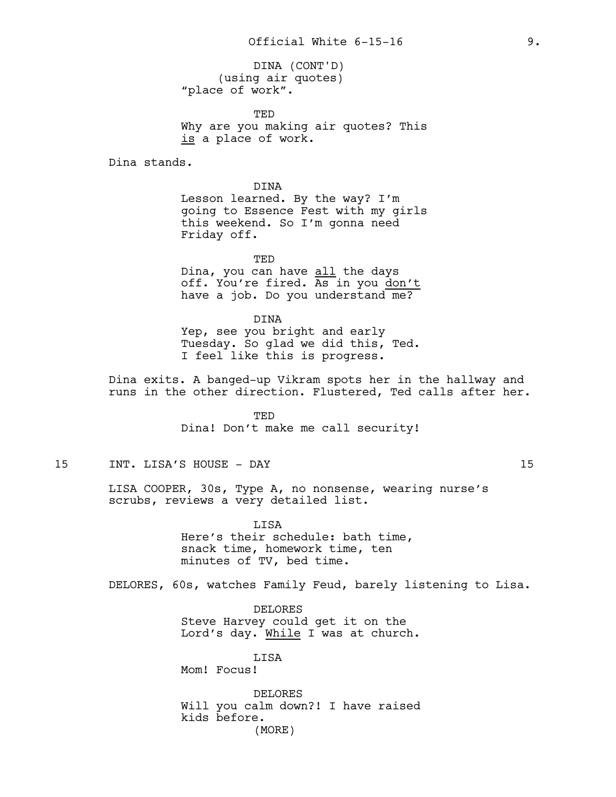(using air quotes) "place of work". DINA (CONT'D)

TED Why are you making air quotes? This is a place of work.

Dina stands.

DINA Lesson learned. By the way? I'm going to Essence Fest with my girls this weekend. So I'm gonna need Friday off.

TED Dina, you can have all the days off. You're fired. As in you don't have a job. Do you understand me?

DINA Yep, see you bright and early Tuesday. So glad we did this, Ted. I feel like this is progress.

Dina exits. A banged-up Vikram spots her in the hallway and runs in the other direction. Flustered, Ted calls after her.

> TED Dina! Don't make me call security!

# 15 INT. LISA'S HOUSE - DAY 15

LISA COOPER, 30s, Type A, no nonsense, wearing nurse's scrubs, reviews a very detailed list.

> LISA Here's their schedule: bath time, snack time, homework time, ten minutes of TV, bed time.

DELORES, 60s, watches Family Feud, barely listening to Lisa.

DELORES Steve Harvey could get it on the Lord's day. While I was at church.

LISA Mom! Focus!

DELORES Will you calm down?! I have raised kids before. (MORE)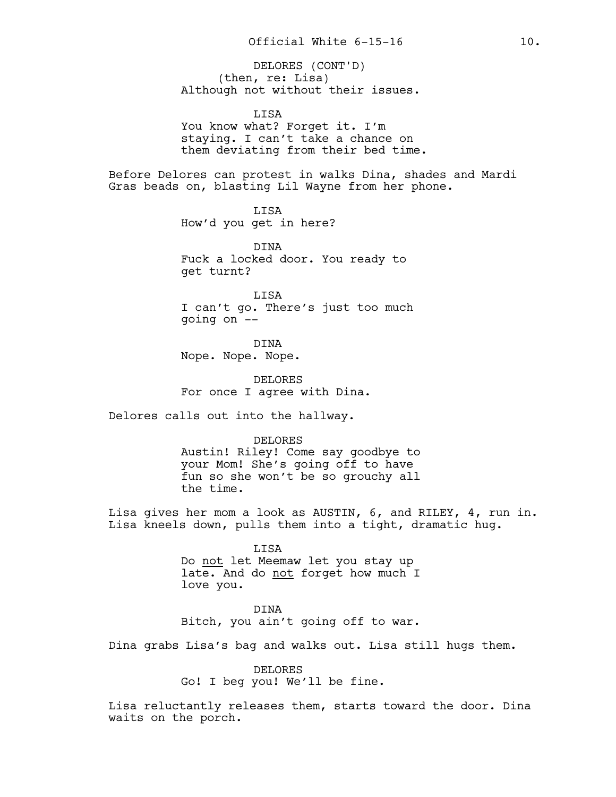(then, re: Lisa) Although not without their issues. DELORES (CONT'D)

LISA You know what? Forget it. I'm staying. I can't take a chance on them deviating from their bed time.

Before Delores can protest in walks Dina, shades and Mardi Gras beads on, blasting Lil Wayne from her phone.

> LISA How'd you get in here?

DINA Fuck a locked door. You ready to get turnt?

LISA I can't go. There's just too much going on --

DINA Nope. Nope. Nope.

DELORES For once I agree with Dina.

Delores calls out into the hallway.

DELORES

Austin! Riley! Come say goodbye to your Mom! She's going off to have fun so she won't be so grouchy all the time.

Lisa gives her mom a look as AUSTIN, 6, and RILEY, 4, run in. Lisa kneels down, pulls them into a tight, dramatic hug.

> LISA Do not let Meemaw let you stay up late. And do not forget how much I love you.

> DINA Bitch, you ain't going off to war.

Dina grabs Lisa's bag and walks out. Lisa still hugs them.

DELORES Go! I beg you! We'll be fine.

Lisa reluctantly releases them, starts toward the door. Dina waits on the porch.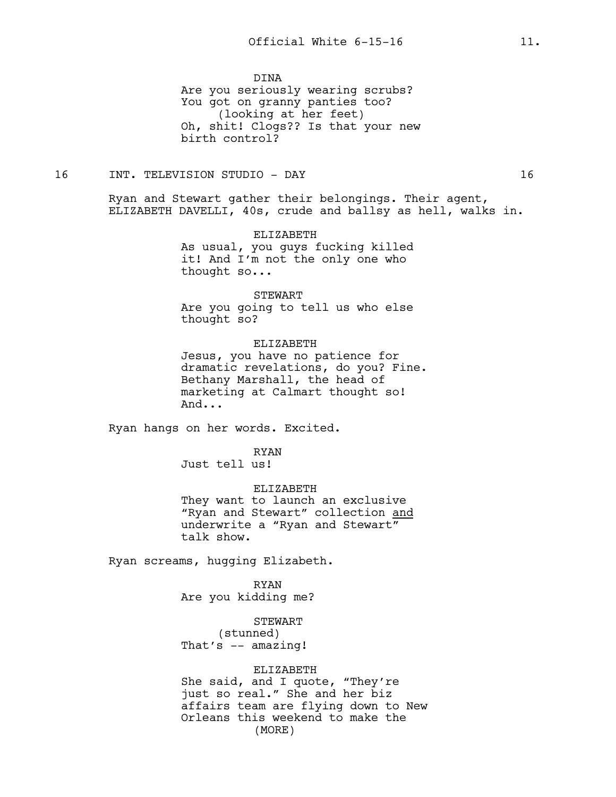DINA

Are you seriously wearing scrubs? You got on granny panties too? (looking at her feet) Oh, shit! Clogs?? Is that your new birth control?

16 INT. TELEVISION STUDIO - DAY 16

Ryan and Stewart gather their belongings. Their agent, ELIZABETH DAVELLI, 40s, crude and ballsy as hell, walks in.

> ELIZABETH As usual, you guys fucking killed it! And I'm not the only one who thought so...

> > STEWART

Are you going to tell us who else thought so?

ELIZABETH

Jesus, you have no patience for dramatic revelations, do you? Fine. Bethany Marshall, the head of marketing at Calmart thought so! And...

Ryan hangs on her words. Excited.

RYAN

Just tell us!

ELIZABETH They want to launch an exclusive "Ryan and Stewart" collection and underwrite a "Ryan and Stewart" talk show.

Ryan screams, hugging Elizabeth.

RYAN Are you kidding me?

STEWART (stunned) That's -- amazing!

#### ELIZABETH

She said, and I quote, "They're just so real." She and her biz affairs team are flying down to New Orleans this weekend to make the (MORE)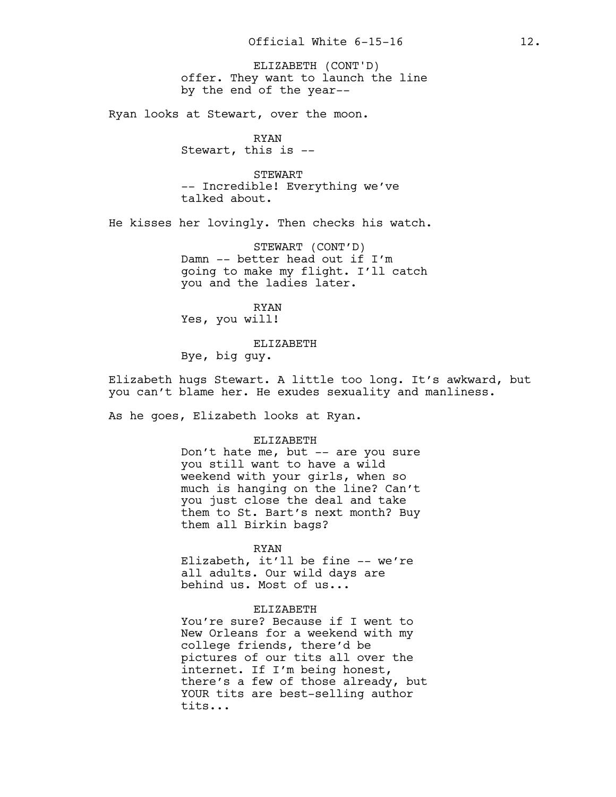offer. They want to launch the line by the end of the year-- ELIZABETH (CONT'D)

Ryan looks at Stewart, over the moon.

RYAN Stewart, this is --

STEWART -- Incredible! Everything we've talked about.

He kisses her lovingly. Then checks his watch.

STEWART (CONT'D) Damn -- better head out if I'm going to make my flight. I'll catch you and the ladies later.

RYAN Yes, you will!

ELIZABETH

Bye, big guy.

Elizabeth hugs Stewart. A little too long. It's awkward, but you can't blame her. He exudes sexuality and manliness.

As he goes, Elizabeth looks at Ryan.

#### ELIZABETH

Don't hate me, but -- are you sure you still want to have a wild weekend with your girls, when so much is hanging on the line? Can't you just close the deal and take them to St. Bart's next month? Buy them all Birkin bags?

#### RYAN

Elizabeth, it'll be fine -- we're all adults. Our wild days are behind us. Most of us...

# ELIZABETH

You're sure? Because if I went to New Orleans for a weekend with my college friends, there'd be pictures of our tits all over the internet. If I'm being honest, there's a few of those already, but YOUR tits are best-selling author tits...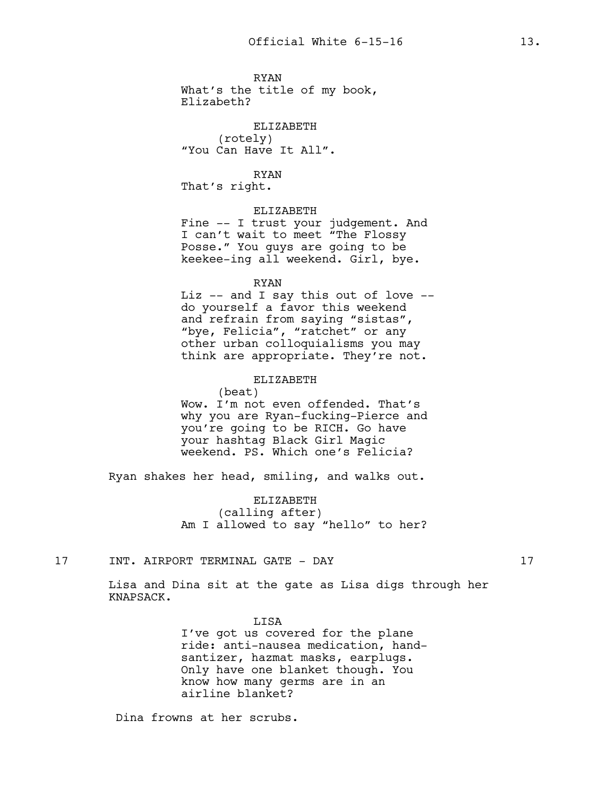RYAN What's the title of my book, Elizabeth?

ELIZABETH (rotely) "You Can Have It All".

RYAN That's right.

# ELIZABETH

Fine -- I trust your judgement. And I can't wait to meet "The Flossy Posse." You guys are going to be keekee-ing all weekend. Girl, bye.

#### RYAN

Liz -- and I say this out of love - do yourself a favor this weekend and refrain from saying "sistas", "bye, Felicia", "ratchet" or any other urban colloquialisms you may think are appropriate. They're not.

### ELIZABETH

(beat) Wow. I'm not even offended. That's why you are Ryan-fucking-Pierce and you're going to be RICH. Go have your hashtag Black Girl Magic weekend. PS. Which one's Felicia?

Ryan shakes her head, smiling, and walks out.

ELIZABETH (calling after) Am I allowed to say "hello" to her?

17 INT. AIRPORT TERMINAL GATE - DAY 17

Lisa and Dina sit at the gate as Lisa digs through her KNAPSACK.

LISA

I've got us covered for the plane ride: anti-nausea medication, handsantizer, hazmat masks, earplugs. Only have one blanket though. You know how many germs are in an airline blanket?

Dina frowns at her scrubs.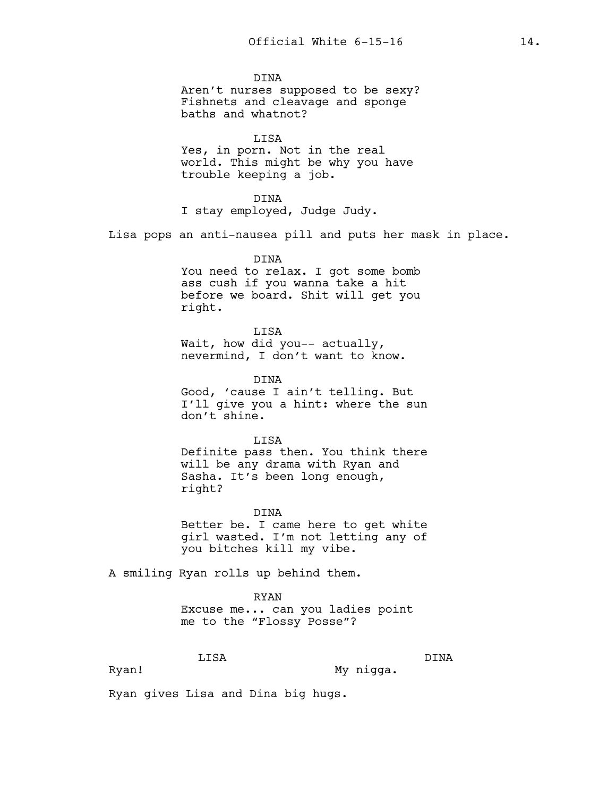DINA Aren't nurses supposed to be sexy? Fishnets and cleavage and sponge baths and whatnot?

LISA Yes, in porn. Not in the real world. This might be why you have trouble keeping a job.

DINA I stay employed, Judge Judy.

Lisa pops an anti-nausea pill and puts her mask in place.

DINA You need to relax. I got some bomb ass cush if you wanna take a hit before we board. Shit will get you right.

LISA Wait, how did you-- actually, nevermind, I don't want to know.

DINA Good, 'cause I ain't telling. But I'll give you a hint: where the sun don't shine.

LISA Definite pass then. You think there will be any drama with Ryan and Sasha. It's been long enough, right?

DINA Better be. I came here to get white girl wasted. I'm not letting any of you bitches kill my vibe.

A smiling Ryan rolls up behind them.

RYAN Excuse me... can you ladies point me to the "Flossy Posse"?

LISA

My nigga.

DINA

Ryan!

Ryan gives Lisa and Dina big hugs.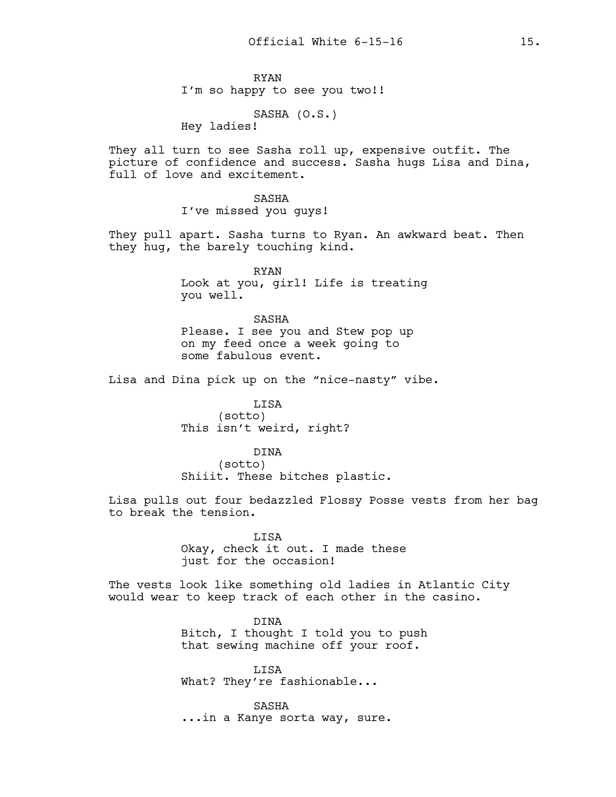RYAN I'm so happy to see you two!!

SASHA (O.S.)

Hey ladies!

They all turn to see Sasha roll up, expensive outfit. The picture of confidence and success. Sasha hugs Lisa and Dina, full of love and excitement.

> SASHA I've missed you guys!

They pull apart. Sasha turns to Ryan. An awkward beat. Then they hug, the barely touching kind.

> RYAN Look at you, girl! Life is treating you well.

SASHA Please. I see you and Stew pop up on my feed once a week going to some fabulous event.

Lisa and Dina pick up on the "nice-nasty" vibe.

LISA (sotto) This isn't weird, right?

DINA

(sotto)

Shiiit. These bitches plastic.

Lisa pulls out four bedazzled Flossy Posse vests from her bag to break the tension.

> LISA Okay, check it out. I made these just for the occasion!

The vests look like something old ladies in Atlantic City would wear to keep track of each other in the casino.

> DINA Bitch, I thought I told you to push that sewing machine off your roof.

LISA What? They're fashionable...

SASHA ...in a Kanye sorta way, sure.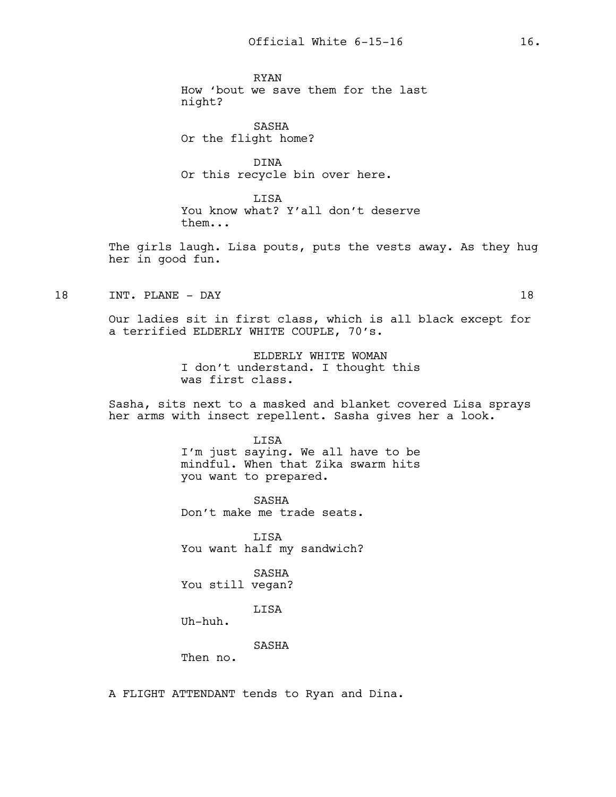RYAN How 'bout we save them for the last night?

SASHA Or the flight home?

DINA Or this recycle bin over here.

LISA You know what? Y'all don't deserve them...

The girls laugh. Lisa pouts, puts the vests away. As they hug her in good fun.

18 INT. PLANE - DAY 18

Our ladies sit in first class, which is all black except for a terrified ELDERLY WHITE COUPLE, 70's.

> ELDERLY WHITE WOMAN I don't understand. I thought this was first class.

Sasha, sits next to a masked and blanket covered Lisa sprays her arms with insect repellent. Sasha gives her a look.

### LISA

I'm just saying. We all have to be mindful. When that Zika swarm hits you want to prepared.

SASHA Don't make me trade seats.

LISA You want half my sandwich?

SASHA You still vegan?

LISA

Uh-huh.

#### SASHA

Then no.

A FLIGHT ATTENDANT tends to Ryan and Dina.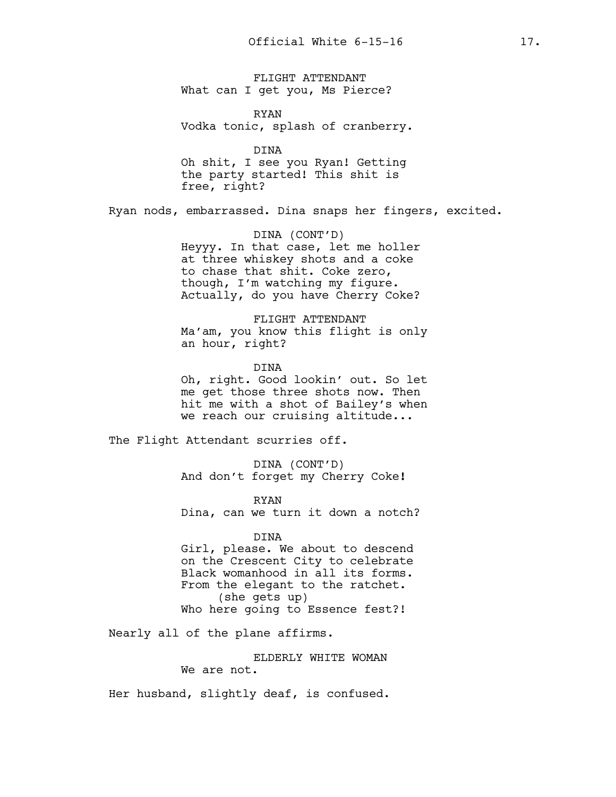FLIGHT ATTENDANT What can I get you, Ms Pierce?

RYAN Vodka tonic, splash of cranberry.

DINA

Oh shit, I see you Ryan! Getting the party started! This shit is free, right?

Ryan nods, embarrassed. Dina snaps her fingers, excited.

DINA (CONT'D) Heyyy. In that case, let me holler at three whiskey shots and a coke to chase that shit. Coke zero, though, I'm watching my figure. Actually, do you have Cherry Coke?

FLIGHT ATTENDANT Ma'am, you know this flight is only an hour, right?

DINA Oh, right. Good lookin' out. So let me get those three shots now. Then hit me with a shot of Bailey's when we reach our cruising altitude...

The Flight Attendant scurries off.

DINA (CONT'D) And don't forget my Cherry Coke**!**

RYAN Dina, can we turn it down a notch?

# DINA

Girl, please. We about to descend on the Crescent City to celebrate Black womanhood in all its forms. From the elegant to the ratchet. (she gets up) Who here going to Essence fest?!

Nearly all of the plane affirms.

ELDERLY WHITE WOMAN We are not.

Her husband, slightly deaf, is confused.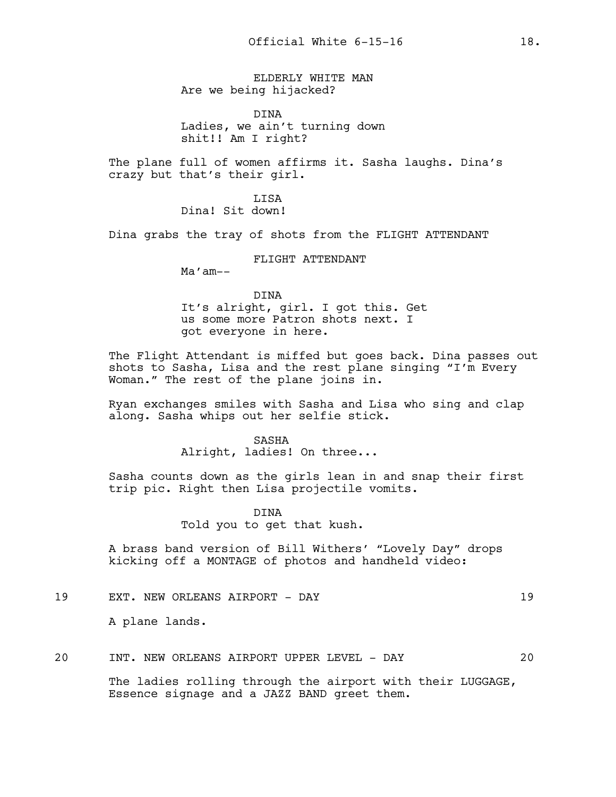ELDERLY WHITE MAN Are we being hijacked?

DINA Ladies, we ain't turning down shit!! Am I right?

The plane full of women affirms it. Sasha laughs. Dina's crazy but that's their girl.

> LISA Dina! Sit down!

Dina grabs the tray of shots from the FLIGHT ATTENDANT

FLIGHT ATTENDANT

Ma'am--

DINA

It's alright, girl. I got this. Get us some more Patron shots next. I got everyone in here.

The Flight Attendant is miffed but goes back. Dina passes out shots to Sasha, Lisa and the rest plane singing "I'm Every Woman." The rest of the plane joins in.

Ryan exchanges smiles with Sasha and Lisa who sing and clap along. Sasha whips out her selfie stick.

#### SASHA

Alright, ladies! On three...

Sasha counts down as the girls lean in and snap their first trip pic. Right then Lisa projectile vomits.

> DINA Told you to get that kush.

A brass band version of Bill Withers' "Lovely Day" drops kicking off a MONTAGE of photos and handheld video:

19 EXT. NEW ORLEANS AIRPORT - DAY 19

A plane lands.

20 INT. NEW ORLEANS AIRPORT UPPER LEVEL - DAY 20

The ladies rolling through the airport with their LUGGAGE, Essence signage and a JAZZ BAND greet them.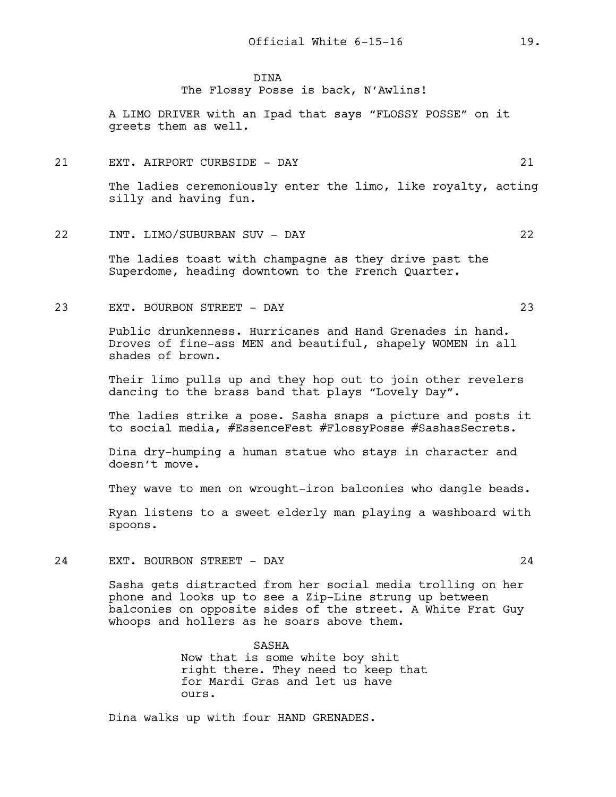DINA

The Flossy Posse is back, N'Awlins!

A LIMO DRIVER with an Ipad that says "FLOSSY POSSE" on it greets them as well.

#### 21 EXT. AIRPORT CURBSIDE - DAY 21

The ladies ceremoniously enter the limo, like royalty, acting silly and having fun.

# 22 INT. LIMO/SUBURBAN SUV - DAY 22

The ladies toast with champagne as they drive past the Superdome, heading downtown to the French Quarter.

23 EXT. BOURBON STREET - DAY 23

Public drunkenness. Hurricanes and Hand Grenades in hand. Droves of fine-ass MEN and beautiful, shapely WOMEN in all shades of brown.

Their limo pulls up and they hop out to join other revelers dancing to the brass band that plays "Lovely Day".

The ladies strike a pose. Sasha snaps a picture and posts it to social media, #EssenceFest #FlossyPosse #SashasSecrets.

Dina dry-humping a human statue who stays in character and doesn't move.

They wave to men on wrought-iron balconies who dangle beads.

Ryan listens to a sweet elderly man playing a washboard with spoons.

24 EXT. BOURBON STREET - DAY 24

Sasha gets distracted from her social media trolling on her phone and looks up to see a Zip-Line strung up between balconies on opposite sides of the street. A White Frat Guy whoops and hollers as he soars above them.

> SASHA Now that is some white boy shit right there. They need to keep that for Mardi Gras and let us have ours.

Dina walks up with four HAND GRENADES.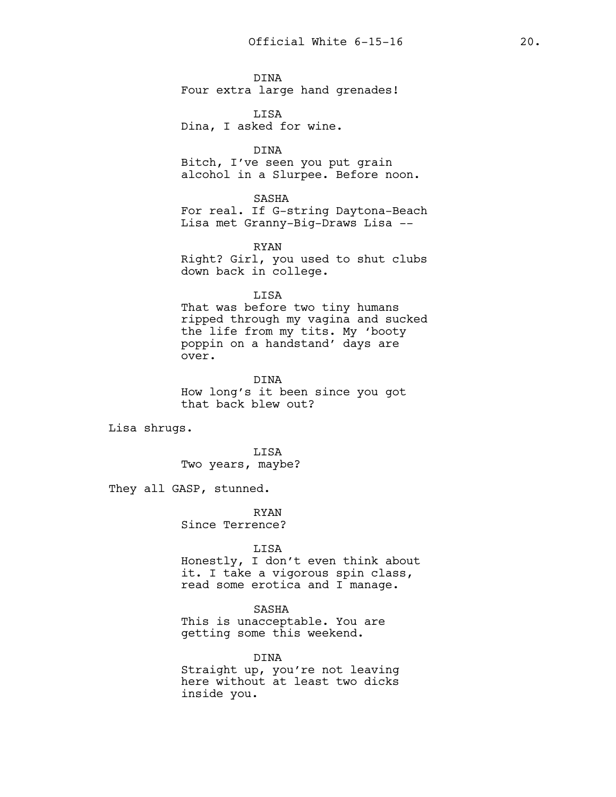DINA Four extra large hand grenades!

LISA Dina, I asked for wine.

DINA Bitch, I've seen you put grain alcohol in a Slurpee. Before noon.

#### SASHA

For real. If G-string Daytona-Beach Lisa met Granny-Big-Draws Lisa --

RYAN

Right? Girl, you used to shut clubs down back in college.

#### LISA

That was before two tiny humans ripped through my vagina and sucked the life from my tits. My 'booty poppin on a handstand' days are over.

DINA How long's it been since you got that back blew out?

Lisa shrugs.

LISA Two years, maybe?

They all GASP, stunned.

RYAN Since Terrence?

inside you.

#### LISA

Honestly, I don't even think about it. I take a vigorous spin class, read some erotica and I manage.

# SASHA

This is unacceptable. You are getting some this weekend.

DINA Straight up, you're not leaving here without at least two dicks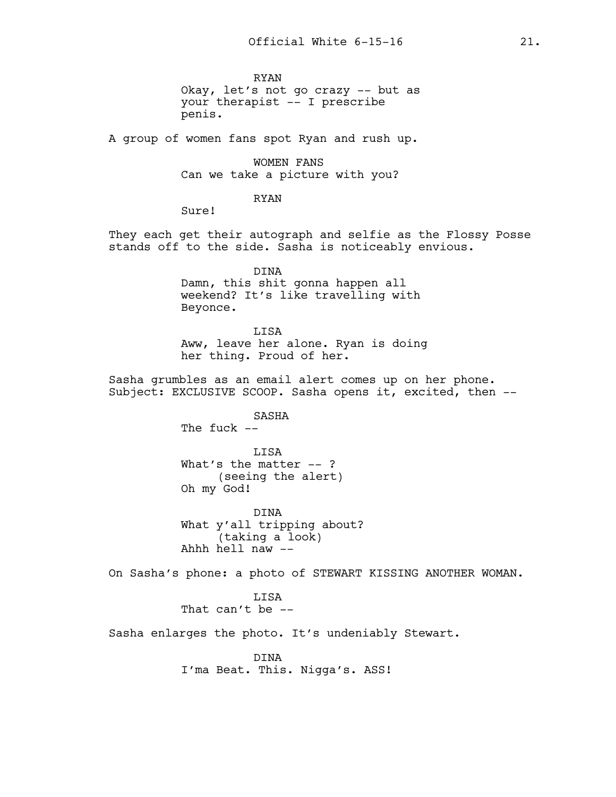RYAN Okay, let's not go crazy -- but as your therapist -- I prescribe penis.

A group of women fans spot Ryan and rush up.

WOMEN FANS Can we take a picture with you?

RYAN

Sure!

They each get their autograph and selfie as the Flossy Posse stands off to the side. Sasha is noticeably envious.

> DINA Damn, this shit gonna happen all weekend? It's like travelling with Beyonce.

LISA Aww, leave her alone. Ryan is doing her thing. Proud of her.

Sasha grumbles as an email alert comes up on her phone. Subject: EXCLUSIVE SCOOP. Sasha opens it, excited, then --

> SASHA The fuck  $--$

LISA What's the matter  $--$  ? (seeing the alert) Oh my God!

DINA What y'all tripping about? (taking a look) Ahhh hell naw --

On Sasha's phone: a photo of STEWART KISSING ANOTHER WOMAN.

LISA That can't be --

Sasha enlarges the photo. It's undeniably Stewart.

DINA I'ma Beat. This. Nigga's. ASS!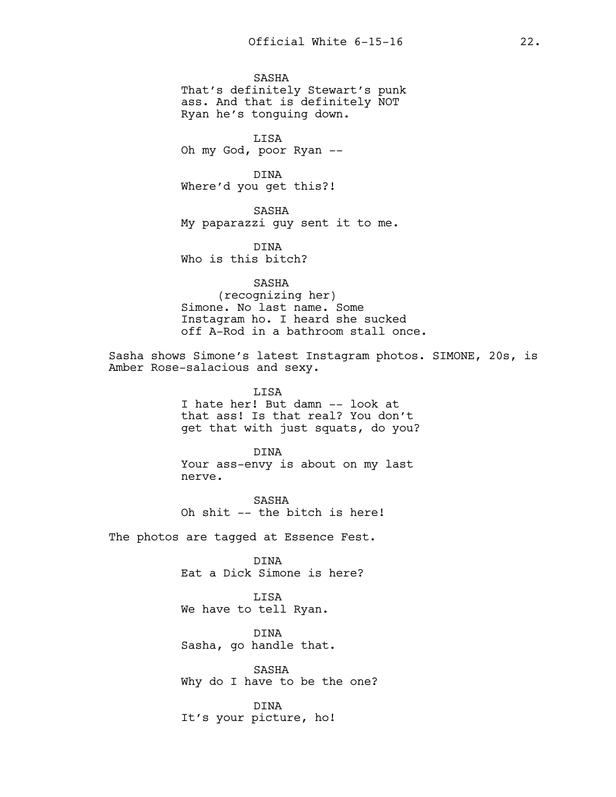SASHA That's definitely Stewart's punk ass. And that is definitely NOT Ryan he's tonguing down.

LISA Oh my God, poor Ryan --

DINA Where'd you get this?!

SASHA My paparazzi guy sent it to me.

DINA Who is this bitch?

SASHA (recognizing her) Simone. No last name. Some Instagram ho. I heard she sucked off A-Rod in a bathroom stall once.

Sasha shows Simone's latest Instagram photos. SIMONE, 20s, is Amber Rose-salacious and sexy.

> LISA I hate her! But damn -- look at that ass! Is that real? You don't get that with just squats, do you?

DINA Your ass-envy is about on my last nerve.

SASHA Oh shit -- the bitch is here!

The photos are tagged at Essence Fest.

DINA Eat a Dick Simone is here?

LISA We have to tell Ryan.

DINA Sasha, go handle that.

SASHA Why do I have to be the one?

DINA It's your picture, ho!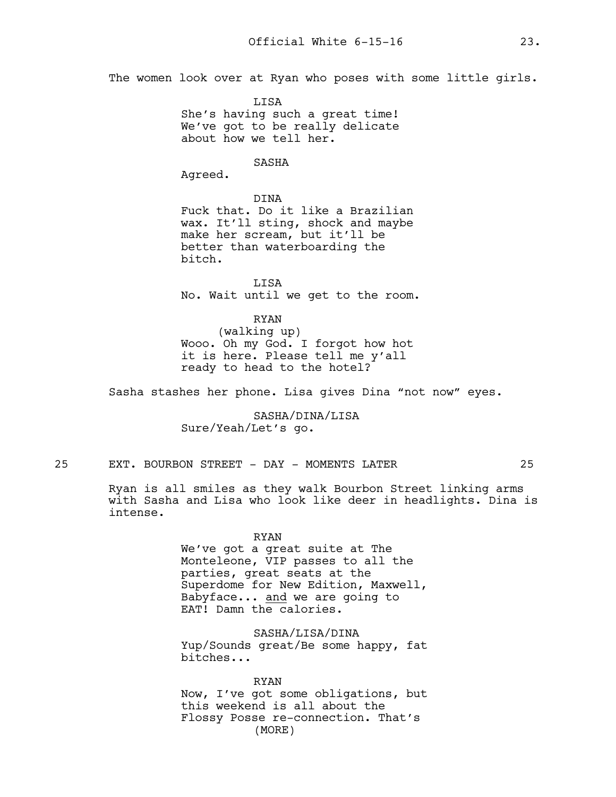The women look over at Ryan who poses with some little girls.

LISA She's having such a great time! We've got to be really delicate about how we tell her.

# SASHA

Agreed.

### DINA

Fuck that. Do it like a Brazilian wax. It'll sting, shock and maybe make her scream, but it'll be better than waterboarding the bitch.

LISA No. Wait until we get to the room.

RYAN

(walking up) Wooo. Oh my God. I forgot how hot it is here. Please tell me y'all ready to head to the hotel?

Sasha stashes her phone. Lisa gives Dina "not now" eyes.

SASHA/DINA/LISA Sure/Yeah/Let's go.

25 EXT. BOURBON STREET - DAY - MOMENTS LATER 25

Ryan is all smiles as they walk Bourbon Street linking arms with Sasha and Lisa who look like deer in headlights. Dina is intense.

#### RYAN

We've got a great suite at The Monteleone, VIP passes to all the parties, great seats at the Superdome for New Edition, Maxwell, Babyface... and we are going to EAT! Damn the calories.

SASHA/LISA/DINA Yup/Sounds great/Be some happy, fat bitches...

RYAN Now, I've got some obligations, but this weekend is all about the Flossy Posse re-connection. That's (MORE)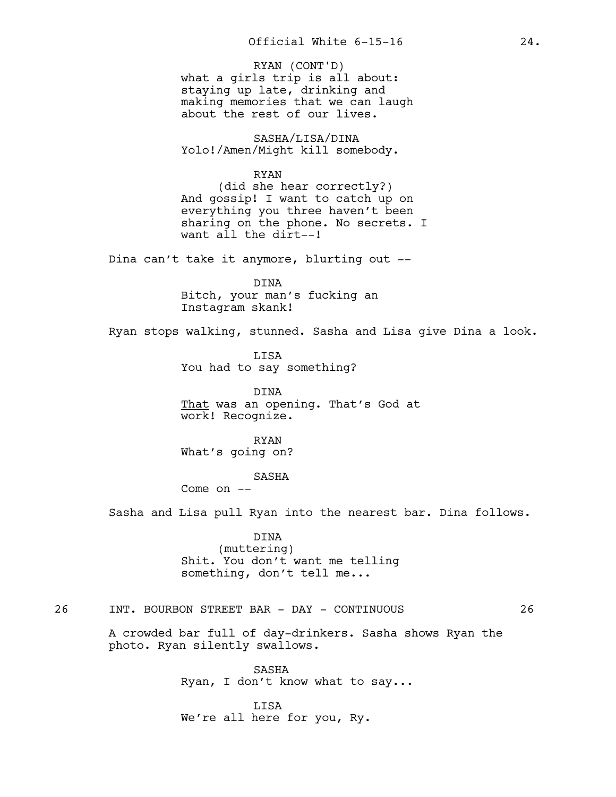what a girls trip is all about: staying up late, drinking and making memories that we can laugh about the rest of our lives. RYAN (CONT'D)

SASHA/LISA/DINA Yolo!/Amen/Might kill somebody.

> RYAN (did she hear correctly?)

And gossip! I want to catch up on everything you three haven't been sharing on the phone. No secrets. I want all the dirt--!

Dina can't take it anymore, blurting out --

DINA Bitch, your man's fucking an Instagram skank!

Ryan stops walking, stunned. Sasha and Lisa give Dina a look.

LISA You had to say something?

DINA That was an opening. That's God at work! Recognize.

RYAN What's going on?

SASHA

Come on --

Sasha and Lisa pull Ryan into the nearest bar. Dina follows.

DINA (muttering) Shit. You don't want me telling something, don't tell me...

# 26 INT. BOURBON STREET BAR - DAY - CONTINUOUS 26

A crowded bar full of day-drinkers. Sasha shows Ryan the photo. Ryan silently swallows.

> SASHA Ryan, I don't know what to say...

LISA We're all here for you, Ry.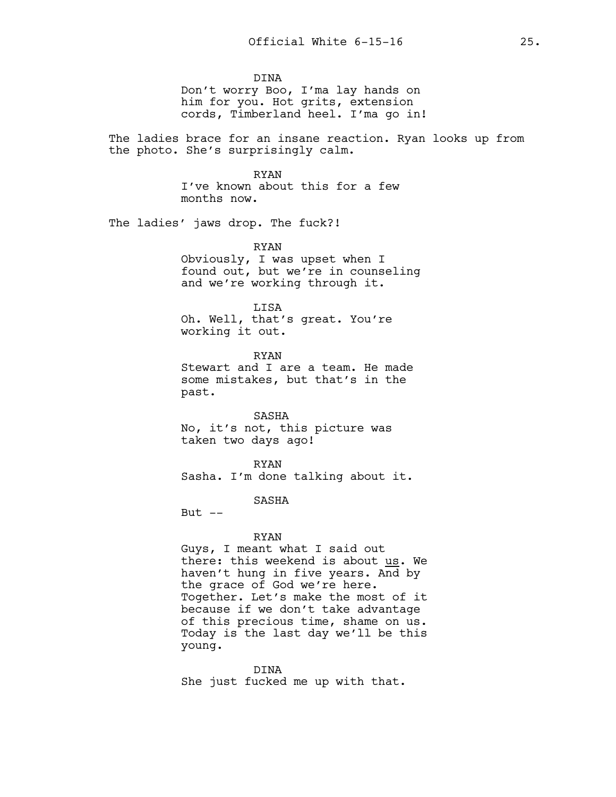DINA Don't worry Boo, I'ma lay hands on him for you. Hot grits, extension cords, Timberland heel. I'ma go in!

The ladies brace for an insane reaction. Ryan looks up from the photo. She's surprisingly calm.

> RYAN I've known about this for a few months now.

The ladies' jaws drop. The fuck?!

RYAN Obviously, I was upset when I found out, but we're in counseling and we're working through it.

LISA Oh. Well, that's great. You're working it out.

RYAN Stewart and I are a team. He made some mistakes, but that's in the past.

SASHA No, it's not, this picture was taken two days ago!

RYAN Sasha. I'm done talking about it.

SASHA

But  $--$ 

#### RYAN

Guys, I meant what I said out there: this weekend is about us. We haven't hung in five years. And by the grace of God we're here. Together. Let's make the most of it because if we don't take advantage of this precious time, shame on us. Today is the last day we'll be this young.

DINA She just fucked me up with that.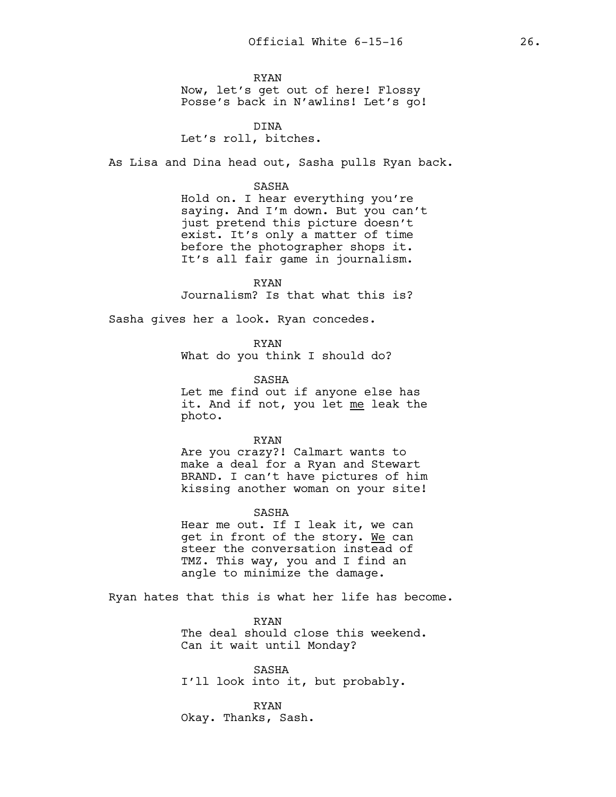RYAN Now, let's get out of here! Flossy Posse's back in N'awlins! Let's go!

DINA Let's roll, bitches.

As Lisa and Dina head out, Sasha pulls Ryan back.

#### SASHA

Hold on. I hear everything you're saying. And I'm down. But you can't just pretend this picture doesn't exist. It's only a matter of time before the photographer shops it. It's all fair game in journalism.

RYAN Journalism? Is that what this is?

Sasha gives her a look. Ryan concedes.

RYAN

What do you think I should do?

SASHA

Let me find out if anyone else has it. And if not, you let me leak the photo.

RYAN

Are you crazy?! Calmart wants to make a deal for a Ryan and Stewart BRAND. I can't have pictures of him kissing another woman on your site!

SASHA

Hear me out. If I leak it, we can get in front of the story. We can steer the conversation instead of TMZ. This way, you and I find an angle to minimize the damage.

Ryan hates that this is what her life has become.

RYAN The deal should close this weekend. Can it wait until Monday?

SASHA I'll look into it, but probably.

RYAN Okay. Thanks, Sash.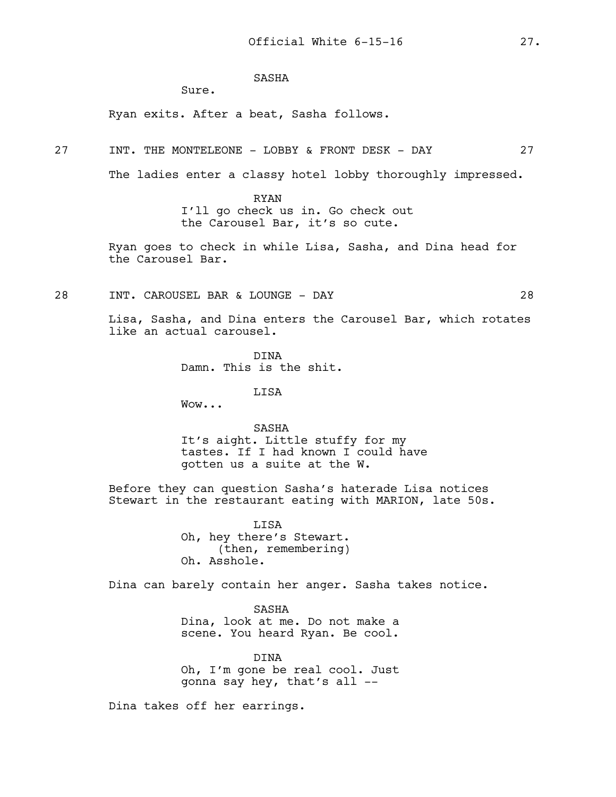# SASHA

Sure.

Ryan exits. After a beat, Sasha follows.

27 INT. THE MONTELEONE - LOBBY & FRONT DESK - DAY 27

The ladies enter a classy hotel lobby thoroughly impressed.

RYAN I'll go check us in. Go check out the Carousel Bar, it's so cute.

Ryan goes to check in while Lisa, Sasha, and Dina head for the Carousel Bar.

28 INT. CAROUSEL BAR & LOUNGE - DAY 28

Lisa, Sasha, and Dina enters the Carousel Bar, which rotates like an actual carousel.

> DINA Damn. This is the shit.

> > LISA

Wow...

SASHA It's aight. Little stuffy for my tastes. If I had known I could have gotten us a suite at the W.

Before they can question Sasha's haterade Lisa notices Stewart in the restaurant eating with MARION, late 50s.

> LISA Oh, hey there's Stewart. (then, remembering) Oh. Asshole.

Dina can barely contain her anger. Sasha takes notice.

SASHA Dina, look at me. Do not make a scene. You heard Ryan. Be cool.

DINA Oh, I'm gone be real cool. Just gonna say hey, that's all --

Dina takes off her earrings.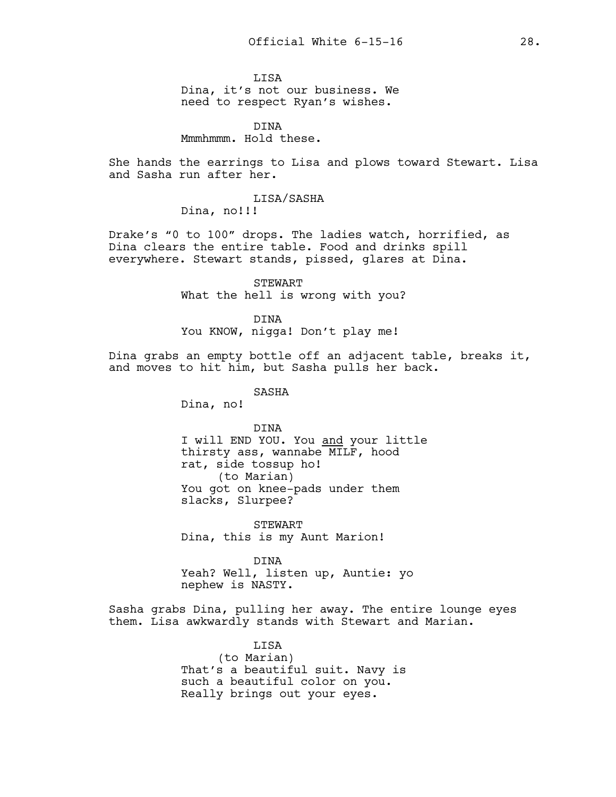LISA Dina, it's not our business. We need to respect Ryan's wishes.

DINA Mmmhmmm. Hold these.

She hands the earrings to Lisa and plows toward Stewart. Lisa and Sasha run after her.

# LISA/SASHA

Dina, no!!!

Drake's "0 to 100" drops. The ladies watch, horrified, as Dina clears the entire table. Food and drinks spill everywhere. Stewart stands, pissed, glares at Dina.

> STEWART What the hell is wrong with you?

DINA You KNOW, nigga! Don't play me!

Dina grabs an empty bottle off an adjacent table, breaks it, and moves to hit him, but Sasha pulls her back.

SASHA

Dina, no!

DINA I will END YOU. You and your little thirsty ass, wannabe MILF, hood rat, side tossup ho! (to Marian) You got on knee-pads under them slacks, Slurpee?

STEWART Dina, this is my Aunt Marion!

DINA Yeah? Well, listen up, Auntie: yo nephew is NASTY.

Sasha grabs Dina, pulling her away. The entire lounge eyes them. Lisa awkwardly stands with Stewart and Marian.

> LISA (to Marian) That's a beautiful suit. Navy is such a beautiful color on you. Really brings out your eyes.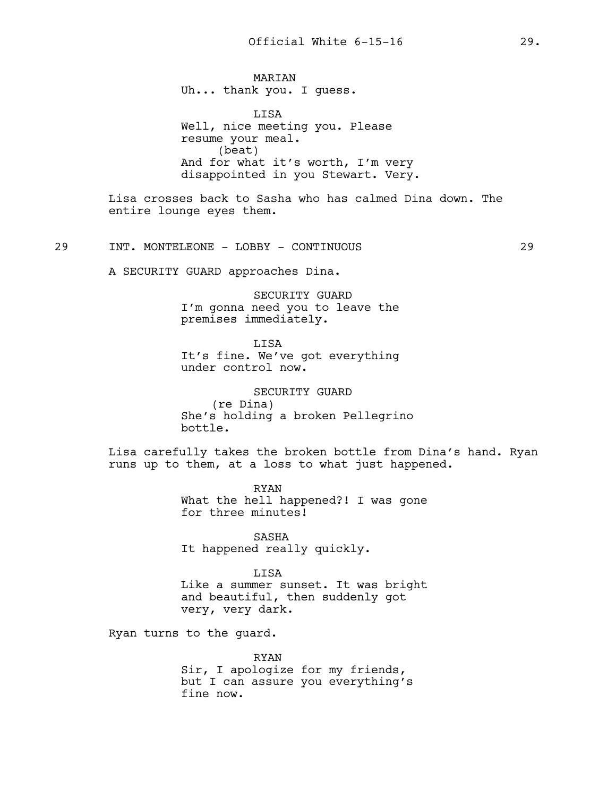MARIAN Uh... thank you. I guess.

LISA Well, nice meeting you. Please resume your meal. (beat) And for what it's worth, I'm very disappointed in you Stewart. Very.

Lisa crosses back to Sasha who has calmed Dina down. The entire lounge eyes them.

29 INT. MONTELEONE - LOBBY - CONTINUOUS 29

A SECURITY GUARD approaches Dina.

SECURITY GUARD I'm gonna need you to leave the premises immediately.

LISA It's fine. We've got everything under control now.

SECURITY GUARD (re Dina) She's holding a broken Pellegrino bottle.

Lisa carefully takes the broken bottle from Dina's hand. Ryan runs up to them, at a loss to what just happened.

> RYAN What the hell happened?! I was gone for three minutes!

SASHA It happened really quickly.

LISA Like a summer sunset. It was bright and beautiful, then suddenly got very, very dark.

Ryan turns to the guard.

RYAN Sir, I apologize for my friends, but I can assure you everything's fine now.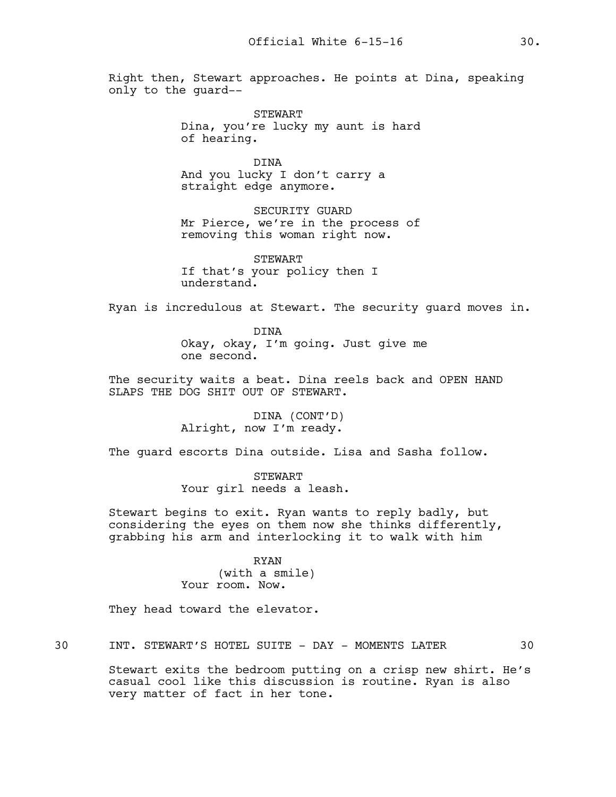Right then, Stewart approaches. He points at Dina, speaking only to the guard--

> STEWART Dina, you're lucky my aunt is hard of hearing.

DINA And you lucky I don't carry a straight edge anymore.

SECURITY GUARD Mr Pierce, we're in the process of removing this woman right now.

STEWART If that's your policy then I understand.

Ryan is incredulous at Stewart. The security guard moves in.

DINA Okay, okay, I'm going. Just give me one second.

The security waits a beat. Dina reels back and OPEN HAND SLAPS THE DOG SHIT OUT OF STEWART.

> DINA (CONT'D) Alright, now I'm ready.

The guard escorts Dina outside. Lisa and Sasha follow.

STEWART Your girl needs a leash.

Stewart begins to exit. Ryan wants to reply badly, but considering the eyes on them now she thinks differently, grabbing his arm and interlocking it to walk with him

#### RYAN

(with a smile) Your room. Now.

They head toward the elevator.

30 INT. STEWART'S HOTEL SUITE - DAY - MOMENTS LATER 30

Stewart exits the bedroom putting on a crisp new shirt. He's casual cool like this discussion is routine. Ryan is also very matter of fact in her tone.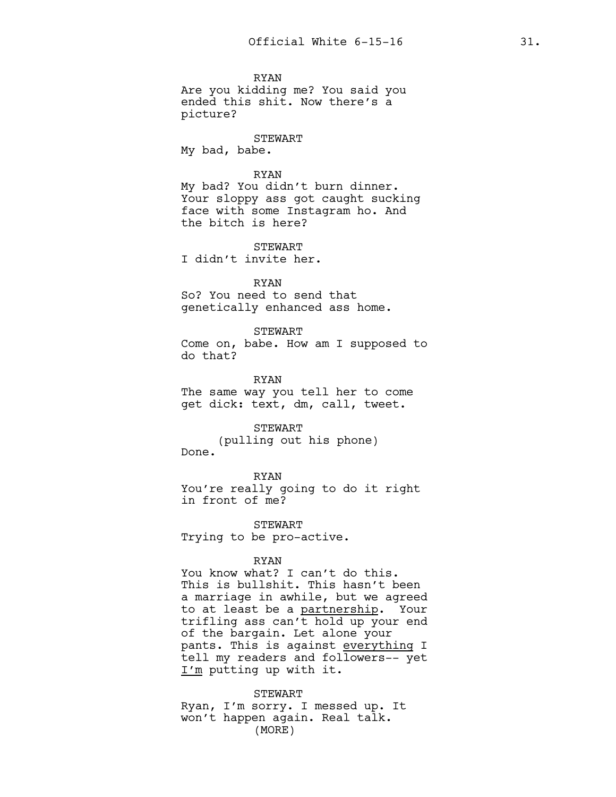RYAN Are you kidding me? You said you ended this shit. Now there's a picture?

STEWART My bad, babe.

RYAN

My bad? You didn't burn dinner. Your sloppy ass got caught sucking face with some Instagram ho. And the bitch is here?

**STEWART** I didn't invite her.

RYAN So? You need to send that genetically enhanced ass home.

STEWART Come on, babe. How am I supposed to

do that?

RYAN The same way you tell her to come get dick: text, dm, call, tweet.

STEWART (pulling out his phone) Done.

RYAN You're really going to do it right in front of me?

STEWART Trying to be pro-active.

#### RYAN

You know what? I can't do this. This is bullshit. This hasn't been a marriage in awhile, but we agreed to at least be a partnership. Your trifling ass can't hold up your end of the bargain. Let alone your pants. This is against everything I tell my readers and followers-- yet I'm putting up with it.

STEWART Ryan, I'm sorry. I messed up. It won't happen again. Real talk. (MORE)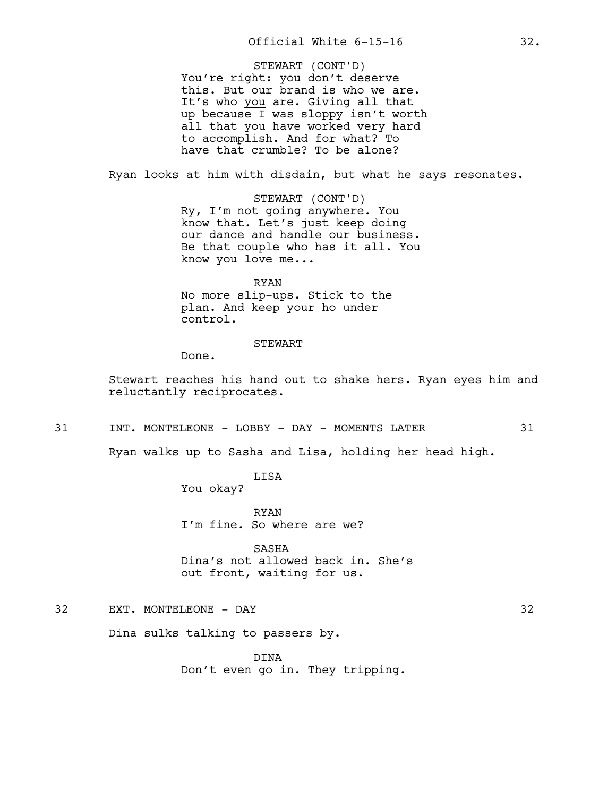You're right: you don't deserve this. But our brand is who we are. It's who you are. Giving all that up because I was sloppy isn't worth all that you have worked very hard to accomplish. And for what? To have that crumble? To be alone? STEWART (CONT'D)

Ryan looks at him with disdain, but what he says resonates.

STEWART (CONT'D) Ry, I'm not going anywhere. You know that. Let's just keep doing our dance and handle our business. Be that couple who has it all. You know you love me...

RYAN No more slip-ups. Stick to the plan. And keep your ho under control.

#### STEWART

Done.

Stewart reaches his hand out to shake hers. Ryan eyes him and reluctantly reciprocates.

31 INT. MONTELEONE - LOBBY - DAY - MOMENTS LATER 31

Ryan walks up to Sasha and Lisa, holding her head high.

LISA You okay?

RYAN I'm fine. So where are we?

SASHA Dina's not allowed back in. She's out front, waiting for us.

32 EXT. MONTELEONE - DAY 32

Dina sulks talking to passers by.

DINA Don't even go in. They tripping.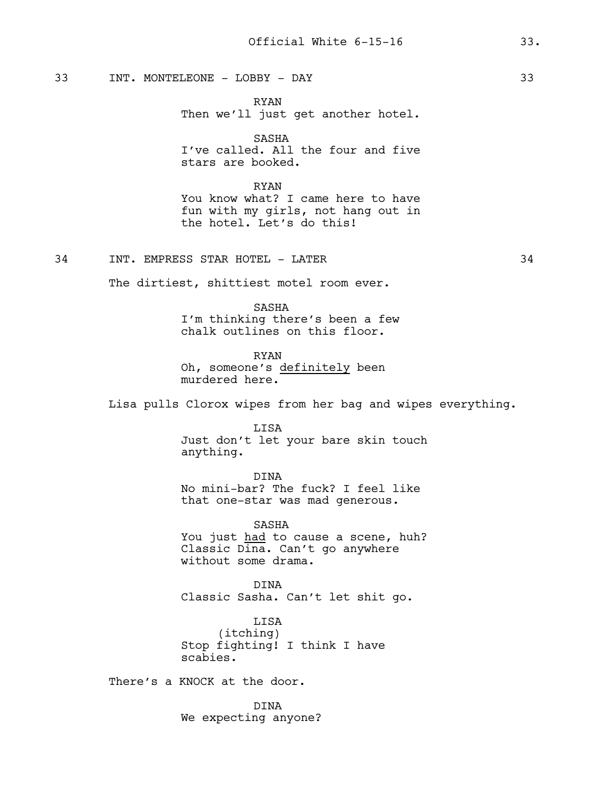33 INT. MONTELEONE - LOBBY - DAY 33

RYAN Then we'll just get another hotel.

SASHA I've called. All the four and five stars are booked.

RYAN You know what? I came here to have fun with my girls, not hang out in the hotel. Let's do this!

34 INT. EMPRESS STAR HOTEL – LATER 34

The dirtiest, shittiest motel room ever.

SASHA I'm thinking there's been a few chalk outlines on this floor.

RYAN Oh, someone's definitely been murdered here.

Lisa pulls Clorox wipes from her bag and wipes everything.

LISA Just don't let your bare skin touch anything.

DINA No mini-bar? The fuck? I feel like that one-star was mad generous.

SASHA You just had to cause a scene, huh? Classic Dina. Can't go anywhere without some drama.

DINA Classic Sasha. Can't let shit go.

LISA (itching) Stop fighting! I think I have scabies.

There's a KNOCK at the door.

DINA We expecting anyone?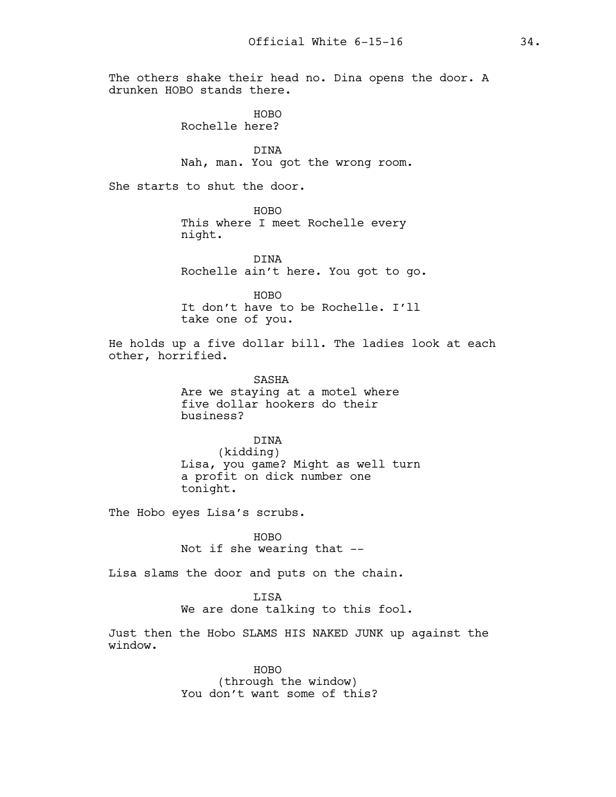The others shake their head no. Dina opens the door. A drunken HOBO stands there.

> HOBO Rochelle here?

DINA Nah, man. You got the wrong room.

She starts to shut the door.

HOBO This where I meet Rochelle every night.

DINA Rochelle ain't here. You got to go.

HOBO It don't have to be Rochelle. I'll take one of you.

He holds up a five dollar bill. The ladies look at each other, horrified.

> SASHA Are we staying at a motel where five dollar hookers do their business?

DINA (kidding) Lisa, you game? Might as well turn a profit on dick number one tonight.

The Hobo eyes Lisa's scrubs.

HOBO Not if she wearing that --

Lisa slams the door and puts on the chain.

LISA We are done talking to this fool.

Just then the Hobo SLAMS HIS NAKED JUNK up against the window.

> HOBO (through the window) You don't want some of this?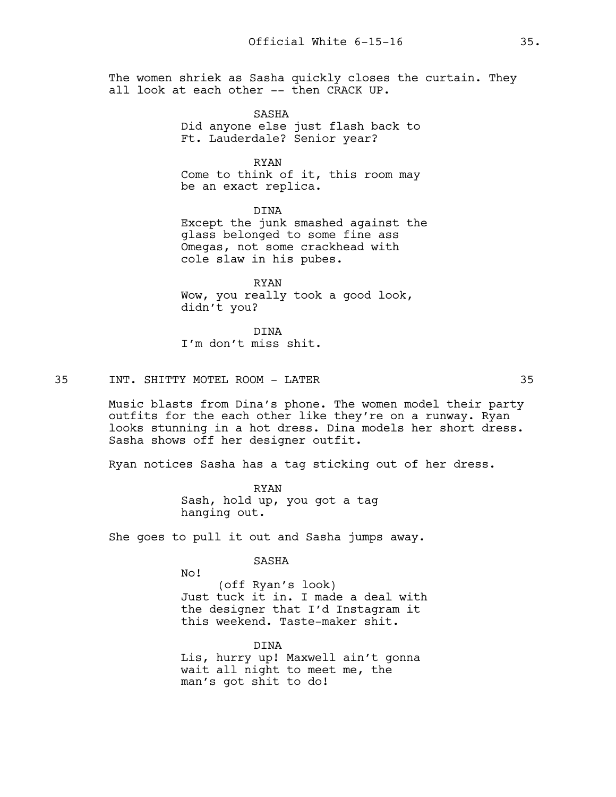The women shriek as Sasha quickly closes the curtain. They all look at each other -- then CRACK UP.

> SASHA Did anyone else just flash back to Ft. Lauderdale? Senior year?

> RYAN Come to think of it, this room may be an exact replica.

DINA Except the junk smashed against the glass belonged to some fine ass Omegas, not some crackhead with cole slaw in his pubes.

RYAN Wow, you really took a good look, didn't you?

DINA I'm don't miss shit.

35 INT. SHITTY MOTEL ROOM - LATER 35

Music blasts from Dina's phone. The women model their party outfits for the each other like they're on a runway. Ryan looks stunning in a hot dress. Dina models her short dress. Sasha shows off her designer outfit.

Ryan notices Sasha has a tag sticking out of her dress.

RYAN Sash, hold up, you got a tag hanging out.

She goes to pull it out and Sasha jumps away.

SASHA

No!

(off Ryan's look) Just tuck it in. I made a deal with the designer that I'd Instagram it this weekend. Taste-maker shit.

DINA Lis, hurry up! Maxwell ain't gonna wait all night to meet me, the man's got shit to do!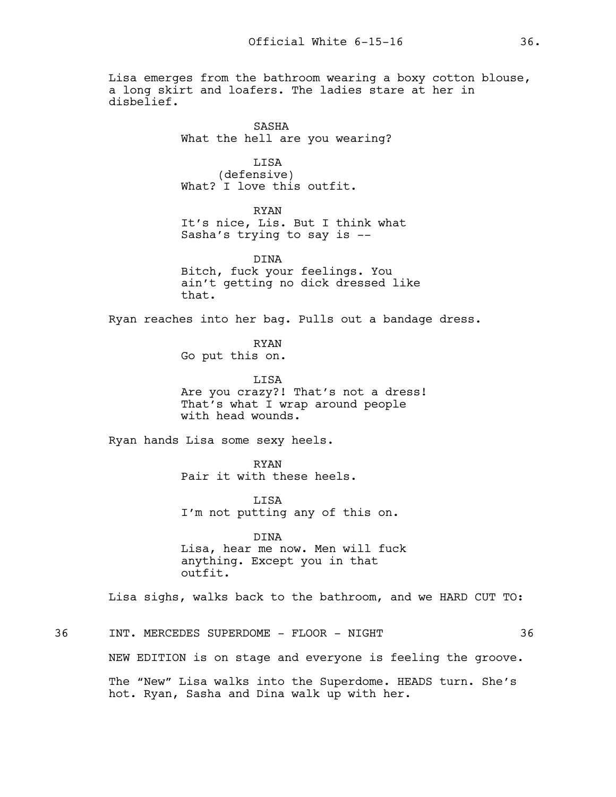Lisa emerges from the bathroom wearing a boxy cotton blouse, a long skirt and loafers. The ladies stare at her in disbelief.

> SASHA What the hell are you wearing?

LISA (defensive) What? I love this outfit.

RYAN It's nice, Lis. But I think what Sasha's trying to say is --

DINA Bitch, fuck your feelings. You ain't getting no dick dressed like that.

Ryan reaches into her bag. Pulls out a bandage dress.

RYAN Go put this on.

LISA Are you crazy?! That's not a dress! That's what I wrap around people with head wounds.

Ryan hands Lisa some sexy heels.

RYAN Pair it with these heels.

**T.TSA** I'm not putting any of this on.

DINA Lisa, hear me now. Men will fuck anything. Except you in that outfit.

Lisa sighs, walks back to the bathroom, and we HARD CUT TO:

36 INT. MERCEDES SUPERDOME – FLOOR - NIGHT 36 NEW EDITION is on stage and everyone is feeling the groove. The "New" Lisa walks into the Superdome. HEADS turn. She's hot. Ryan, Sasha and Dina walk up with her.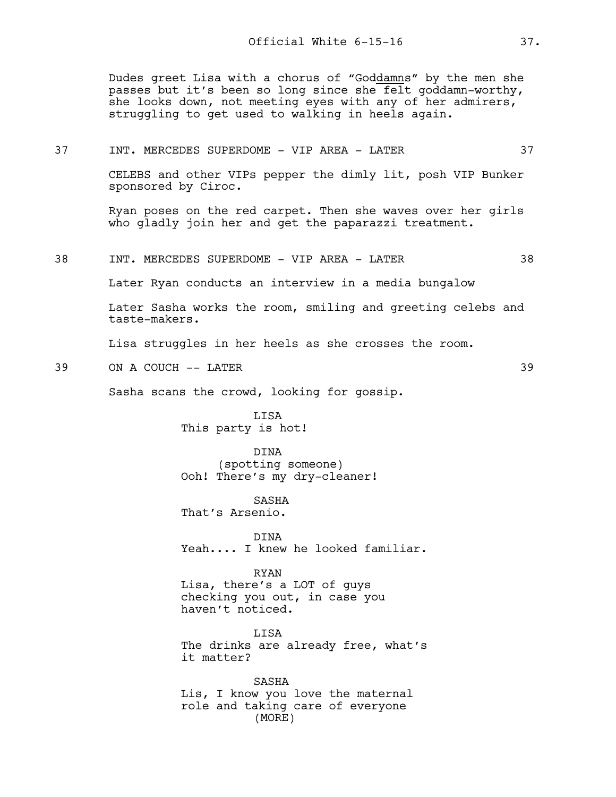Dudes greet Lisa with a chorus of "Goddamns" by the men she passes but it's been so long since she felt goddamn-worthy, she looks down, not meeting eyes with any of her admirers, struggling to get used to walking in heels again.

### 37 INT. MERCEDES SUPERDOME - VIP AREA - LATER 37

CELEBS and other VIPs pepper the dimly lit, posh VIP Bunker sponsored by Ciroc.

Ryan poses on the red carpet. Then she waves over her girls who gladly join her and get the paparazzi treatment.

## 38 INT. MERCEDES SUPERDOME - VIP AREA - LATER 38

Later Ryan conducts an interview in a media bungalow

Later Sasha works the room, smiling and greeting celebs and taste-makers.

Lisa struggles in her heels as she crosses the room.

39 ON A COUCH -- LATER 39

Sasha scans the crowd, looking for gossip.

LISA This party is hot!

DINA (spotting someone) Ooh! There's my dry-cleaner!

SASHA That's Arsenio.

DINA Yeah.... I knew he looked familiar.

RYAN Lisa, there's a LOT of guys

checking you out, in case you haven't noticed.

**T.TSA** The drinks are already free, what's it matter?

SASHA Lis, I know you love the maternal role and taking care of everyone (MORE)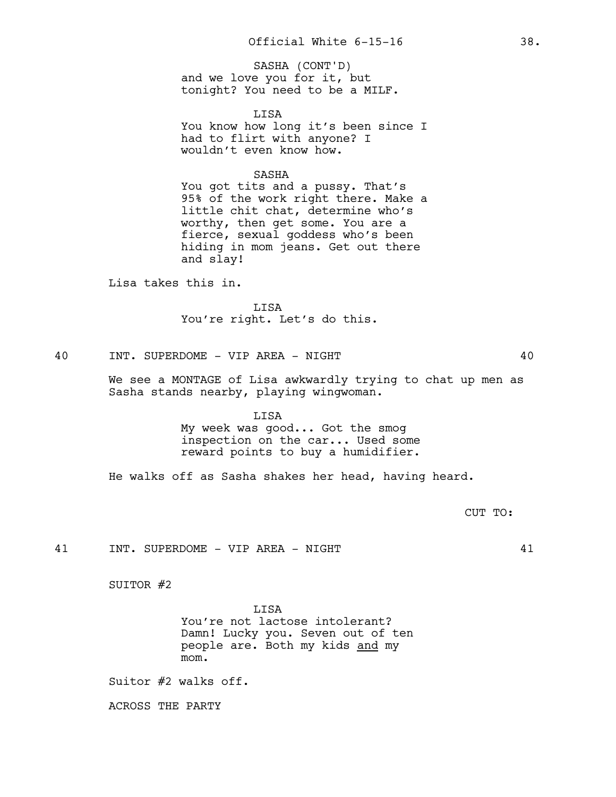and we love you for it, but tonight? You need to be a MILF. SASHA (CONT'D)

LISA You know how long it's been since I had to flirt with anyone? I wouldn't even know how.

## SASHA

You got tits and a pussy. That's 95% of the work right there. Make a little chit chat, determine who's worthy, then get some. You are a fierce, sexual goddess who's been hiding in mom jeans. Get out there and slay!

Lisa takes this in.

LISA You're right. Let's do this.

40 INT. SUPERDOME - VIP AREA - NIGHT 40

We see a MONTAGE of Lisa awkwardly trying to chat up men as Sasha stands nearby, playing wingwoman.

> LISA My week was good... Got the smog inspection on the car... Used some reward points to buy a humidifier.

He walks off as Sasha shakes her head, having heard.

CUT TO:

41 INT. SUPERDOME - VIP AREA - NIGHT 41

SUITOR #2

**T.TSA** You're not lactose intolerant? Damn! Lucky you. Seven out of ten people are. Both my kids and my mom.

Suitor #2 walks off.

ACROSS THE PARTY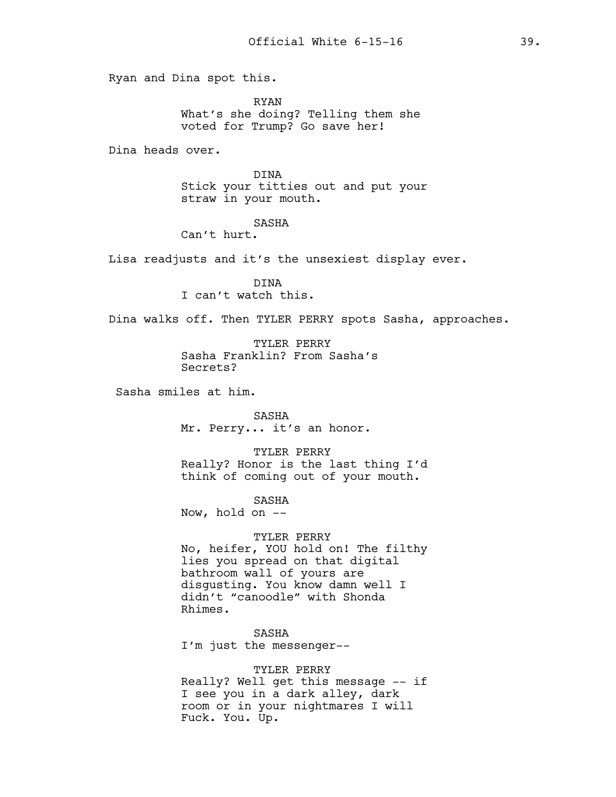Ryan and Dina spot this.

RYAN What's she doing? Telling them she voted for Trump? Go save her!

Dina heads over.

DINA Stick your titties out and put your straw in your mouth.

#### SASHA

Can't hurt.

Lisa readjusts and it's the unsexiest display ever.

DINA I can't watch this.

Dina walks off. Then TYLER PERRY spots Sasha, approaches.

TYLER PERRY Sasha Franklin? From Sasha's Secrets?

Sasha smiles at him.

SASHA Mr. Perry... it's an honor.

TYLER PERRY Really? Honor is the last thing I'd think of coming out of your mouth.

SASHA

Now, hold on  $-$ 

### TYLER PERRY

No, heifer, YOU hold on! The filthy lies you spread on that digital bathroom wall of yours are disgusting. You know damn well I didn't "canoodle" with Shonda Rhimes.

SASHA I'm just the messenger--

### TYLER PERRY

Really? Well get this message -- if I see you in a dark alley, dark room or in your nightmares I will Fuck. You. Up.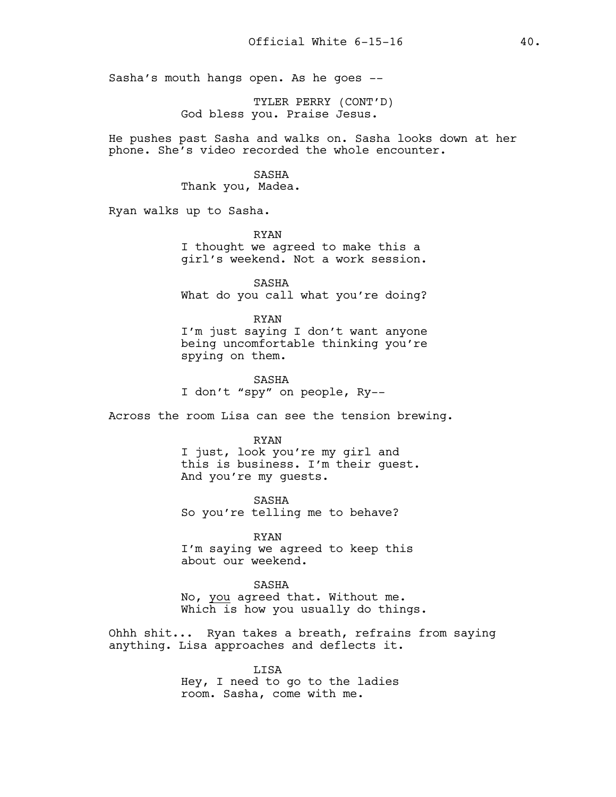Sasha's mouth hangs open. As he goes --

TYLER PERRY (CONT'D) God bless you. Praise Jesus.

He pushes past Sasha and walks on. Sasha looks down at her phone. She's video recorded the whole encounter.

#### SASHA

Thank you, Madea.

Ryan walks up to Sasha.

RYAN I thought we agreed to make this a girl's weekend. Not a work session.

SASHA What do you call what you're doing?

RYAN I'm just saying I don't want anyone being uncomfortable thinking you're spying on them.

SASHA I don't "spy" on people, Ry--

Across the room Lisa can see the tension brewing.

#### RYAN

I just, look you're my girl and this is business. I'm their guest. And you're my guests.

SASHA So you're telling me to behave?

RYAN I'm saying we agreed to keep this about our weekend.

SASHA No, you agreed that. Without me. Which is how you usually do things.

Ohhh shit... Ryan takes a breath, refrains from saying anything. Lisa approaches and deflects it.

> LISA Hey, I need to go to the ladies room. Sasha, come with me.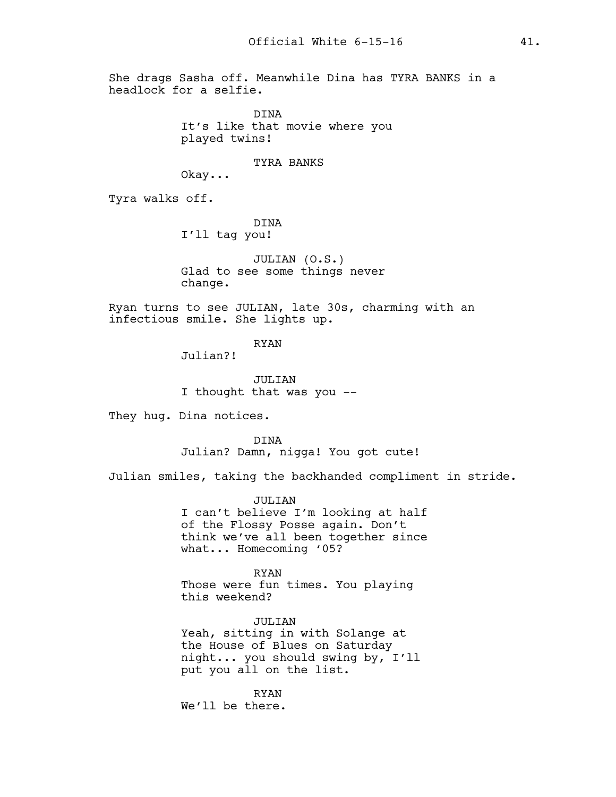She drags Sasha off. Meanwhile Dina has TYRA BANKS in a headlock for a selfie.

> DINA It's like that movie where you played twins!

> > TYRA BANKS

Okay...

Tyra walks off.

DINA I'll tag you!

JULIAN (O.S.) Glad to see some things never change.

Ryan turns to see JULIAN, late 30s, charming with an infectious smile. She lights up.

RYAN

Julian?!

JULIAN I thought that was you --

They hug. Dina notices.

DINA Julian? Damn, nigga! You got cute!

Julian smiles, taking the backhanded compliment in stride.

JULIAN I can't believe I'm looking at half of the Flossy Posse again. Don't think we've all been together since what... Homecoming '05?

RYAN Those were fun times. You playing this weekend?

JULIAN Yeah, sitting in with Solange at the House of Blues on Saturday night... you should swing by, I'll put you all on the list.

RYAN We'll be there.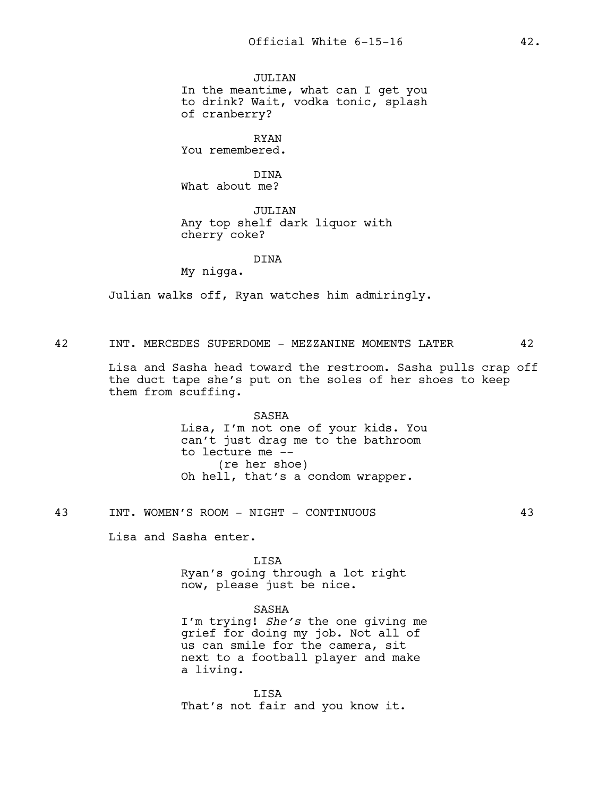JULIAN In the meantime, what can I get you to drink? Wait, vodka tonic, splash of cranberry?

RYAN You remembered.

DINA What about me?

JULIAN Any top shelf dark liquor with cherry coke?

### DINA

My nigga.

Julian walks off, Ryan watches him admiringly.

42 INT. MERCEDES SUPERDOME – MEZZANINE MOMENTS LATER 42

Lisa and Sasha head toward the restroom. Sasha pulls crap off the duct tape she's put on the soles of her shoes to keep them from scuffing.

> SASHA Lisa, I'm not one of your kids. You can't just drag me to the bathroom to lecture me -- (re her shoe) Oh hell, that's a condom wrapper.

43 INT. WOMEN'S ROOM - NIGHT - CONTINUOUS 43

Lisa and Sasha enter.

LISA Ryan's going through a lot right now, please just be nice.

## SASHA

I'm trying! *She's* the one giving me grief for doing my job. Not all of us can smile for the camera, sit next to a football player and make a living.

LISA That's not fair and you know it.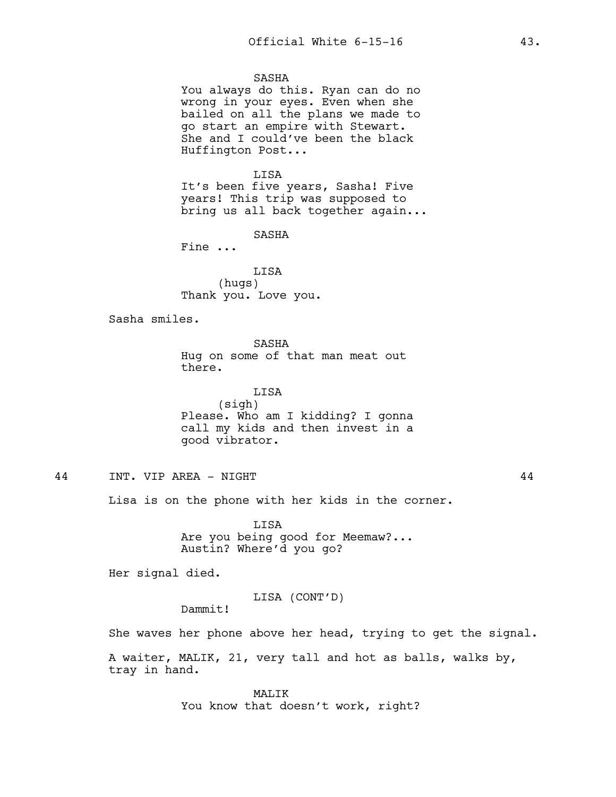## SASHA

You always do this. Ryan can do no wrong in your eyes. Even when she bailed on all the plans we made to go start an empire with Stewart. She and I could've been the black Huffington Post...

#### LISA

It's been five years, Sasha! Five years! This trip was supposed to bring us all back together again...

SASHA

Fine ...

LISA (hugs) Thank you. Love you.

Sasha smiles.

SASHA Hug on some of that man meat out there.

LISA (sigh) Please. Who am I kidding? I gonna call my kids and then invest in a good vibrator.

# 44 INT. VIP AREA - NIGHT 44

Lisa is on the phone with her kids in the corner.

LISA Are you being good for Meemaw?... Austin? Where'd you go?

Her signal died.

LISA (CONT'D)

Dammit!

She waves her phone above her head, trying to get the signal.

A waiter, MALIK, 21, very tall and hot as balls, walks by, tray in hand.

> MALIK You know that doesn't work, right?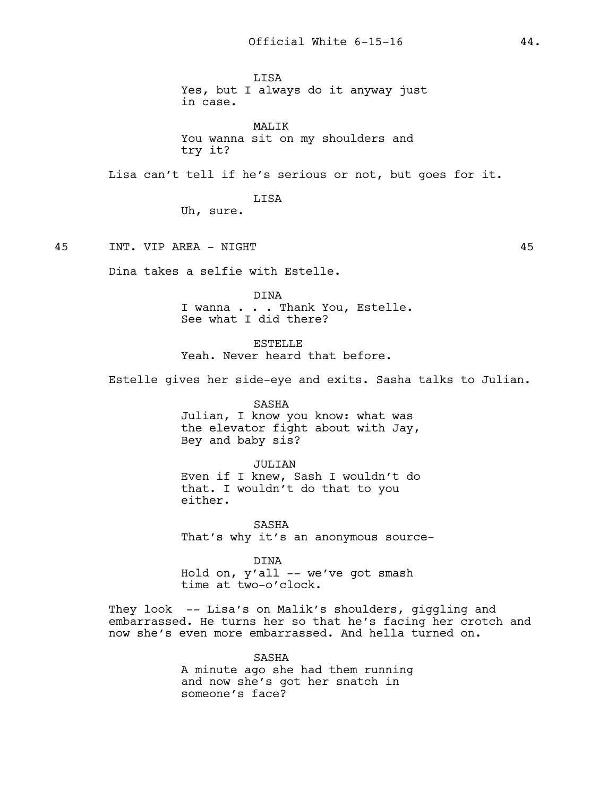LISA Yes, but I always do it anyway just in case.

MALIK You wanna sit on my shoulders and try it?

Lisa can't tell if he's serious or not, but goes for it.

LISA Uh, sure.

45 INT. VIP AREA - NIGHT 45

Dina takes a selfie with Estelle.

DINA I wanna . . . Thank You, Estelle. See what I did there?

**ESTELLE** Yeah. Never heard that before.

Estelle gives her side-eye and exits. Sasha talks to Julian.

SASHA Julian, I know you know: what was the elevator fight about with Jay, Bey and baby sis?

JULIAN Even if I knew, Sash I wouldn't do that. I wouldn't do that to you either.

SASHA That's why it's an anonymous source-

DINA Hold on, y'all -- we've got smash time at two-o'clock.

They look -- Lisa's on Malik's shoulders, giggling and embarrassed. He turns her so that he's facing her crotch and now she's even more embarrassed. And hella turned on.

> SASHA A minute ago she had them running and now she's got her snatch in someone's face?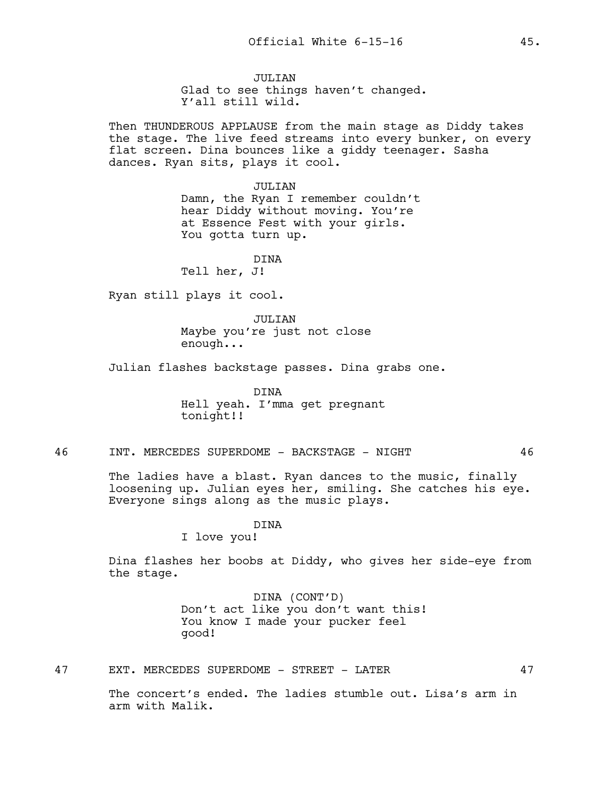JULTAN Glad to see things haven't changed. Y'all still wild.

Then THUNDEROUS APPLAUSE from the main stage as Diddy takes the stage. The live feed streams into every bunker, on every flat screen. Dina bounces like a giddy teenager. Sasha dances. Ryan sits, plays it cool.

> JULIAN Damn, the Ryan I remember couldn't hear Diddy without moving. You're at Essence Fest with your girls. You gotta turn up.

> > DINA

Tell her, J!

Ryan still plays it cool.

JULIAN Maybe you're just not close enough...

Julian flashes backstage passes. Dina grabs one.

DINA Hell yeah. I'mma get pregnant tonight!!

46 INT. MERCEDES SUPERDOME – BACKSTAGE – NIGHT 46

The ladies have a blast. Ryan dances to the music, finally loosening up. Julian eyes her, smiling. She catches his eye. Everyone sings along as the music plays.

DINA

I love you!

Dina flashes her boobs at Diddy, who gives her side-eye from the stage.

> DINA (CONT'D) Don't act like you don't want this! You know I made your pucker feel good!

47 EXT. MERCEDES SUPERDOME – STREET – LATER 47

The concert's ended. The ladies stumble out. Lisa's arm in arm with Malik.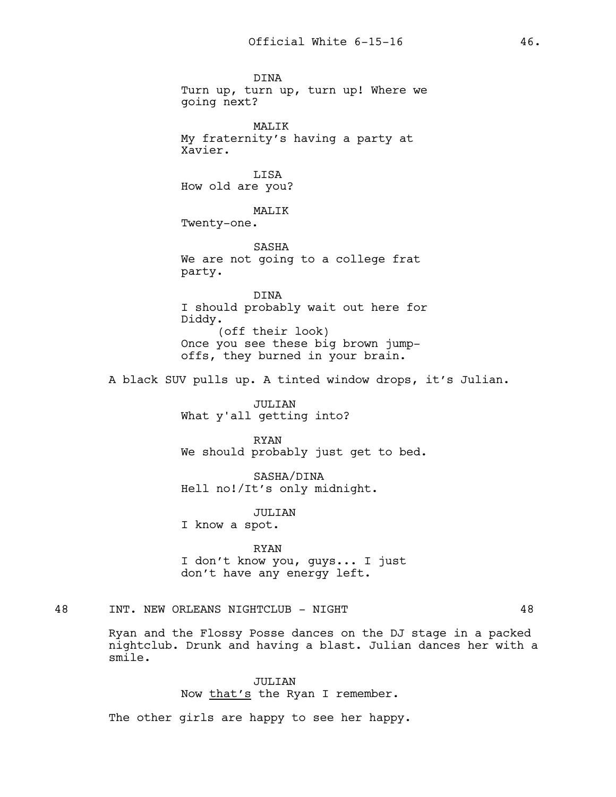DINA Turn up, turn up, turn up! Where we going next? MALIK My fraternity's having a party at Xavier. LISA How old are you? MALIK Twenty-one. SASHA We are not going to a college frat party. DINA I should probably wait out here for Diddy. (off their look) Once you see these big brown jumpoffs, they burned in your brain. A black SUV pulls up. A tinted window drops, it's Julian.

> JULIAN What y'all getting into?

RYAN We should probably just get to bed.

SASHA/DINA Hell no!/It's only midnight.

JULIAN

I know a spot.

RYAN I don't know you, guys... I just don't have any energy left.

# 48 INT. NEW ORLEANS NIGHTCLUB - NIGHT 48

Ryan and the Flossy Posse dances on the DJ stage in a packed nightclub. Drunk and having a blast. Julian dances her with a smile.

> JULIAN Now that's the Ryan I remember.

The other girls are happy to see her happy.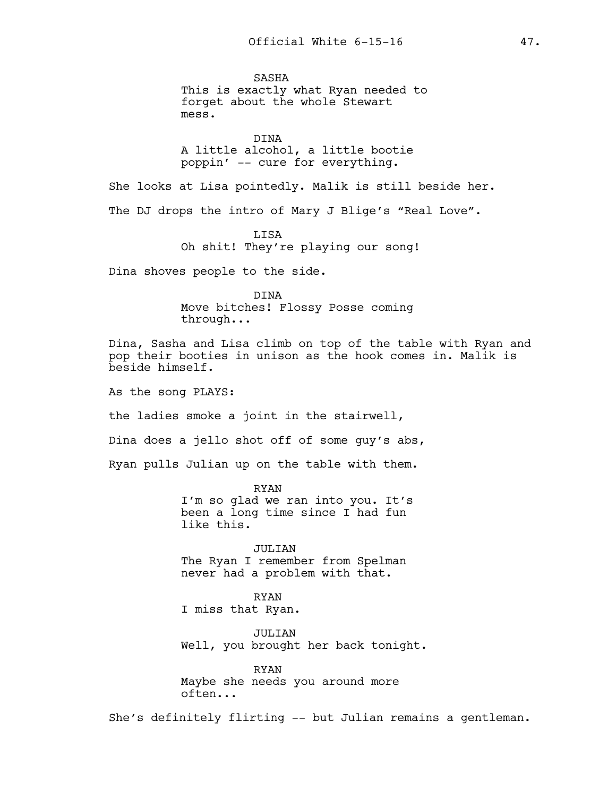SASHA This is exactly what Ryan needed to forget about the whole Stewart mess.

DINA A little alcohol, a little bootie poppin' -- cure for everything.

She looks at Lisa pointedly. Malik is still beside her.

The DJ drops the intro of Mary J Blige's "Real Love".

**T.TSA** Oh shit! They're playing our song!

Dina shoves people to the side.

DINA Move bitches! Flossy Posse coming through...

Dina, Sasha and Lisa climb on top of the table with Ryan and pop their booties in unison as the hook comes in. Malik is beside himself.

As the song PLAYS:

the ladies smoke a joint in the stairwell,

Dina does a jello shot off of some guy's abs,

Ryan pulls Julian up on the table with them.

RYAN I'm so glad we ran into you. It's been a long time since I had fun like this.

JULIAN The Ryan I remember from Spelman never had a problem with that.

RYAN I miss that Ryan.

JULIAN Well, you brought her back tonight.

RYAN Maybe she needs you around more often...

She's definitely flirting -- but Julian remains a gentleman.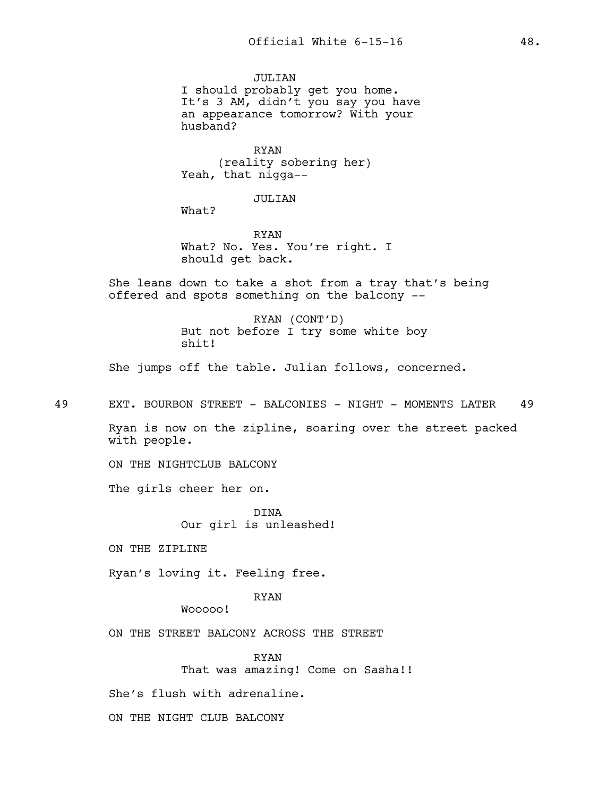JULIAN I should probably get you home. It's 3 AM, didn't you say you have an appearance tomorrow? With your husband?

RYAN (reality sobering her) Yeah, that nigga--

JULIAN

What?

RYAN What? No. Yes. You're right. I should get back.

She leans down to take a shot from a tray that's being offered and spots something on the balcony --

> RYAN (CONT'D) But not before I try some white boy shit!

She jumps off the table. Julian follows, concerned.

49 EXT. BOURBON STREET - BALCONIES - NIGHT - MOMENTS LATER 49

Ryan is now on the zipline, soaring over the street packed with people.

ON THE NIGHTCLUB BALCONY

The girls cheer her on.

DINA Our girl is unleashed!

ON THE ZIPLINE

Ryan's loving it. Feeling free.

RYAN

Wooooo!

ON THE STREET BALCONY ACROSS THE STREET

RYAN That was amazing! Come on Sasha!!

She's flush with adrenaline.

ON THE NIGHT CLUB BALCONY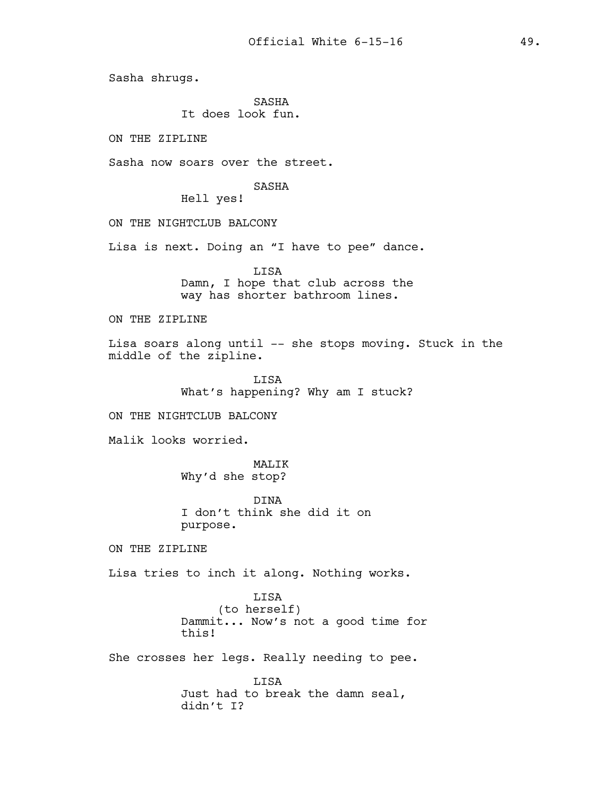Sasha shrugs.

SASHA It does look fun.

ON THE ZIPLINE

Sasha now soars over the street.

SASHA

Hell yes!

ON THE NIGHTCLUB BALCONY

Lisa is next. Doing an "I have to pee" dance.

LISA Damn, I hope that club across the way has shorter bathroom lines.

ON THE ZIPLINE

Lisa soars along until -- she stops moving. Stuck in the middle of the zipline.

> LISA What's happening? Why am I stuck?

ON THE NIGHTCLUB BALCONY

Malik looks worried.

MALIK Why'd she stop?

DINA I don't think she did it on purpose.

ON THE ZIPLINE

Lisa tries to inch it along. Nothing works.

LISA (to herself) Dammit... Now's not a good time for this!

She crosses her legs. Really needing to pee.

LISA Just had to break the damn seal, didn't I?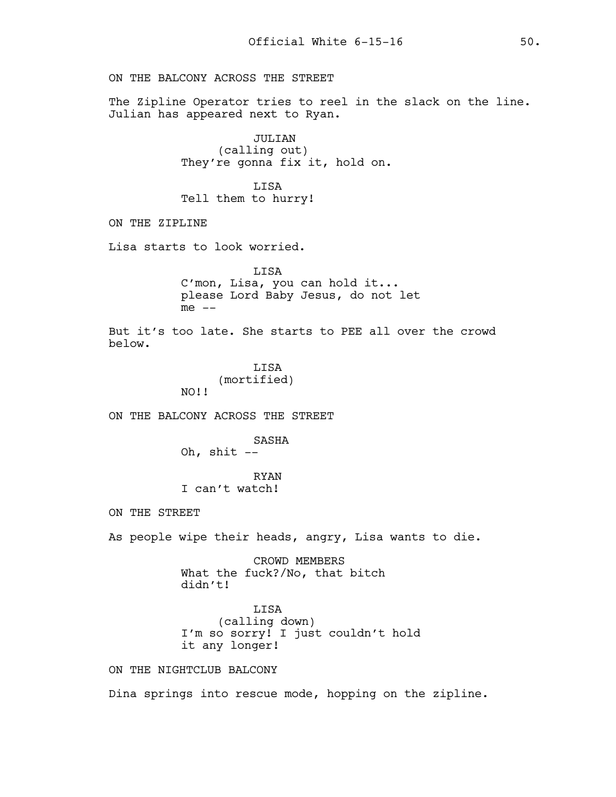ON THE BALCONY ACROSS THE STREET

The Zipline Operator tries to reel in the slack on the line. Julian has appeared next to Ryan.

> JULIAN (calling out) They're gonna fix it, hold on.

LISA Tell them to hurry!

ON THE ZIPLINE

Lisa starts to look worried.

LISA C'mon, Lisa, you can hold it... please Lord Baby Jesus, do not let  $me$   $-$ 

But it's too late. She starts to PEE all over the crowd below.

> **LISA** (mortified) NO!!

ON THE BALCONY ACROSS THE STREET

SASHA Oh, shit  $--$ 

RYAN I can't watch!

ON THE STREET

As people wipe their heads, angry, Lisa wants to die.

CROWD MEMBERS What the fuck?/No, that bitch didn't!

LISA (calling down) I'm so sorry! I just couldn't hold it any longer!

ON THE NIGHTCLUB BALCONY

Dina springs into rescue mode, hopping on the zipline.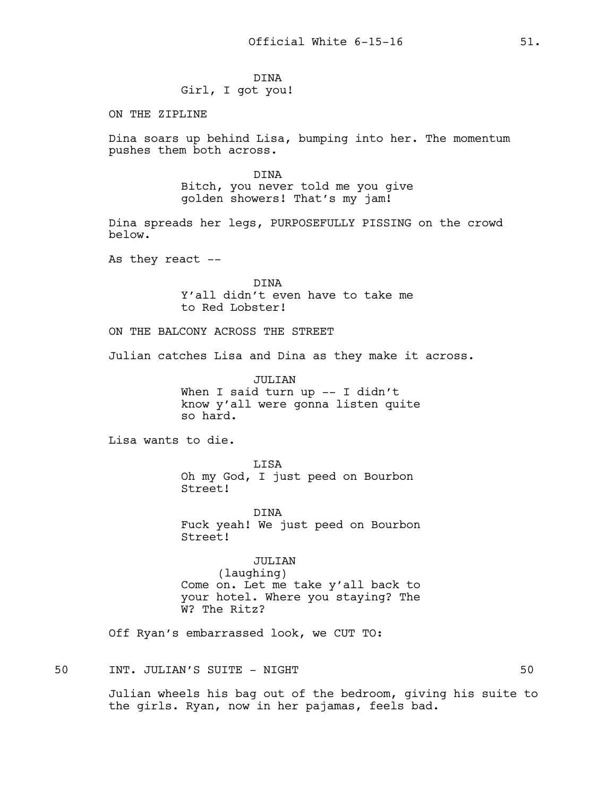# DINA Girl, I got you!

ON THE ZIPLINE

Dina soars up behind Lisa, bumping into her. The momentum pushes them both across.

> DINA Bitch, you never told me you give golden showers! That's my jam!

Dina spreads her legs, PURPOSEFULLY PISSING on the crowd below.

As they react  $--$ 

DINA Y'all didn't even have to take me to Red Lobster!

ON THE BALCONY ACROSS THE STREET

Julian catches Lisa and Dina as they make it across.

JULIAN When I said turn up -- I didn't know y'all were gonna listen quite so hard.

Lisa wants to die.

LISA Oh my God, I just peed on Bourbon Street!

DINA Fuck yeah! We just peed on Bourbon Street!

JULIAN (laughing) Come on. Let me take y'all back to your hotel. Where you staying? The W? The Ritz?

Off Ryan's embarrassed look, we CUT TO:

50 INT. JULIAN'S SUITE - NIGHT 50

Julian wheels his bag out of the bedroom, giving his suite to the girls. Ryan, now in her pajamas, feels bad.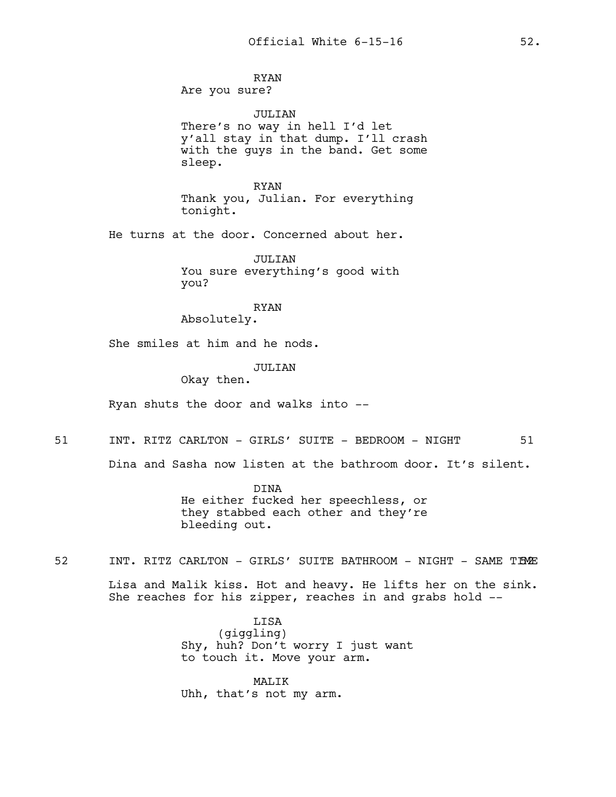RYAN Are you sure?

JULIAN There's no way in hell I'd let y'all stay in that dump. I'll crash with the guys in the band. Get some sleep.

RYAN Thank you, Julian. For everything tonight.

He turns at the door. Concerned about her.

JULIAN You sure everything's good with you?

RYAN

Absolutely.

She smiles at him and he nods.

## JULTAN

Okay then.

Ryan shuts the door and walks into --

51 INT. RITZ CARLTON - GIRLS' SUITE - BEDROOM - NIGHT 51

Dina and Sasha now listen at the bathroom door. It's silent.

DINA He either fucked her speechless, or they stabbed each other and they're bleeding out.

52 INT. RITZ CARLTON - GIRLS' SUITE BATHROOM - NIGHT - SAME TIME

Lisa and Malik kiss. Hot and heavy. He lifts her on the sink. She reaches for his zipper, reaches in and grabs hold --

> LISA (giggling) Shy, huh? Don't worry I just want to touch it. Move your arm.

MALIK Uhh, that's not my arm.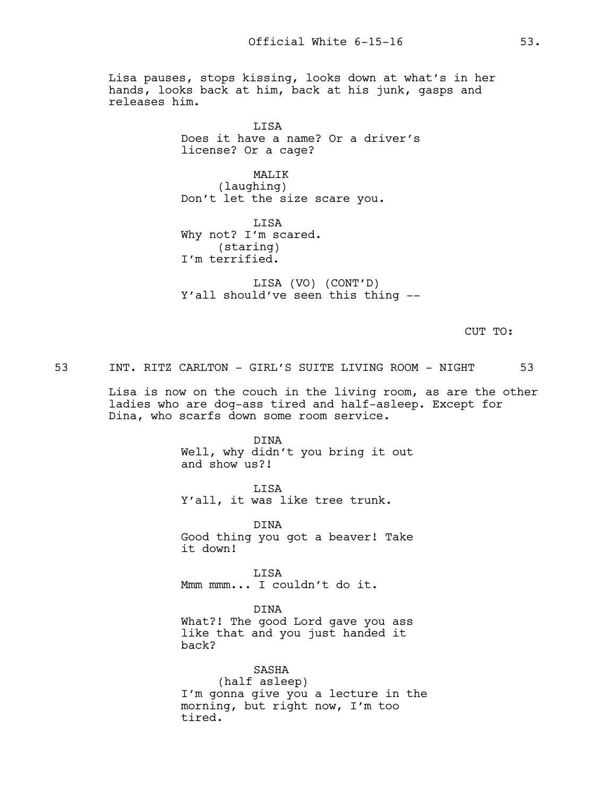Lisa pauses, stops kissing, looks down at what's in her hands, looks back at him, back at his junk, gasps and releases him.

> **LISA** Does it have a name? Or a driver's license? Or a cage?

MALIK (laughing) Don't let the size scare you.

LISA Why not? I'm scared. (staring) I'm terrified.

LISA (VO) (CONT'D) Y'all should've seen this thing --

CUT TO:

53 INT. RITZ CARLTON - GIRL'S SUITE LIVING ROOM - NIGHT 53

Lisa is now on the couch in the living room, as are the other ladies who are dog-ass tired and half-asleep. Except for Dina, who scarfs down some room service.

> DINA Well, why didn't you bring it out and show us?!

LISA Y'all, it was like tree trunk.

DINA Good thing you got a beaver! Take it down!

LISA Mmm mmm... I couldn't do it.

DINA What?! The good Lord gave you ass like that and you just handed it back?

SASHA (half asleep) I'm gonna give you a lecture in the morning, but right now, I'm too tired.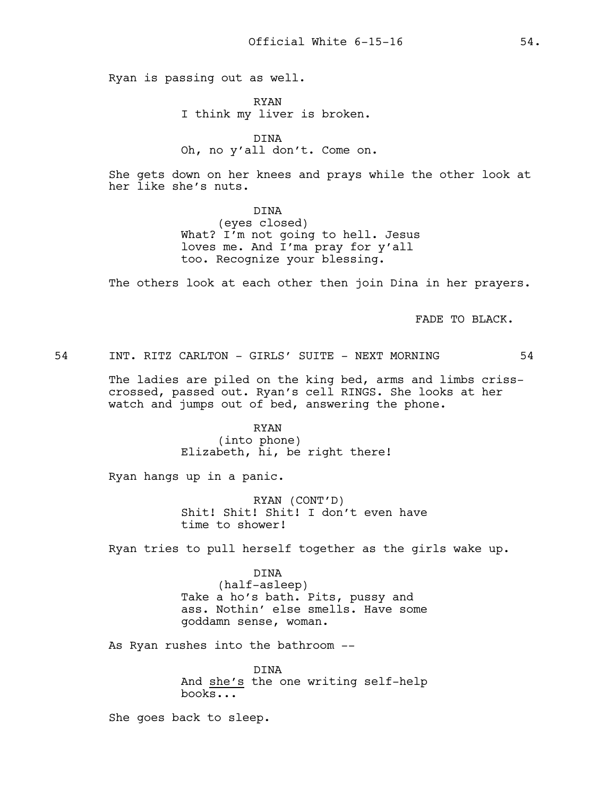Ryan is passing out as well.

RYAN I think my liver is broken.

DINA Oh, no y'all don't. Come on.

She gets down on her knees and prays while the other look at her like she's nuts.

> DINA (eyes closed) What? I'm not going to hell. Jesus loves me. And I'ma pray for y'all too. Recognize your blessing.

The others look at each other then join Dina in her prayers.

FADE TO BLACK.

54 INT. RITZ CARLTON - GIRLS' SUITE - NEXT MORNING 54

The ladies are piled on the king bed, arms and limbs crisscrossed, passed out. Ryan's cell RINGS. She looks at her watch and jumps out of bed, answering the phone.

> RYAN (into phone) Elizabeth, hi, be right there!

Ryan hangs up in a panic.

RYAN (CONT'D) Shit! Shit! Shit! I don't even have time to shower!

Ryan tries to pull herself together as the girls wake up.

DINA (half-asleep) Take a ho's bath. Pits, pussy and ass. Nothin' else smells. Have some goddamn sense, woman.

As Ryan rushes into the bathroom --

DINA And she's the one writing self-help books...

She goes back to sleep.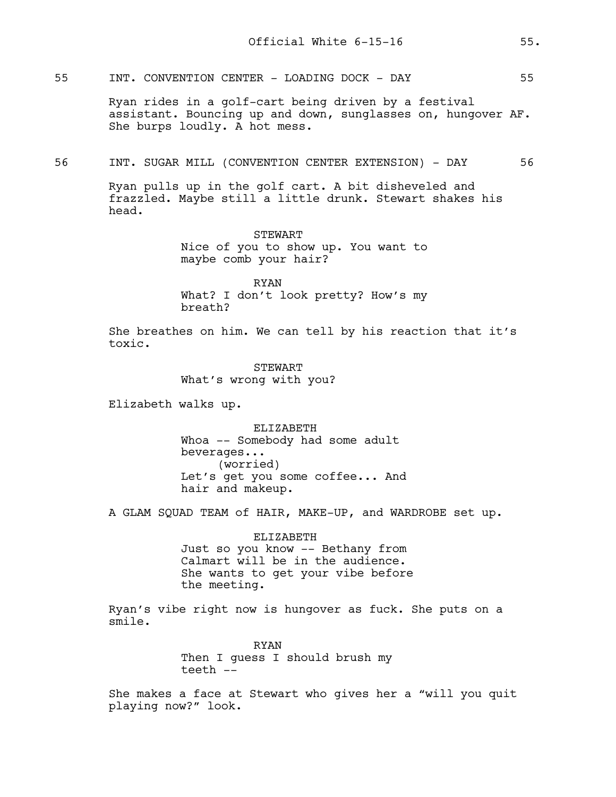55 INT. CONVENTION CENTER - LOADING DOCK - DAY 55

Ryan rides in a golf-cart being driven by a festival assistant. Bouncing up and down, sunglasses on, hungover AF. She burps loudly. A hot mess.

56 INT. SUGAR MILL (CONVENTION CENTER EXTENSION) - DAY 56

Ryan pulls up in the golf cart. A bit disheveled and frazzled. Maybe still a little drunk. Stewart shakes his head.

> STEWART Nice of you to show up. You want to maybe comb your hair?

> RYAN What? I don't look pretty? How's my breath?

She breathes on him. We can tell by his reaction that it's toxic.

> **STEWART** What's wrong with you?

Elizabeth walks up.

ELIZABETH Whoa -- Somebody had some adult beverages... (worried) Let's get you some coffee... And hair and makeup.

A GLAM SQUAD TEAM of HAIR, MAKE-UP, and WARDROBE set up.

ELIZABETH Just so you know -- Bethany from Calmart will be in the audience. She wants to get your vibe before the meeting.

Ryan's vibe right now is hungover as fuck. She puts on a smile.

> RYAN Then I guess I should brush my teeth --

She makes a face at Stewart who gives her a "will you quit playing now?" look.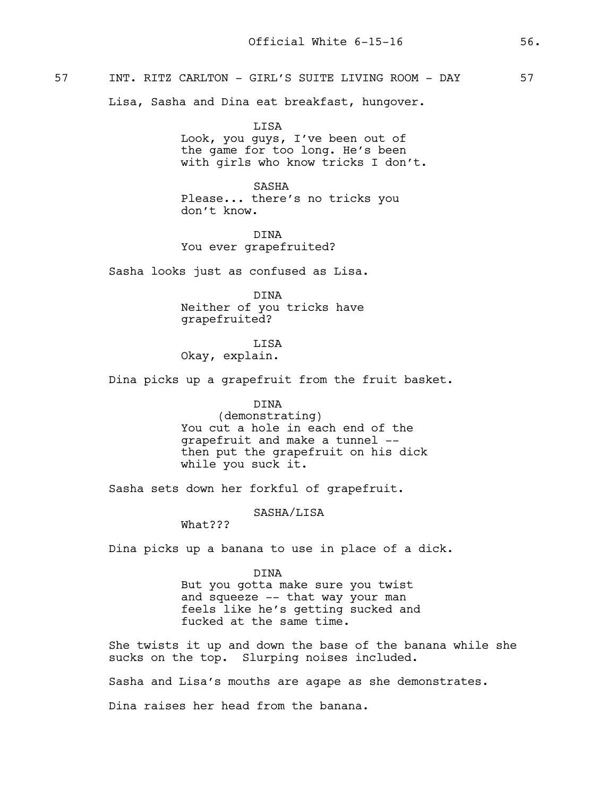# 57 INT. RITZ CARLTON - GIRL'S SUITE LIVING ROOM - DAY 57

Lisa, Sasha and Dina eat breakfast, hungover.

LISA Look, you guys, I've been out of the game for too long. He's been with girls who know tricks I don't.

SASHA Please... there's no tricks you don't know.

DINA You ever grapefruited?

Sasha looks just as confused as Lisa.

DINA Neither of you tricks have grapefruited?

## **T.TSA**

Okay, explain.

Dina picks up a grapefruit from the fruit basket.

## DINA

(demonstrating) You cut a hole in each end of the grapefruit and make a tunnel - then put the grapefruit on his dick while you suck it.

Sasha sets down her forkful of grapefruit.

#### SASHA/LISA

What???

Dina picks up a banana to use in place of a dick.

#### DINA

But you gotta make sure you twist and squeeze -- that way your man feels like he's getting sucked and fucked at the same time.

She twists it up and down the base of the banana while she sucks on the top. Slurping noises included.

Sasha and Lisa's mouths are agape as she demonstrates.

Dina raises her head from the banana.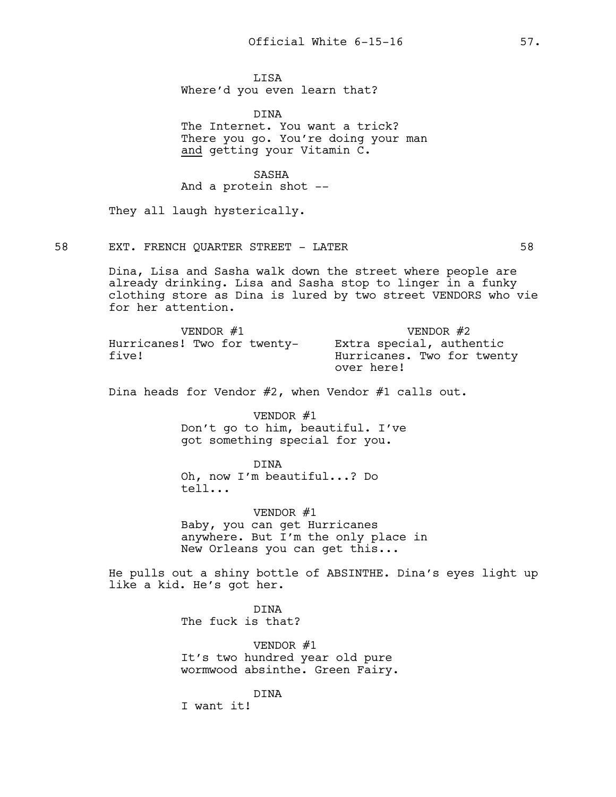LISA Where'd you even learn that?

DINA The Internet. You want a trick? There you go. You're doing your man and getting your Vitamin C.

SASHA

And a protein shot --

They all laugh hysterically.

58 EXT. FRENCH QUARTER STREET - LATER 58 58

Dina, Lisa and Sasha walk down the street where people are already drinking. Lisa and Sasha stop to linger in a funky clothing store as Dina is lured by two street VENDORS who vie for her attention.

| VENDOR #1                            | VENDOR #2                                                            |
|--------------------------------------|----------------------------------------------------------------------|
| Hurricanes! Two for twenty-<br>five! | Extra special, authentic<br>Hurricanes. Two for twenty<br>over here! |

Dina heads for Vendor #2, when Vendor #1 calls out.

VENDOR #1

Don't go to him, beautiful. I've got something special for you.

DINA Oh, now I'm beautiful...? Do tell...

VENDOR #1 Baby, you can get Hurricanes anywhere. But I'm the only place in New Orleans you can get this...

He pulls out a shiny bottle of ABSINTHE. Dina's eyes light up like a kid. He's got her.

> DINA The fuck is that?

VENDOR #1 It's two hundred year old pure wormwood absinthe. Green Fairy.

DINA

I want it!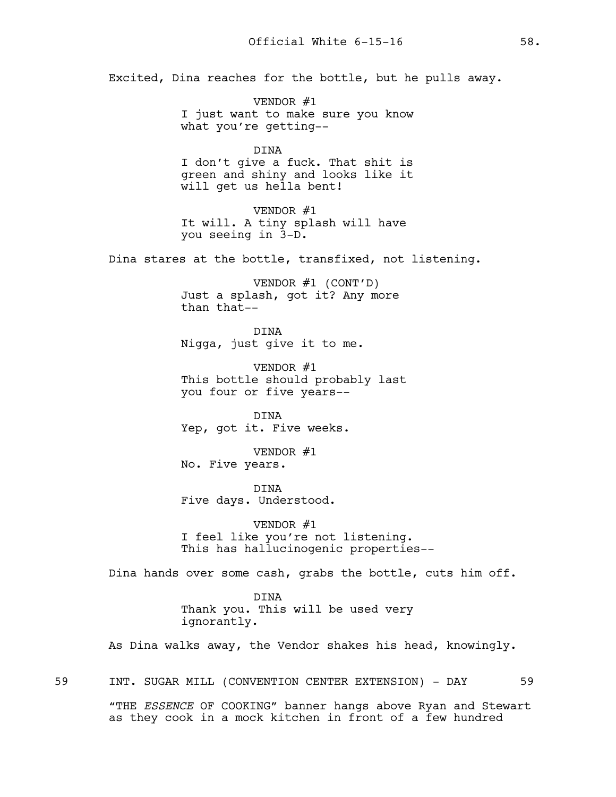Excited, Dina reaches for the bottle, but he pulls away.

VENDOR #1 I just want to make sure you know what you're getting--

DINA I don't give a fuck. That shit is green and shiny and looks like it will get us hella bent!

VENDOR #1 It will. A tiny splash will have you seeing in 3-D.

Dina stares at the bottle, transfixed, not listening.

VENDOR #1 (CONT'D) Just a splash, got it? Any more than that--

DINA Nigga, just give it to me.

VENDOR #1 This bottle should probably last you four or five years--

DINA Yep, got it. Five weeks.

VENDOR #1 No. Five years.

DINA Five days. Understood.

VENDOR #1 I feel like you're not listening. This has hallucinogenic properties--

Dina hands over some cash, grabs the bottle, cuts him off.

DINA Thank you. This will be used very ignorantly.

As Dina walks away, the Vendor shakes his head, knowingly.

59 INT. SUGAR MILL (CONVENTION CENTER EXTENSION) - DAY 59

"THE *ESSENCE* OF COOKING" banner hangs above Ryan and Stewart as they cook in a mock kitchen in front of a few hundred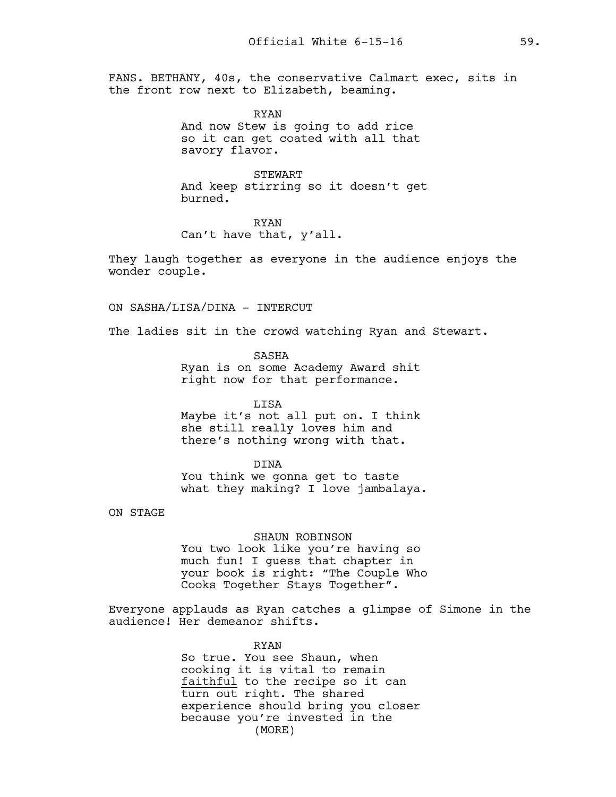FANS. BETHANY, 40s, the conservative Calmart exec, sits in the front row next to Elizabeth, beaming.

> RYAN And now Stew is going to add rice so it can get coated with all that savory flavor.

STEWART And keep stirring so it doesn't get burned.

RYAN Can't have that, y'all.

They laugh together as everyone in the audience enjoys the wonder couple.

ON SASHA/LISA/DINA - INTERCUT

The ladies sit in the crowd watching Ryan and Stewart.

SASHA Ryan is on some Academy Award shit right now for that performance.

LISA Maybe it's not all put on. I think she still really loves him and there's nothing wrong with that.

DINA You think we gonna get to taste what they making? I love jambalaya.

ON STAGE

SHAUN ROBINSON You two look like you're having so much fun! I guess that chapter in your book is right: "The Couple Who

Cooks Together Stays Together". Everyone applauds as Ryan catches a glimpse of Simone in the audience! Her demeanor shifts.

#### RYAN

So true. You see Shaun, when cooking it is vital to remain faithful to the recipe so it can turn out right. The shared experience should bring you closer because you're invested in the (MORE)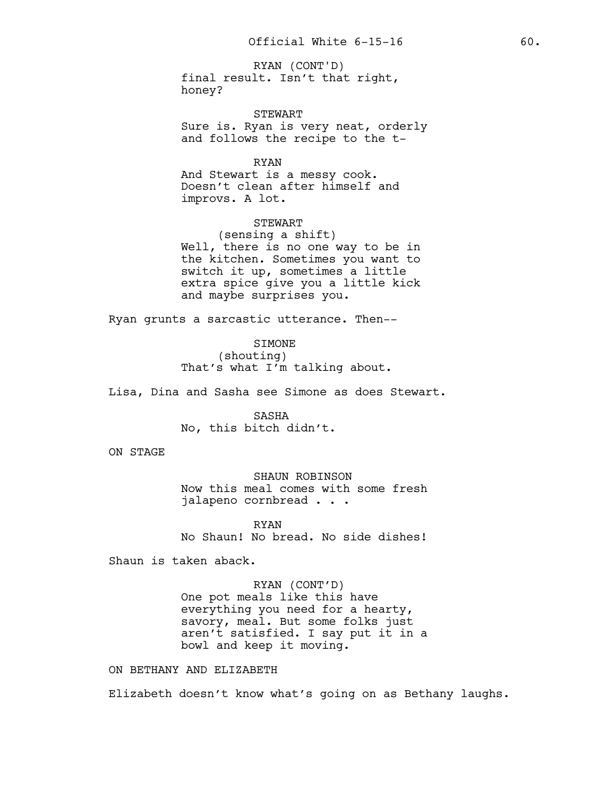final result. Isn't that right, honey? RYAN (CONT'D)

STEWART Sure is. Ryan is very neat, orderly and follows the recipe to the t-

RYAN

And Stewart is a messy cook. Doesn't clean after himself and improvs. A lot.

STEWART

(sensing a shift) Well, there is no one way to be in the kitchen. Sometimes you want to switch it up, sometimes a little extra spice give you a little kick and maybe surprises you.

Ryan grunts a sarcastic utterance. Then--

SIMONE (shouting) That's what I'm talking about.

Lisa, Dina and Sasha see Simone as does Stewart.

SASHA No, this bitch didn't.

ON STAGE

SHAUN ROBINSON Now this meal comes with some fresh jalapeno cornbread . . .

RYAN No Shaun! No bread. No side dishes!

Shaun is taken aback.

RYAN (CONT'D) One pot meals like this have everything you need for a hearty, savory, meal. But some folks just aren't satisfied. I say put it in a bowl and keep it moving.

ON BETHANY AND ELIZABETH

Elizabeth doesn't know what's going on as Bethany laughs.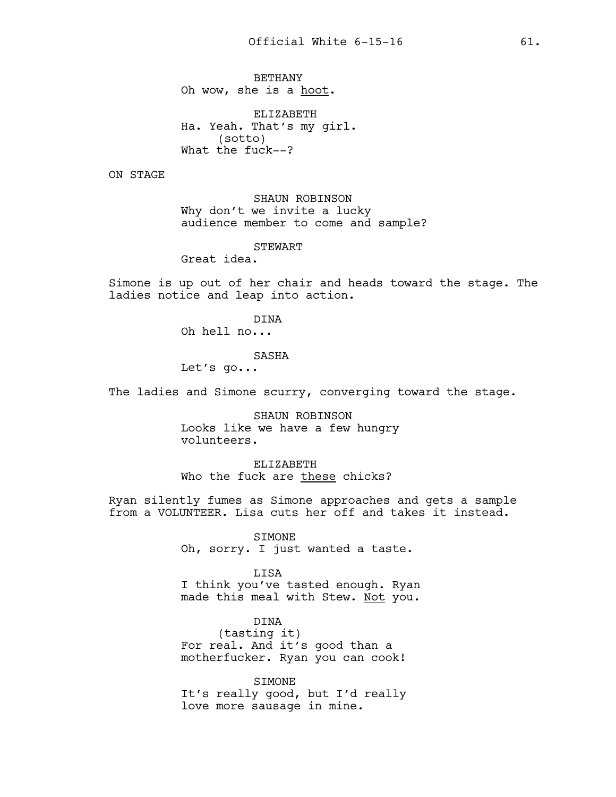BETHANY Oh wow, she is a hoot.

ELIZABETH Ha. Yeah. That's my girl. (sotto) What the fuck--?

ON STAGE

SHAUN ROBINSON Why don't we invite a lucky audience member to come and sample?

STEWART

Great idea.

Simone is up out of her chair and heads toward the stage. The ladies notice and leap into action.

DINA

Oh hell no...

#### SASHA

Let's go...

The ladies and Simone scurry, converging toward the stage.

SHAUN ROBINSON Looks like we have a few hungry volunteers.

ELIZABETH Who the fuck are these chicks?

Ryan silently fumes as Simone approaches and gets a sample from a VOLUNTEER. Lisa cuts her off and takes it instead.

> SIMONE Oh, sorry. I just wanted a taste.

LISA I think you've tasted enough. Ryan made this meal with Stew. Not you.

DINA (tasting it) For real. And it's good than a motherfucker. Ryan you can cook!

SIMONE It's really good, but I'd really love more sausage in mine.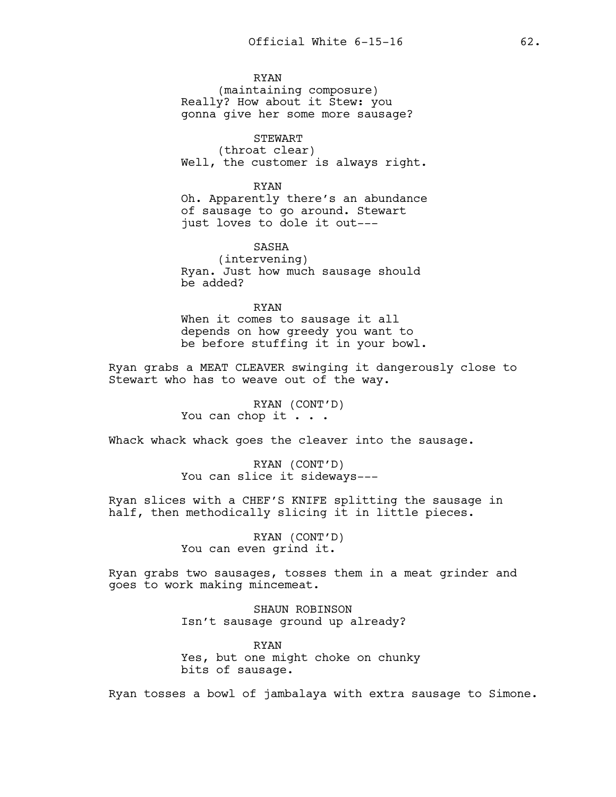RYAN (maintaining composure) Really? How about it Stew: you gonna give her some more sausage?

STEWART (throat clear) Well, the customer is always right.

RYAN Oh. Apparently there's an abundance of sausage to go around. Stewart just loves to dole it out---

SASHA (intervening) Ryan. Just how much sausage should be added?

RYAN When it comes to sausage it all depends on how greedy you want to be before stuffing it in your bowl.

Ryan grabs a MEAT CLEAVER swinging it dangerously close to Stewart who has to weave out of the way.

> RYAN (CONT'D) You can chop it . . .

Whack whack whack goes the cleaver into the sausage.

RYAN (CONT'D) You can slice it sideways---

Ryan slices with a CHEF'S KNIFE splitting the sausage in half, then methodically slicing it in little pieces.

> RYAN (CONT'D) You can even grind it.

Ryan grabs two sausages, tosses them in a meat grinder and goes to work making mincemeat.

> SHAUN ROBINSON Isn't sausage ground up already?

RYAN Yes, but one might choke on chunky bits of sausage.

Ryan tosses a bowl of jambalaya with extra sausage to Simone.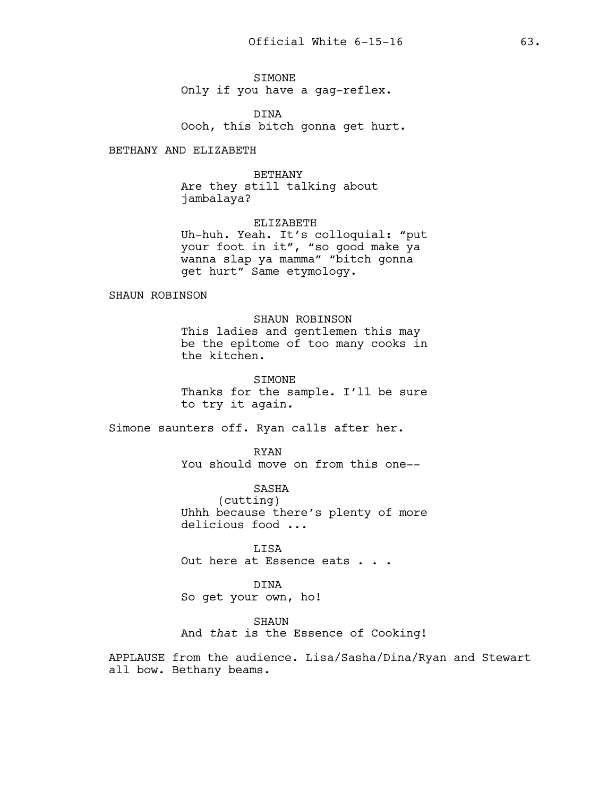SIMONE Only if you have a gag-reflex.

DINA Oooh, this bitch gonna get hurt.

BETHANY AND ELIZABETH

#### BETHANY

Are they still talking about jambalaya?

ELIZABETH Uh-huh. Yeah. It's colloquial: "put your foot in it", "so good make ya wanna slap ya mamma" "bitch gonna get hurt" Same etymology.

SHAUN ROBINSON

## SHAUN ROBINSON

This ladies and gentlemen this may be the epitome of too many cooks in the kitchen.

SIMONE Thanks for the sample. I'll be sure to try it again.

Simone saunters off. Ryan calls after her.

RYAN You should move on from this one--

SASHA (cutting) Uhhh because there's plenty of more delicious food ...

LISA Out here at Essence eats . . .

DINA So get your own, ho!

SHAUN

And *that* is the Essence of Cooking!

APPLAUSE from the audience. Lisa/Sasha/Dina/Ryan and Stewart all bow. Bethany beams.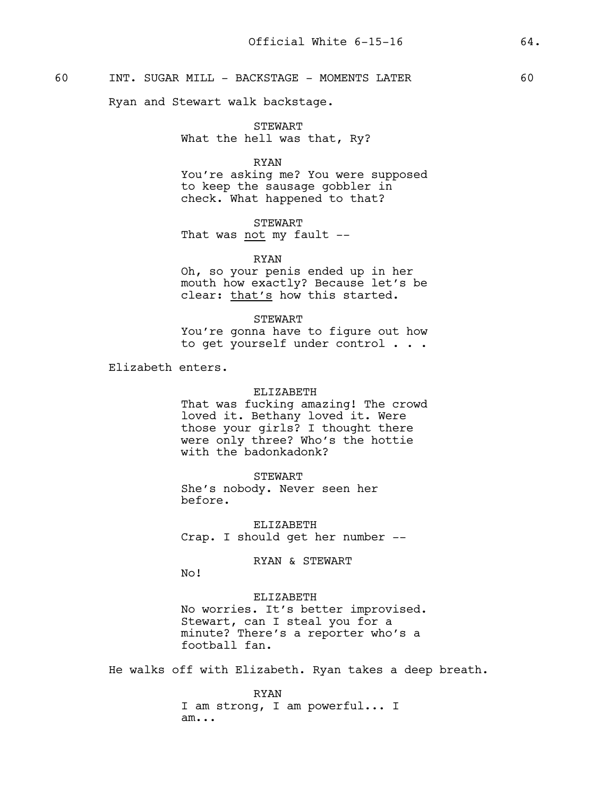# 60 INT. SUGAR MILL - BACKSTAGE - MOMENTS LATER 60

Ryan and Stewart walk backstage.

STEWART What the hell was that, Ry?

#### RYAN

You're asking me? You were supposed to keep the sausage gobbler in check. What happened to that?

STEWART That was not my fault --

#### RYAN

Oh, so your penis ended up in her mouth how exactly? Because let's be clear: that's how this started.

#### STEWART

You're gonna have to figure out how to get yourself under control . . .

Elizabeth enters.

### ELIZABETH

That was fucking amazing! The crowd loved it. Bethany loved it. Were those your girls? I thought there were only three? Who's the hottie with the badonkadonk?

### STEWART

She's nobody. Never seen her before.

ELIZABETH Crap. I should get her number --

### RYAN & STEWART

No!

## ELIZABETH

No worries. It's better improvised. Stewart, can I steal you for a minute? There's a reporter who's a football fan.

He walks off with Elizabeth. Ryan takes a deep breath.

RYAN I am strong, I am powerful... I am...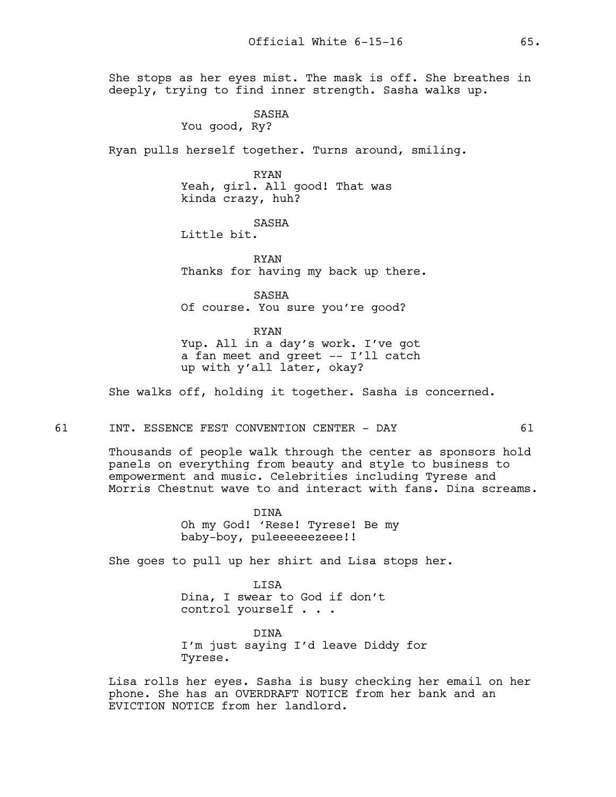She stops as her eyes mist. The mask is off. She breathes in deeply, trying to find inner strength. Sasha walks up.

SASHA

You good, Ry?

Ryan pulls herself together. Turns around, smiling.

RYAN Yeah, girl. All good! That was kinda crazy, huh?

SASHA

Little bit.

RYAN Thanks for having my back up there.

SASHA Of course. You sure you're good?

RYAN Yup. All in a day's work. I've got a fan meet and greet -- I'll catch

up with y'all later, okay?

She walks off, holding it together. Sasha is concerned.

#### 61 INT. ESSENCE FEST CONVENTION CENTER - DAY 61

Thousands of people walk through the center as sponsors hold panels on everything from beauty and style to business to empowerment and music. Celebrities including Tyrese and Morris Chestnut wave to and interact with fans. Dina screams.

> DINA Oh my God! 'Rese! Tyrese! Be my baby-boy, puleeeeeezeee!!

She goes to pull up her shirt and Lisa stops her.

LISA Dina, I swear to God if don't control yourself . . .

DINA I'm just saying I'd leave Diddy for Tyrese.

Lisa rolls her eyes. Sasha is busy checking her email on her phone. She has an OVERDRAFT NOTICE from her bank and an EVICTION NOTICE from her landlord.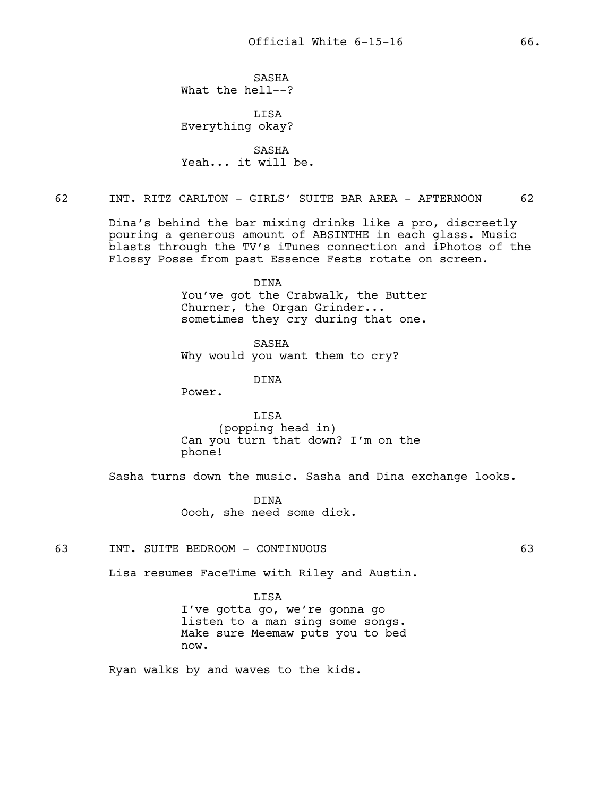SASHA What the hell--?

LISA Everything okay?

SASHA Yeah... it will be.

# 62 INT. RITZ CARLTON - GIRLS' SUITE BAR AREA - AFTERNOON 62

Dina's behind the bar mixing drinks like a pro, discreetly pouring a generous amount of ABSINTHE in each glass. Music blasts through the TV's iTunes connection and iPhotos of the Flossy Posse from past Essence Fests rotate on screen.

> DINA You've got the Crabwalk, the Butter Churner, the Organ Grinder... sometimes they cry during that one.

SASHA Why would you want them to cry?

DINA

Power.

LISA (popping head in) Can you turn that down? I'm on the phone!

Sasha turns down the music. Sasha and Dina exchange looks.

DINA Oooh, she need some dick.

63 INT. SUITE BEDROOM - CONTINUOUS 63

Lisa resumes FaceTime with Riley and Austin.

## LISA

I've gotta go, we're gonna go listen to a man sing some songs. Make sure Meemaw puts you to bed now.

Ryan walks by and waves to the kids.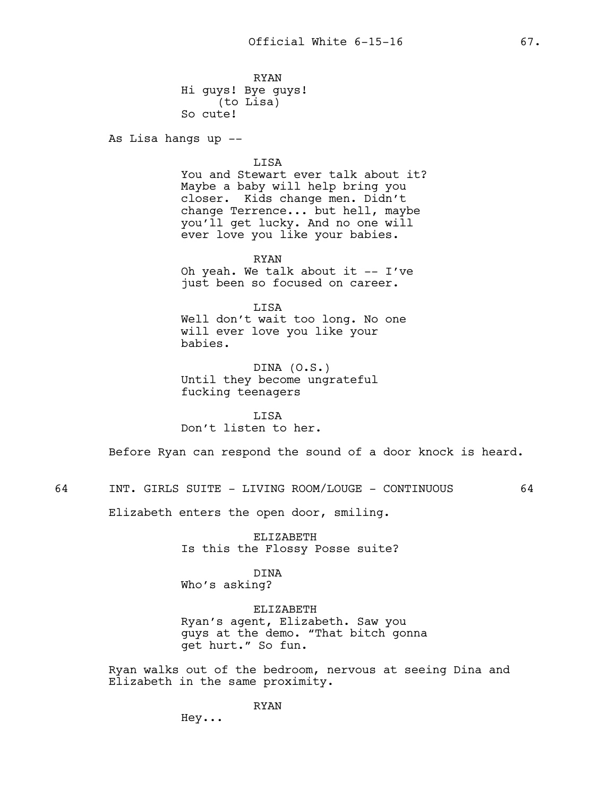RYAN Hi guys! Bye guys! (to Lisa) So cute!

As Lisa hangs up --

LISA You and Stewart ever talk about it? Maybe a baby will help bring you closer. Kids change men. Didn't change Terrence... but hell, maybe you'll get lucky. And no one will ever love you like your babies.

RYAN Oh yeah. We talk about it -- I've just been so focused on career.

LISA Well don't wait too long. No one will ever love you like your babies.

DINA (O.S.) Until they become ungrateful fucking teenagers

LISA Don't listen to her.

Before Ryan can respond the sound of a door knock is heard.

64 INT. GIRLS SUITE - LIVING ROOM/LOUGE - CONTINUOUS 64

Elizabeth enters the open door, smiling.

ELIZABETH Is this the Flossy Posse suite?

DINA Who's asking?

ELIZABETH Ryan's agent, Elizabeth. Saw you guys at the demo. "That bitch gonna get hurt." So fun.

Ryan walks out of the bedroom, nervous at seeing Dina and Elizabeth in the same proximity.

RYAN

Hey...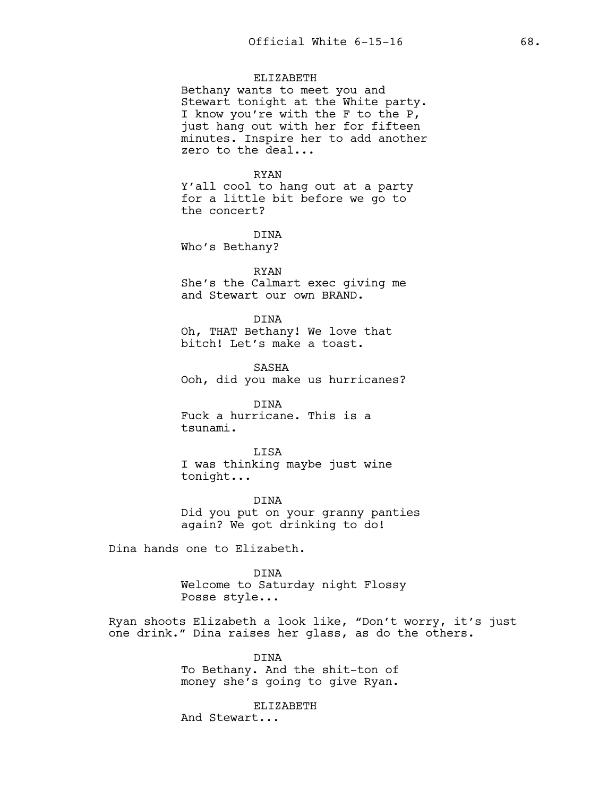## ELIZABETH

Bethany wants to meet you and Stewart tonight at the White party. I know you're with the F to the P, just hang out with her for fifteen minutes. Inspire her to add another zero to the deal...

#### RYAN

Y'all cool to hang out at a party for a little bit before we go to the concert?

DINA Who's Bethany?

### RYAN

She's the Calmart exec giving me and Stewart our own BRAND.

DINA

Oh, THAT Bethany! We love that bitch! Let's make a toast.

SASHA Ooh, did you make us hurricanes?

DINA Fuck a hurricane. This is a tsunami.

LISA I was thinking maybe just wine tonight...

DINA Did you put on your granny panties again? We got drinking to do!

Dina hands one to Elizabeth.

DINA Welcome to Saturday night Flossy Posse style...

Ryan shoots Elizabeth a look like, "Don't worry, it's just one drink." Dina raises her glass, as do the others.

> DINA To Bethany. And the shit-ton of money she's going to give Ryan.

ELIZABETH And Stewart...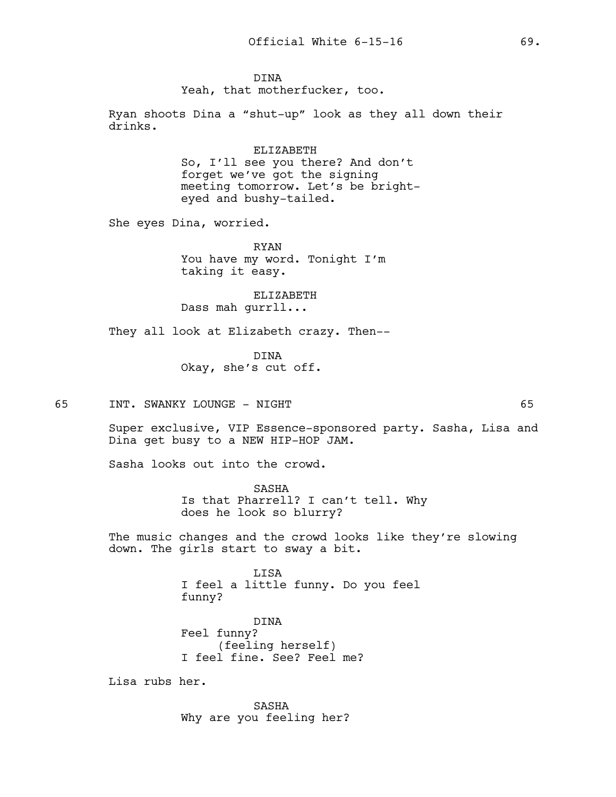## DINA

Yeah, that motherfucker, too.

Ryan shoots Dina a "shut-up" look as they all down their drinks.

> ELIZABETH So, I'll see you there? And don't forget we've got the signing meeting tomorrow. Let's be brighteyed and bushy-tailed.

She eyes Dina, worried.

RYAN You have my word. Tonight I'm taking it easy.

ELIZABETH Dass mah gurrll...

They all look at Elizabeth crazy. Then--

DINA Okay, she's cut off.

65 INT. SWANKY LOUNGE - NIGHT 65

Super exclusive, VIP Essence-sponsored party. Sasha, Lisa and Dina get busy to a NEW HIP-HOP JAM.

Sasha looks out into the crowd.

SASHA Is that Pharrell? I can't tell. Why does he look so blurry?

The music changes and the crowd looks like they're slowing down. The girls start to sway a bit.

> LISA I feel a little funny. Do you feel funny?

DINA Feel funny? (feeling herself) I feel fine. See? Feel me?

Lisa rubs her.

SASHA Why are you feeling her?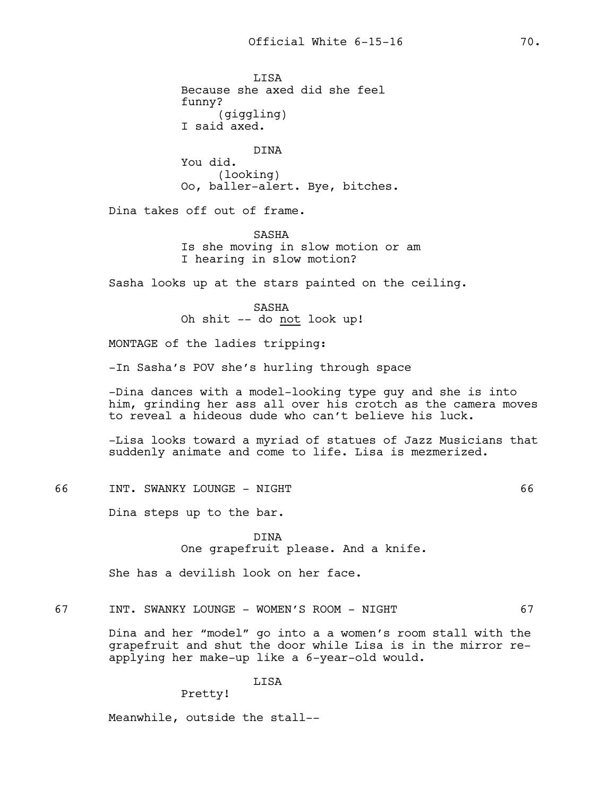**T.TSA** Because she axed did she feel funny? (giggling) I said axed. DINA You did. (looking) Oo, baller-alert. Bye, bitches. Dina takes off out of frame. SASHA Is she moving in slow motion or am I hearing in slow motion? Sasha looks up at the stars painted on the ceiling. SASHA Oh shit -- do not look up! MONTAGE of the ladies tripping: -In Sasha's POV she's hurling through space -Dina dances with a model-looking type guy and she is into him, grinding her ass all over his crotch as the camera moves to reveal a hideous dude who can't believe his luck. -Lisa looks toward a myriad of statues of Jazz Musicians that suddenly animate and come to life. Lisa is mezmerized. 66 INT. SWANKY LOUNGE - NIGHT 66 Dina steps up to the bar. DINA One grapefruit please. And a knife. She has a devilish look on her face. 67 INT. SWANKY LOUNGE - WOMEN'S ROOM - NIGHT 67 Dina and her "model" go into a a women's room stall with the grapefruit and shut the door while Lisa is in the mirror reapplying her make-up like a 6-year-old would.

Pretty!

LISA

Meanwhile, outside the stall--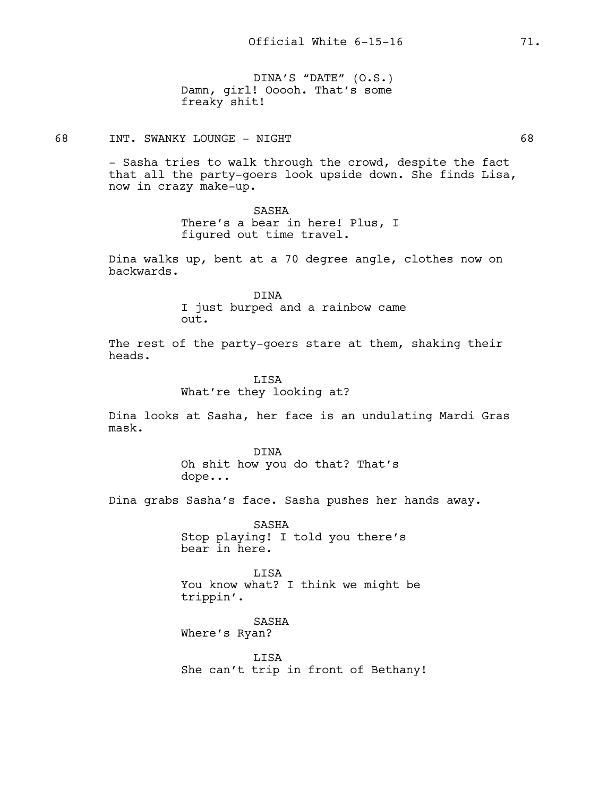DINA'S "DATE" (O.S.) Damn, girl! Ooooh. That's some freaky shit!

68 INT. SWANKY LOUNGE - NIGHT 68

- Sasha tries to walk through the crowd, despite the fact that all the party-goers look upside down. She finds Lisa, now in crazy make-up.

## SASHA

There's a bear in here! Plus, I figured out time travel.

Dina walks up, bent at a 70 degree angle, clothes now on backwards.

> DINA I just burped and a rainbow came out.

The rest of the party-goers stare at them, shaking their heads.

> LISA What're they looking at?

Dina looks at Sasha, her face is an undulating Mardi Gras mask.

> DINA Oh shit how you do that? That's dope...

Dina grabs Sasha's face. Sasha pushes her hands away.

SASHA Stop playing! I told you there's bear in here.

LISA You know what? I think we might be trippin'.

SASHA Where's Ryan?

LISA She can't trip in front of Bethany!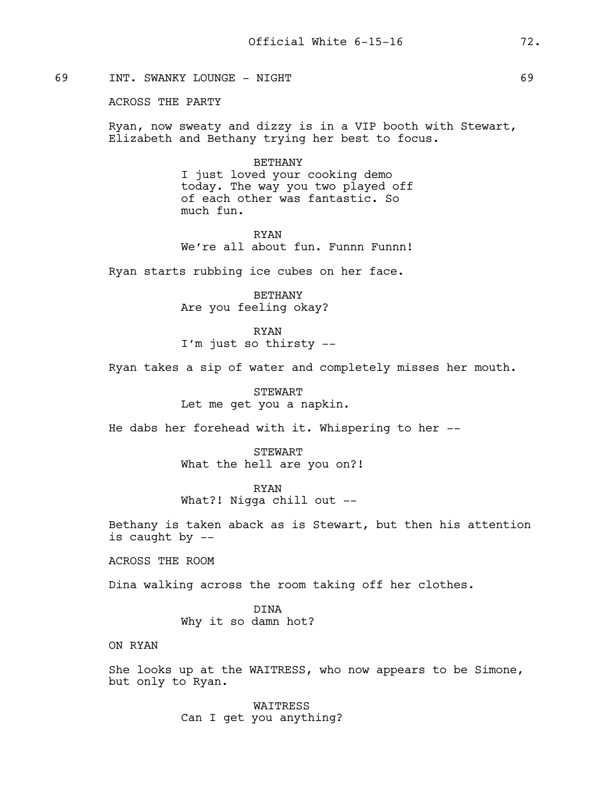# 69 INT. SWANKY LOUNGE - NIGHT 69

## ACROSS THE PARTY

Ryan, now sweaty and dizzy is in a VIP booth with Stewart, Elizabeth and Bethany trying her best to focus.

#### BETHANY

I just loved your cooking demo today. The way you two played off of each other was fantastic. So much fun.

RYAN We're all about fun. Funnn Funnn!

Ryan starts rubbing ice cubes on her face.

BETHANY Are you feeling okay?

RYAN I'm just so thirsty --

Ryan takes a sip of water and completely misses her mouth.

STEWART Let me get you a napkin.

He dabs her forehead with it. Whispering to her --

**STEWART** What the hell are you on?!

RYAN What?! Nigga chill out --

Bethany is taken aback as is Stewart, but then his attention is caught by --

ACROSS THE ROOM

Dina walking across the room taking off her clothes.

DINA Why it so damn hot?

ON RYAN

She looks up at the WAITRESS, who now appears to be Simone, but only to Ryan.

> WAITRESS Can I get you anything?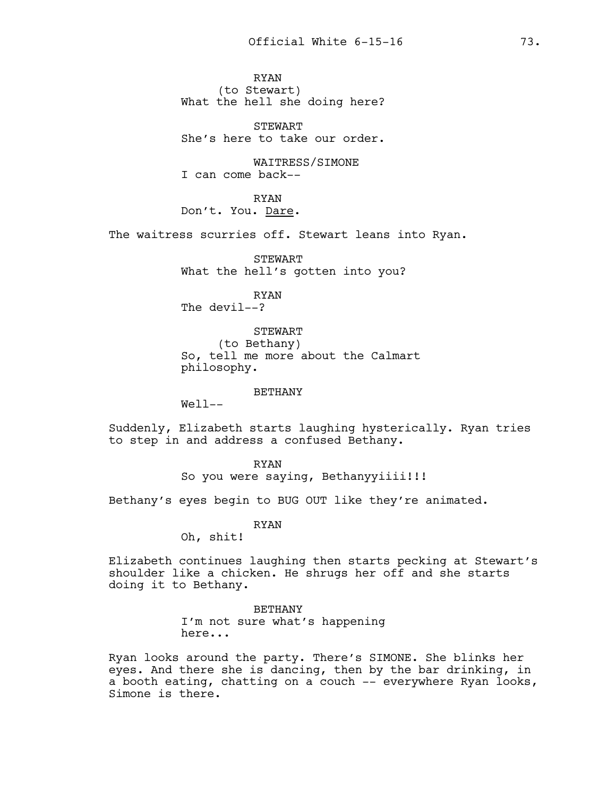RYAN (to Stewart) What the hell she doing here?

STEWART She's here to take our order.

WAITRESS/SIMONE I can come back--

RYAN Don't. You. Dare.

The waitress scurries off. Stewart leans into Ryan.

STEWART What the hell's gotten into you?

RYAN The devil--?

STEWART (to Bethany) So, tell me more about the Calmart philosophy.

BETHANY

Well--

Suddenly, Elizabeth starts laughing hysterically. Ryan tries to step in and address a confused Bethany.

> RYAN So you were saying, Bethanyyiiii!!!

Bethany's eyes begin to BUG OUT like they're animated.

RYAN

Oh, shit!

Elizabeth continues laughing then starts pecking at Stewart's shoulder like a chicken. He shrugs her off and she starts doing it to Bethany.

> BETHANY I'm not sure what's happening here...

Ryan looks around the party. There's SIMONE. She blinks her eyes. And there she is dancing, then by the bar drinking, in a booth eating, chatting on a couch -- everywhere Ryan looks, Simone is there.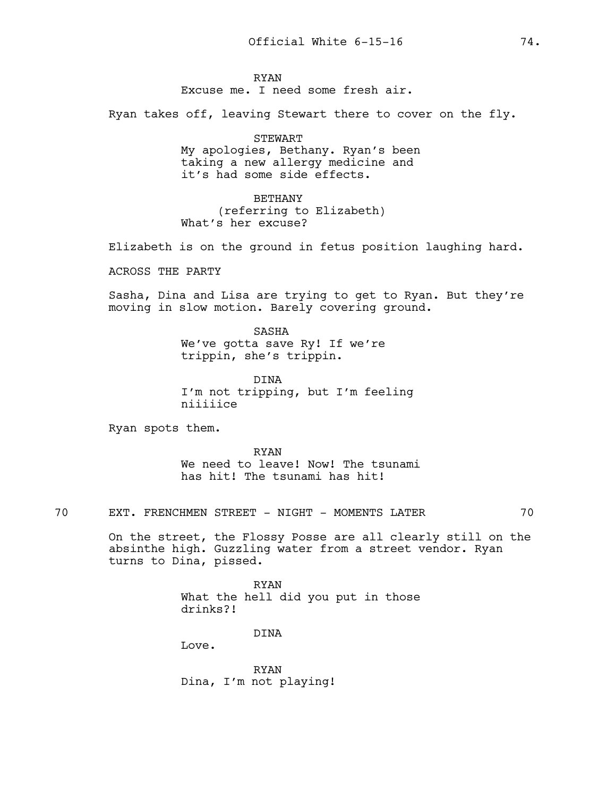RYAN

Excuse me. I need some fresh air.

Ryan takes off, leaving Stewart there to cover on the fly.

STEWART My apologies, Bethany. Ryan's been taking a new allergy medicine and it's had some side effects.

BETHANY (referring to Elizabeth) What's her excuse?

Elizabeth is on the ground in fetus position laughing hard.

ACROSS THE PARTY

Sasha, Dina and Lisa are trying to get to Ryan. But they're moving in slow motion. Barely covering ground.

> SASHA We've gotta save Ry! If we're trippin, she's trippin.

DINA I'm not tripping, but I'm feeling niiiiice

Ryan spots them.

RYAN We need to leave! Now! The tsunami has hit! The tsunami has hit!

70 EXT. FRENCHMEN STREET - NIGHT - MOMENTS LATER 70

On the street, the Flossy Posse are all clearly still on the absinthe high. Guzzling water from a street vendor. Ryan turns to Dina, pissed.

> RYAN What the hell did you put in those drinks?!

> > DINA

Love.

RYAN Dina, I'm not playing!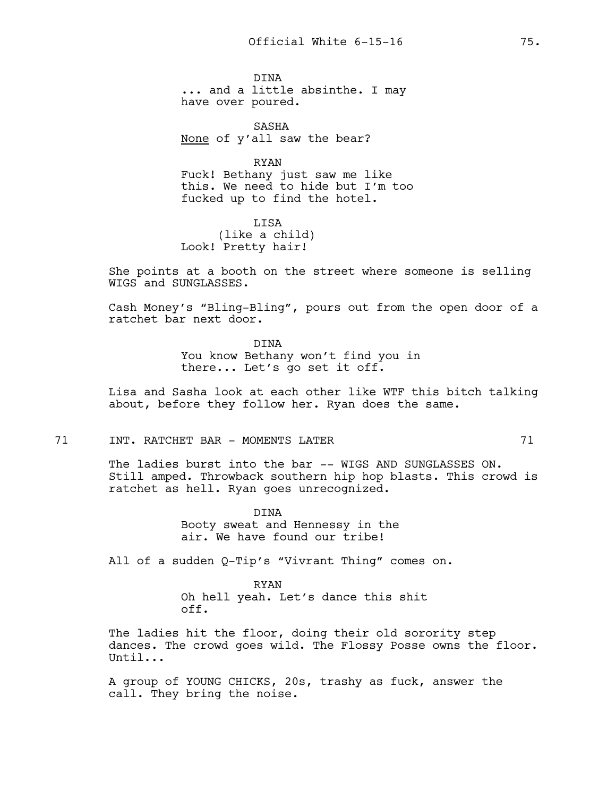DINA ... and a little absinthe. I may have over poured.

SASHA None of y'all saw the bear?

RYAN Fuck! Bethany just saw me like this. We need to hide but I'm too fucked up to find the hotel.

LISA (like a child) Look! Pretty hair!

She points at a booth on the street where someone is selling WIGS and SUNGLASSES.

Cash Money's "Bling-Bling", pours out from the open door of a ratchet bar next door.

> DINA You know Bethany won't find you in there... Let's go set it off.

Lisa and Sasha look at each other like WTF this bitch talking about, before they follow her. Ryan does the same.

## 71 INT. RATCHET BAR – MOMENTS LATER 71

The ladies burst into the bar -- WIGS AND SUNGLASSES ON. Still amped. Throwback southern hip hop blasts. This crowd is ratchet as hell. Ryan goes unrecognized.

> DINA Booty sweat and Hennessy in the air. We have found our tribe!

All of a sudden Q-Tip's "Vivrant Thing" comes on.

RYAN Oh hell yeah. Let's dance this shit off.

The ladies hit the floor, doing their old sorority step dances. The crowd goes wild. The Flossy Posse owns the floor. Until...

A group of YOUNG CHICKS, 20s, trashy as fuck, answer the call. They bring the noise.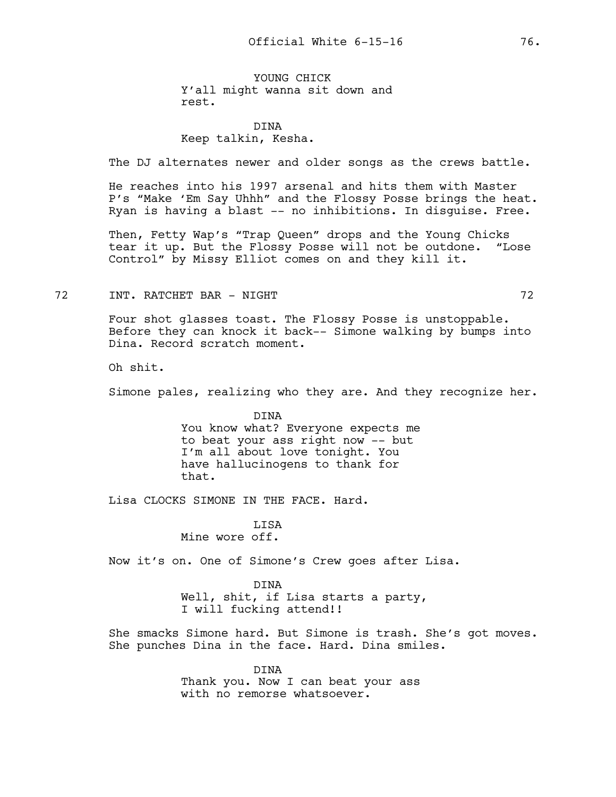YOUNG CHICK Y'all might wanna sit down and rest.

# DINA Keep talkin, Kesha.

The DJ alternates newer and older songs as the crews battle.

He reaches into his 1997 arsenal and hits them with Master P's "Make 'Em Say Uhhh" and the Flossy Posse brings the heat. Ryan is having a blast -- no inhibitions. In disguise. Free.

Then, Fetty Wap's "Trap Queen" drops and the Young Chicks tear it up. But the Flossy Posse will not be outdone. "Lose Control" by Missy Elliot comes on and they kill it.

#### TREADS TRIM THE RESERVE TO A RESERVE THE RESERVE THAT THE RESERVE THAT THE RESERVE THAT THE RESERVE THAT THE R

Four shot glasses toast. The Flossy Posse is unstoppable. Before they can knock it back-- Simone walking by bumps into Dina. Record scratch moment.

Oh shit.

Simone pales, realizing who they are. And they recognize her.

DINA You know what? Everyone expects me to beat your ass right now -- but I'm all about love tonight. You have hallucinogens to thank for that.

Lisa CLOCKS SIMONE IN THE FACE. Hard.

**LISA** Mine wore off.

Now it's on. One of Simone's Crew goes after Lisa.

DINA Well, shit, if Lisa starts a party, I will fucking attend!!

She smacks Simone hard. But Simone is trash. She's got moves. She punches Dina in the face. Hard. Dina smiles.

> DINA Thank you. Now I can beat your ass with no remorse whatsoever.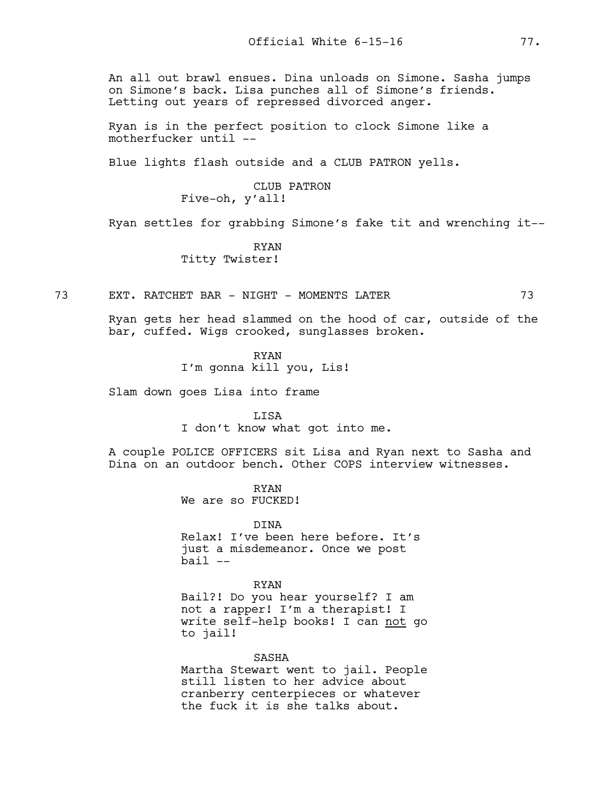An all out brawl ensues. Dina unloads on Simone. Sasha jumps on Simone's back. Lisa punches all of Simone's friends. Letting out years of repressed divorced anger.

Ryan is in the perfect position to clock Simone like a motherfucker until --

Blue lights flash outside and a CLUB PATRON yells.

CLUB PATRON Five-oh, y'all!

Ryan settles for grabbing Simone's fake tit and wrenching it--

RYAN Titty Twister!

73 EXT. RATCHET BAR - NIGHT - MOMENTS LATER 73

Ryan gets her head slammed on the hood of car, outside of the bar, cuffed. Wigs crooked, sunglasses broken.

RYAN

I'm gonna kill you, Lis!

Slam down goes Lisa into frame

LISA I don't know what got into me.

A couple POLICE OFFICERS sit Lisa and Ryan next to Sasha and Dina on an outdoor bench. Other COPS interview witnesses.

> RYAN We are so FUCKED!

DINA Relax! I've been here before. It's just a misdemeanor. Once we post  $bail$   $--$ 

RYAN Bail?! Do you hear yourself? I am not a rapper! I'm a therapist! I write self-help books! I can not go to jail!

SASHA Martha Stewart went to jail. People still listen to her advice about cranberry centerpieces or whatever the fuck it is she talks about.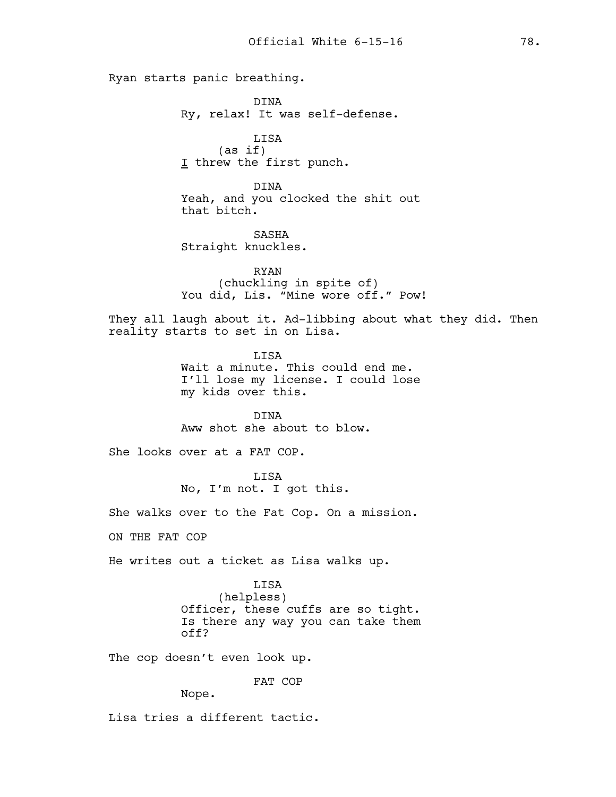Ryan starts panic breathing.

DINA Ry, relax! It was self-defense.

LISA (as if) I threw the first punch.

DINA Yeah, and you clocked the shit out that bitch.

SASHA Straight knuckles.

RYAN (chuckling in spite of) You did, Lis. "Mine wore off." Pow!

They all laugh about it. Ad-libbing about what they did. Then reality starts to set in on Lisa.

> LISA Wait a minute. This could end me. I'll lose my license. I could lose my kids over this.

DINA Aww shot she about to blow.

She looks over at a FAT COP.

LISA No, I'm not. I got this.

She walks over to the Fat Cop. On a mission.

ON THE FAT COP

He writes out a ticket as Lisa walks up.

LISA

(helpless) Officer, these cuffs are so tight. Is there any way you can take them off?

The cop doesn't even look up.

FAT COP

Nope.

Lisa tries a different tactic.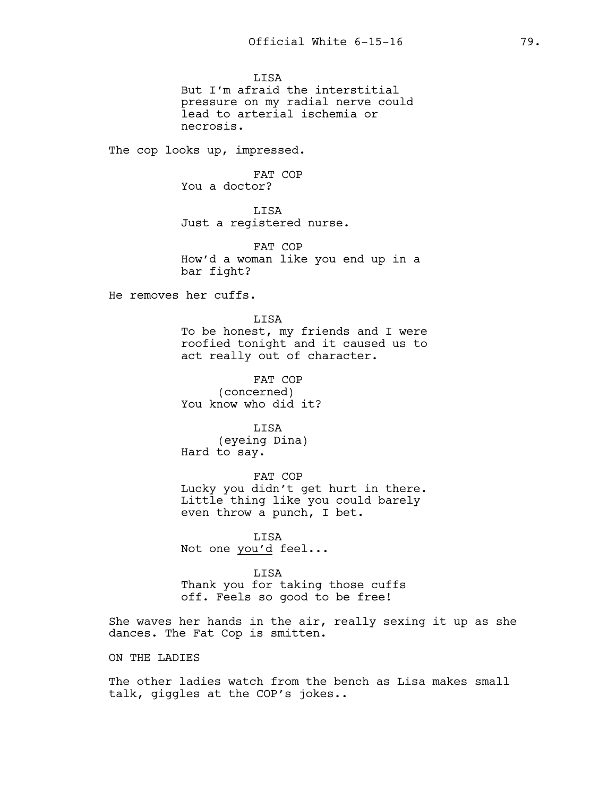**LISA** But I'm afraid the interstitial pressure on my radial nerve could lead to arterial ischemia or necrosis.

The cop looks up, impressed.

FAT COP You a doctor?

LISA Just a registered nurse.

FAT COP How'd a woman like you end up in a bar fight?

He removes her cuffs.

LISA To be honest, my friends and I were roofied tonight and it caused us to act really out of character.

FAT COP (concerned) You know who did it?

LISA (eyeing Dina) Hard to say.

FAT COP Lucky you didn't get hurt in there. Little thing like you could barely even throw a punch, I bet.

LISA Not one you'd feel...

LISA Thank you for taking those cuffs off. Feels so good to be free!

She waves her hands in the air, really sexing it up as she dances. The Fat Cop is smitten.

ON THE LADIES

The other ladies watch from the bench as Lisa makes small talk, giggles at the COP's jokes..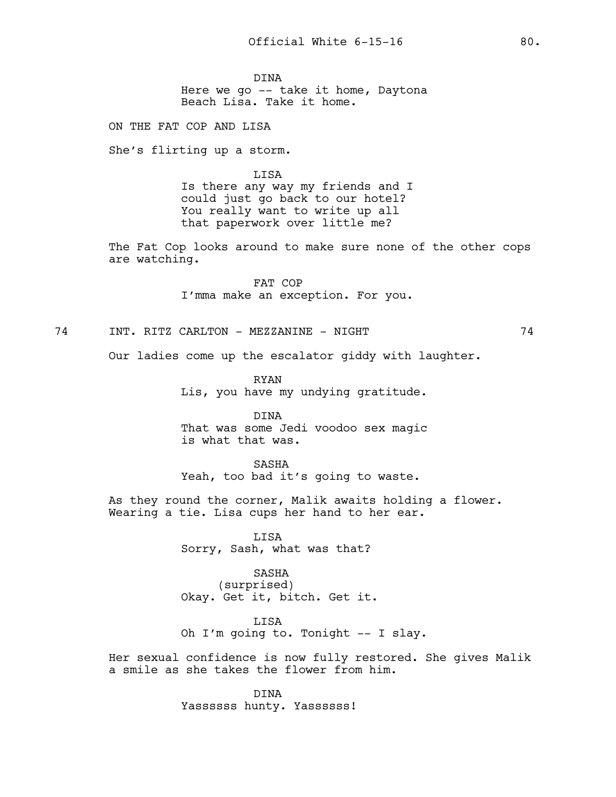DINA Here we go -- take it home, Daytona Beach Lisa. Take it home.

ON THE FAT COP AND LISA

She's flirting up a storm.

LISA Is there any way my friends and I could just go back to our hotel? You really want to write up all that paperwork over little me?

The Fat Cop looks around to make sure none of the other cops are watching.

> FAT COP I'mma make an exception. For you.

74 INT. RITZ CARLTON - MEZZANINE - NIGHT 74

Our ladies come up the escalator giddy with laughter.

RYAN Lis, you have my undying gratitude.

DINA That was some Jedi voodoo sex magic is what that was.

SASHA Yeah, too bad it's going to waste.

As they round the corner, Malik awaits holding a flower. Wearing a tie. Lisa cups her hand to her ear.

> LISA Sorry, Sash, what was that?

SASHA (surprised) Okay. Get it, bitch. Get it.

LISA Oh I'm going to. Tonight -- I slay.

Her sexual confidence is now fully restored. She gives Malik a smile as she takes the flower from him.

> DINA Yassssss hunty. Yassssss!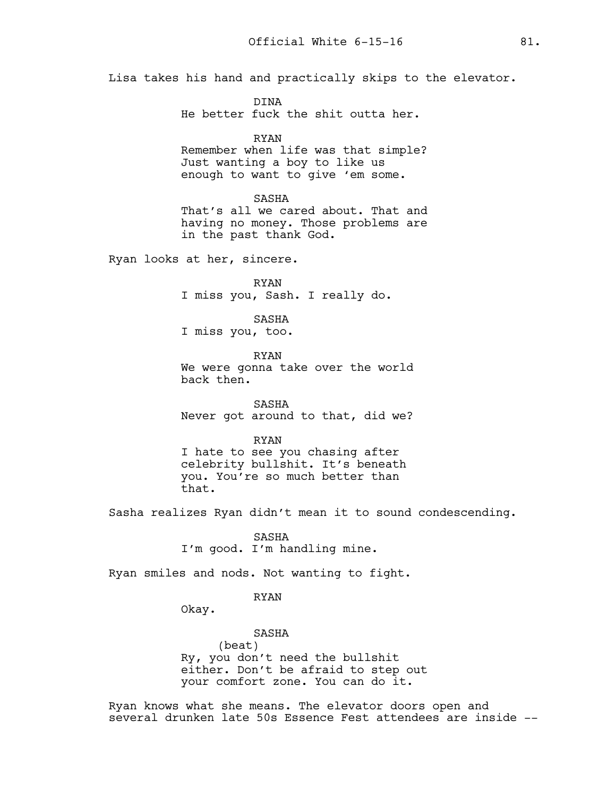Lisa takes his hand and practically skips to the elevator.

DINA He better fuck the shit outta her.

RYAN

Remember when life was that simple? Just wanting a boy to like us enough to want to give 'em some.

SASHA

That's all we cared about. That and having no money. Those problems are in the past thank God.

Ryan looks at her, sincere.

RYAN I miss you, Sash. I really do.

SASHA

I miss you, too.

RYAN We were gonna take over the world back then.

SASHA Never got around to that, did we?

RYAN

I hate to see you chasing after celebrity bullshit. It's beneath you. You're so much better than that.

Sasha realizes Ryan didn't mean it to sound condescending.

SASHA I'm good. I'm handling mine.

Ryan smiles and nods. Not wanting to fight.

RYAN

Okay.

SASHA (beat) Ry, you don't need the bullshit either. Don't be afraid to step out your comfort zone. You can do it.

Ryan knows what she means. The elevator doors open and several drunken late 50s Essence Fest attendees are inside --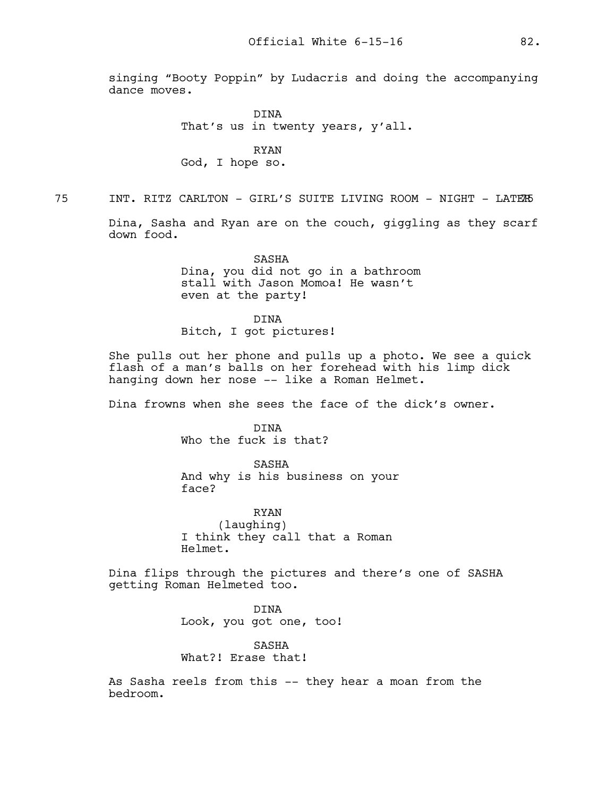singing "Booty Poppin" by Ludacris and doing the accompanying dance moves.

> DINA That's us in twenty years, y'all.

RYAN God, I hope so.

75 INT. RITZ CARLTON - GIRL'S SUITE LIVING ROOM - NIGHT - LATER75

Dina, Sasha and Ryan are on the couch, giggling as they scarf down food.

> SASHA Dina, you did not go in a bathroom stall with Jason Momoa! He wasn't even at the party!

DINA Bitch, I got pictures!

She pulls out her phone and pulls up a photo. We see a quick flash of a man's balls on her forehead with his limp dick hanging down her nose -- like a Roman Helmet.

Dina frowns when she sees the face of the dick's owner.

DINA Who the fuck is that?

SASHA And why is his business on your face?

RYAN (laughing) I think they call that a Roman Helmet.

Dina flips through the pictures and there's one of SASHA getting Roman Helmeted too.

> DINA Look, you got one, too!

SASHA What?! Erase that!

As Sasha reels from this -- they hear a moan from the bedroom.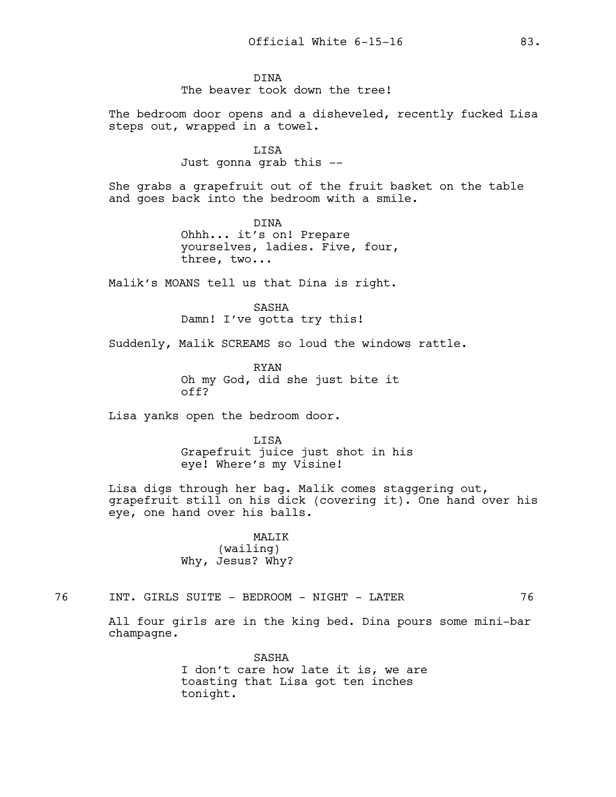The bedroom door opens and a disheveled, recently fucked Lisa steps out, wrapped in a towel.

> LISA Just gonna grab this --

She grabs a grapefruit out of the fruit basket on the table and goes back into the bedroom with a smile.

> DINA Ohhh... it's on! Prepare yourselves, ladies. Five, four, three, two...

Malik's MOANS tell us that Dina is right.

SASHA Damn! I've gotta try this!

Suddenly, Malik SCREAMS so loud the windows rattle.

RYAN Oh my God, did she just bite it off?

Lisa yanks open the bedroom door.

LISA Grapefruit juice just shot in his eye! Where's my Visine!

Lisa digs through her bag. Malik comes staggering out, grapefruit still on his dick (covering it). One hand over his eye, one hand over his balls.

> MALIK (wailing) Why, Jesus? Why?

76 INT. GIRLS SUITE - BEDROOM - NIGHT - LATER 76

All four girls are in the king bed. Dina pours some mini-bar champagne.

> SASHA I don't care how late it is, we are toasting that Lisa got ten inches tonight.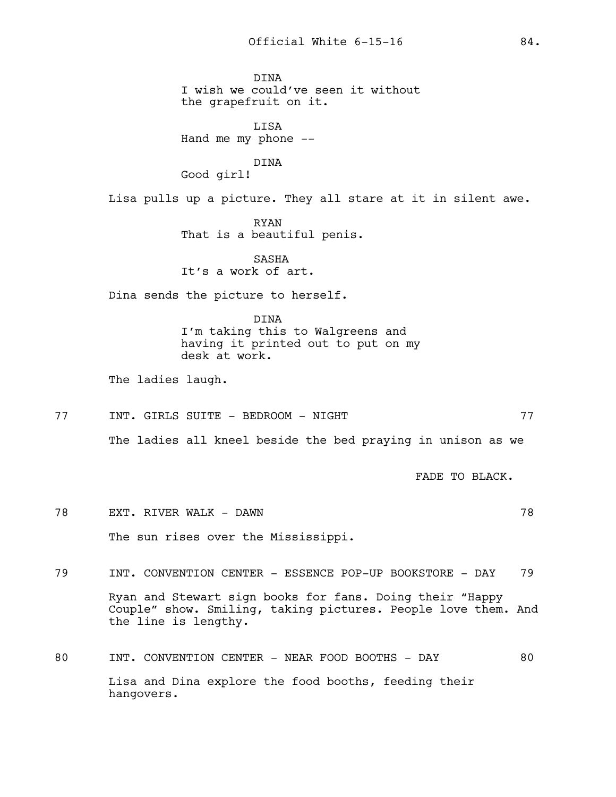DINA I wish we could've seen it without the grapefruit on it. LISA Hand me my phone -- DINA Good girl! Lisa pulls up a picture. They all stare at it in silent awe. RYAN That is a beautiful penis. SASHA It's a work of art. Dina sends the picture to herself. DINA I'm taking this to Walgreens and having it printed out to put on my desk at work. The ladies laugh. 77 INT. GIRLS SUITE - BEDROOM - NIGHT 77 The ladies all kneel beside the bed praying in unison as we FADE TO BLACK. 78 EXT. RIVER WALK - DAWN 78 The sun rises over the Mississippi. 79 INT. CONVENTION CENTER - ESSENCE POP-UP BOOKSTORE - DAY 79 Ryan and Stewart sign books for fans. Doing their "Happy Couple" show. Smiling, taking pictures. People love them. And the line is lengthy. 80 INT. CONVENTION CENTER - NEAR FOOD BOOTHS - DAY 80 Lisa and Dina explore the food booths, feeding their hangovers.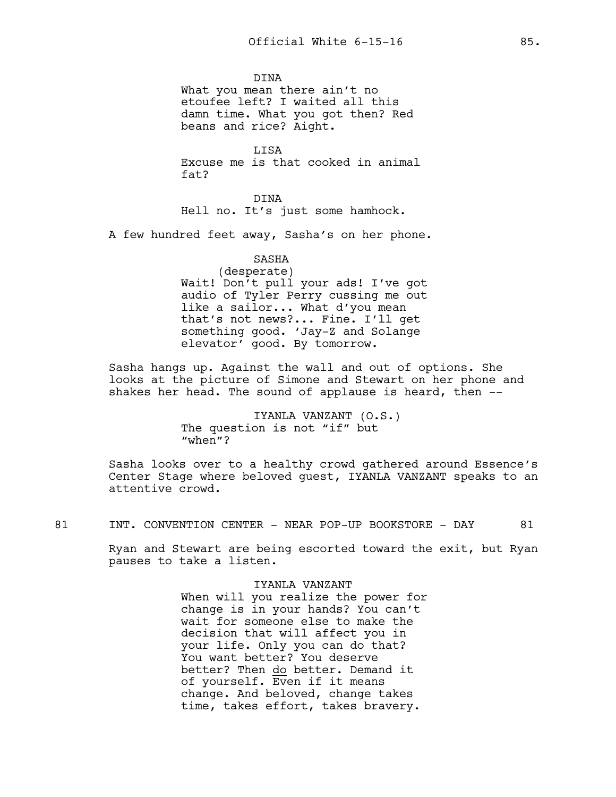DINA What you mean there ain't no etoufee left? I waited all this damn time. What you got then? Red beans and rice? Aight.

LISA Excuse me is that cooked in animal fat?

DINA Hell no. It's just some hamhock.

A few hundred feet away, Sasha's on her phone.

### SASHA

(desperate) Wait! Don't pull your ads! I've got audio of Tyler Perry cussing me out like a sailor... What d'you mean that's not news?... Fine. I'll get something good. 'Jay-Z and Solange elevator' good. By tomorrow.

Sasha hangs up. Against the wall and out of options. She looks at the picture of Simone and Stewart on her phone and shakes her head. The sound of applause is heard, then --

> IYANLA VANZANT (O.S.) The question is not "if" but "when"?

Sasha looks over to a healthy crowd gathered around Essence's Center Stage where beloved guest, IYANLA VANZANT speaks to an attentive crowd.

81 INT. CONVENTION CENTER - NEAR POP-UP BOOKSTORE - DAY 81

Ryan and Stewart are being escorted toward the exit, but Ryan pauses to take a listen.

> IYANLA VANZANT When will you realize the power for change is in your hands? You can't wait for someone else to make the decision that will affect you in your life. Only you can do that? You want better? You deserve better? Then do better. Demand it of yourself. Even if it means change. And beloved, change takes time, takes effort, takes bravery.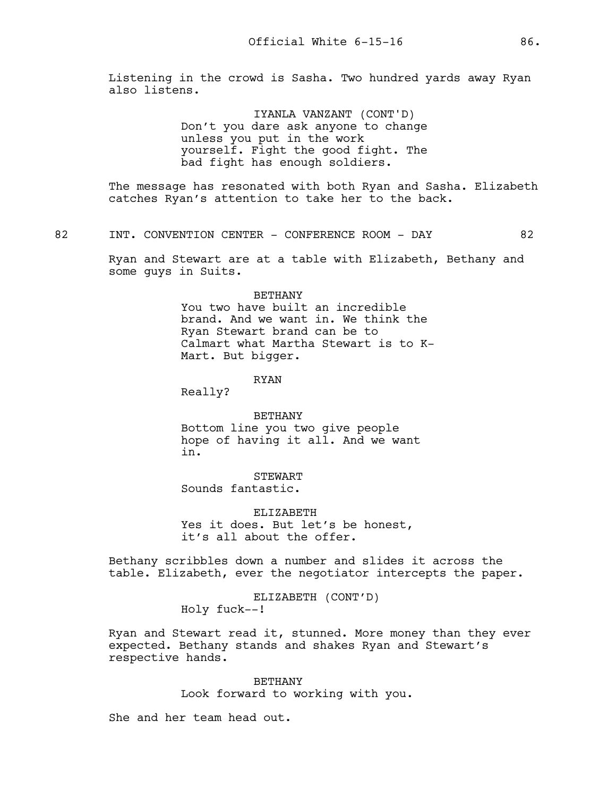Listening in the crowd is Sasha. Two hundred yards away Ryan also listens.

> IYANLA VANZANT (CONT'D) Don't you dare ask anyone to change unless you put in the work yourself. Fight the good fight. The bad fight has enough soldiers.

The message has resonated with both Ryan and Sasha. Elizabeth catches Ryan's attention to take her to the back.

82 INT. CONVENTION CENTER - CONFERENCE ROOM - DAY 62

Ryan and Stewart are at a table with Elizabeth, Bethany and some guys in Suits.

#### BETHANY

You two have built an incredible brand. And we want in. We think the Ryan Stewart brand can be to Calmart what Martha Stewart is to K-Mart. But bigger.

#### RYAN

Really?

BETHANY Bottom line you two give people hope of having it all. And we want in.

**STEWART** Sounds fantastic.

ELIZABETH Yes it does. But let's be honest, it's all about the offer.

Bethany scribbles down a number and slides it across the table. Elizabeth, ever the negotiator intercepts the paper.

> ELIZABETH (CONT'D) Holy fuck--!

Ryan and Stewart read it, stunned. More money than they ever expected. Bethany stands and shakes Ryan and Stewart's respective hands.

> BETHANY Look forward to working with you.

She and her team head out.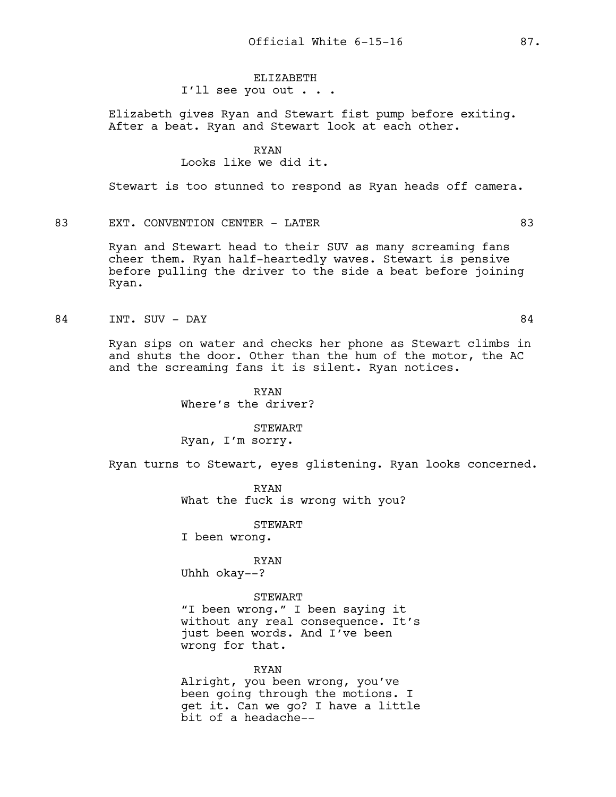# ELIZABETH

I'll see you out . . .

Elizabeth gives Ryan and Stewart fist pump before exiting. After a beat. Ryan and Stewart look at each other.

### RYAN Looks like we did it.

Stewart is too stunned to respond as Ryan heads off camera.

## 83 EXT. CONVENTION CENTER - LATER 63

Ryan and Stewart head to their SUV as many screaming fans cheer them. Ryan half-heartedly waves. Stewart is pensive before pulling the driver to the side a beat before joining Ryan.

### 84 INT. SUV – DAY 84

Ryan sips on water and checks her phone as Stewart climbs in and shuts the door. Other than the hum of the motor, the AC and the screaming fans it is silent. Ryan notices.

> RYAN Where's the driver?

STEWART Ryan, I'm sorry.

Ryan turns to Stewart, eyes glistening. Ryan looks concerned.

RYAN What the fuck is wrong with you?

STEWART

I been wrong.

RYAN

Uhhh okay--?

### STEWART

"I been wrong." I been saying it without any real consequence. It's just been words. And I've been wrong for that.

# RYAN Alright, you been wrong, you've been going through the motions. I get it. Can we go? I have a little bit of a headache--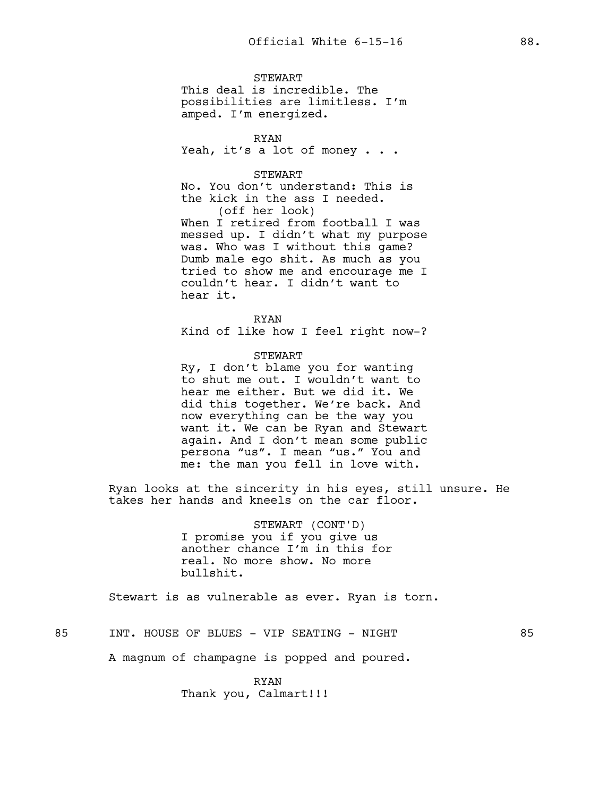**STEWART** This deal is incredible. The possibilities are limitless. I'm amped. I'm energized.

RYAN Yeah, it's a lot of money . . .

### STEWART

No. You don't understand: This is the kick in the ass I needed. (off her look)

When I retired from football I was messed up. I didn't what my purpose was. Who was I without this game? Dumb male ego shit. As much as you tried to show me and encourage me I couldn't hear. I didn't want to hear it.

RYAN Kind of like how I feel right now-?

### STEWART

Ry, I don't blame you for wanting to shut me out. I wouldn't want to hear me either. But we did it. We did this together. We're back. And now everything can be the way you want it. We can be Ryan and Stewart again. And I don't mean some public persona "us". I mean "us." You and me: the man you fell in love with.

Ryan looks at the sincerity in his eyes, still unsure. He takes her hands and kneels on the car floor.

> STEWART (CONT'D) I promise you if you give us another chance I'm in this for real. No more show. No more bullshit.

Stewart is as vulnerable as ever. Ryan is torn.

# 85 INT. HOUSE OF BLUES - VIP SEATING - NIGHT 85

A magnum of champagne is popped and poured.

RYAN Thank you, Calmart!!!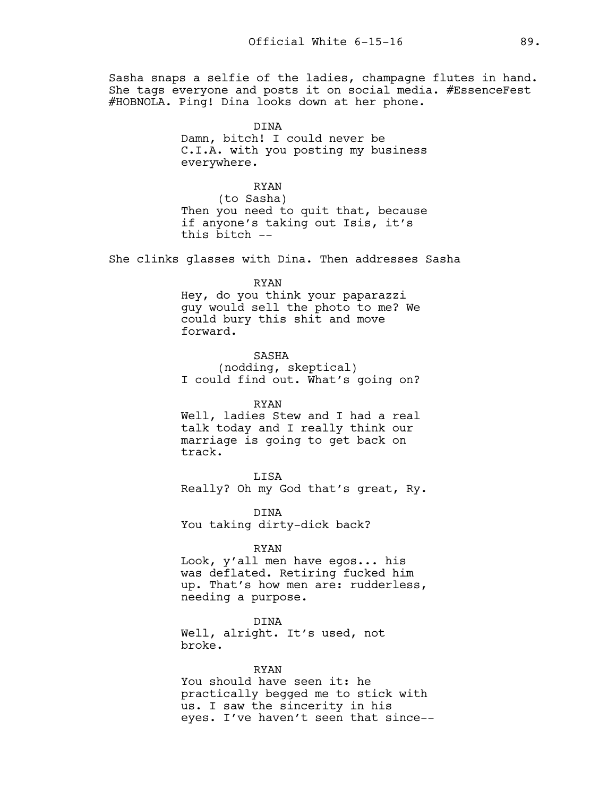Sasha snaps a selfie of the ladies, champagne flutes in hand. She tags everyone and posts it on social media. #EssenceFest #HOBNOLA. Ping! Dina looks down at her phone.

> DINA Damn, bitch! I could never be C.I.A. with you posting my business everywhere.

### RYAN

(to Sasha) Then you need to quit that, because if anyone's taking out Isis, it's this bitch --

She clinks glasses with Dina. Then addresses Sasha

## RYAN

Hey, do you think your paparazzi guy would sell the photo to me? We could bury this shit and move forward.

SASHA (nodding, skeptical) I could find out. What's going on?

### RYAN

Well, ladies Stew and I had a real talk today and I really think our marriage is going to get back on track.

LISA Really? Oh my God that's great, Ry.

DINA You taking dirty-dick back?

#### RYAN

Look, y'all men have egos... his was deflated. Retiring fucked him up. That's how men are: rudderless, needing a purpose.

DINA Well, alright. It's used, not broke.

### RYAN

You should have seen it: he practically begged me to stick with us. I saw the sincerity in his eyes. I've haven't seen that since--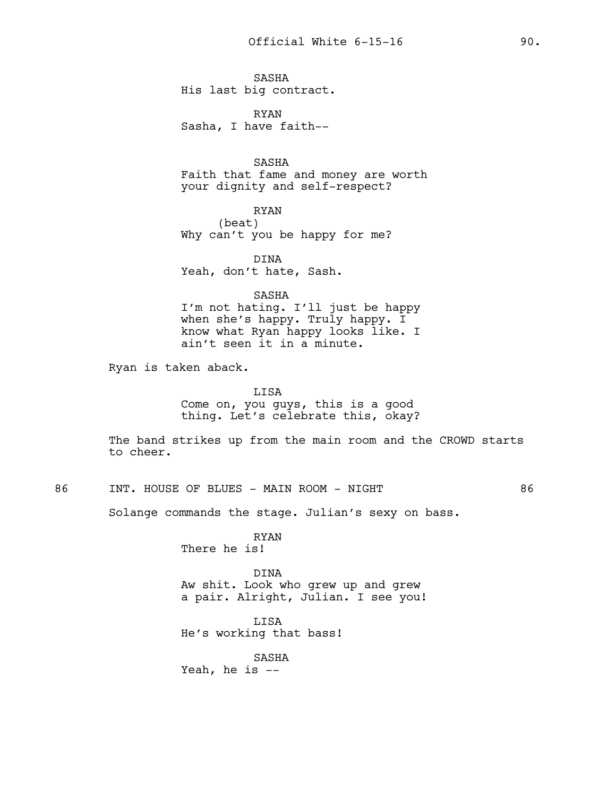SASHA His last big contract.

RYAN Sasha, I have faith--

SASHA Faith that fame and money are worth your dignity and self-respect?

RYAN (beat) Why can't you be happy for me?

DINA Yeah, don't hate, Sash.

### SASHA

I'm not hating. I'll just be happy when she's happy. Truly happy. I know what Ryan happy looks like. I ain't seen it in a minute.

Ryan is taken aback.

LISA Come on, you guys, this is a good thing. Let's celebrate this, okay?

The band strikes up from the main room and the CROWD starts to cheer.

86 INT. HOUSE OF BLUES - MAIN ROOM - NIGHT 86

Solange commands the stage. Julian's sexy on bass.

RYAN There he is!

DINA Aw shit. Look who grew up and grew a pair. Alright, Julian. I see you!

LISA He's working that bass!

SASHA Yeah, he is --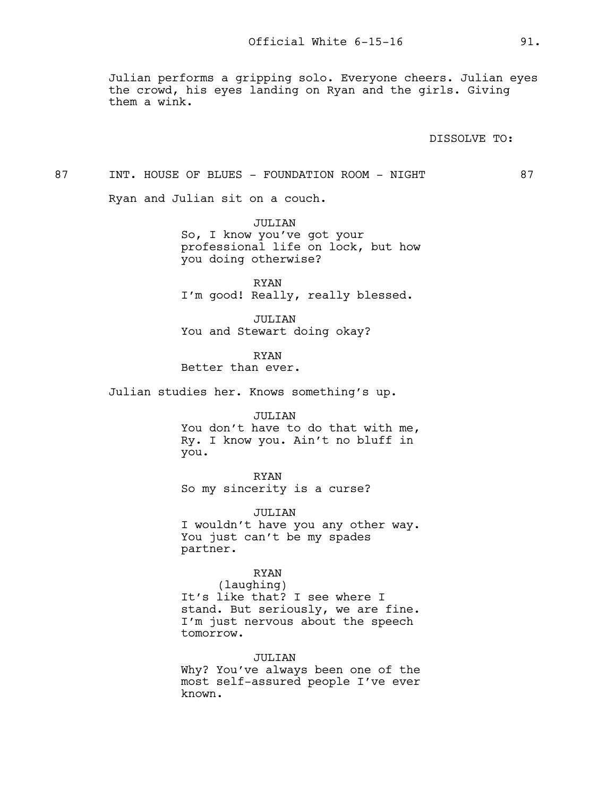Julian performs a gripping solo. Everyone cheers. Julian eyes the crowd, his eyes landing on Ryan and the girls. Giving them a wink.

DISSOLVE TO:

87 INT. HOUSE OF BLUES - FOUNDATION ROOM - NIGHT 87

Ryan and Julian sit on a couch.

JULIAN So, I know you've got your professional life on lock, but how you doing otherwise?

RYAN I'm good! Really, really blessed.

JULTAN You and Stewart doing okay?

RYAN

Better than ever.

Julian studies her. Knows something's up.

### JULIAN

You don't have to do that with me, Ry. I know you. Ain't no bluff in you.

RYAN So my sincerity is a curse?

JULIAN I wouldn't have you any other way. You just can't be my spades partner.

# RYAN

(laughing) It's like that? I see where I stand. But seriously, we are fine. I'm just nervous about the speech tomorrow.

### JULIAN

Why? You've always been one of the most self-assured people I've ever known.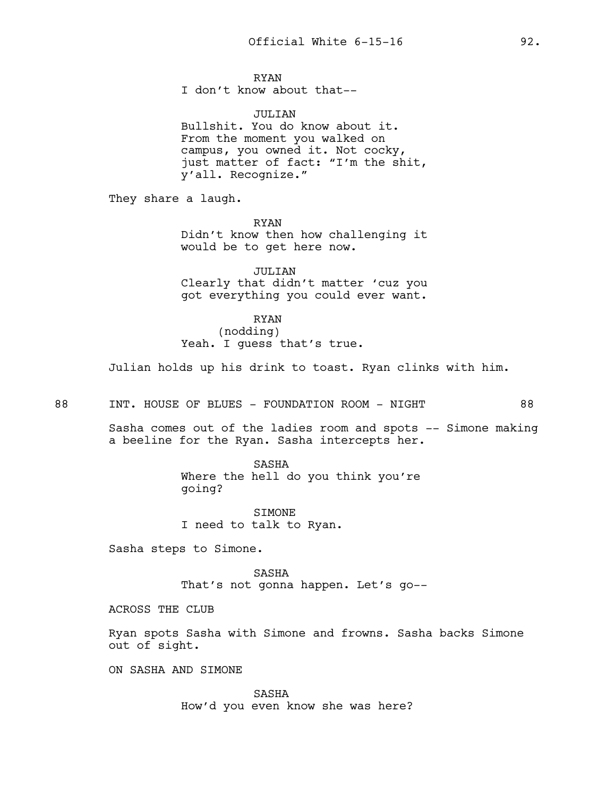# RYAN

I don't know about that--

### JULIAN

Bullshit. You do know about it. From the moment you walked on campus, you owned it. Not cocky, just matter of fact: "I'm the shit, y'all. Recognize."

They share a laugh.

RYAN Didn't know then how challenging it would be to get here now.

JULIAN Clearly that didn't matter 'cuz you got everything you could ever want.

# RYAN

(nodding) Yeah. I guess that's true.

Julian holds up his drink to toast. Ryan clinks with him.

88 INT. HOUSE OF BLUES - FOUNDATION ROOM - NIGHT 88

Sasha comes out of the ladies room and spots -- Simone making a beeline for the Ryan. Sasha intercepts her.

> SASHA Where the hell do you think you're going?

SIMONE I need to talk to Ryan.

Sasha steps to Simone.

SASHA That's not gonna happen. Let's go--

ACROSS THE CLUB

Ryan spots Sasha with Simone and frowns. Sasha backs Simone out of sight.

ON SASHA AND SIMONE

SASHA How'd you even know she was here?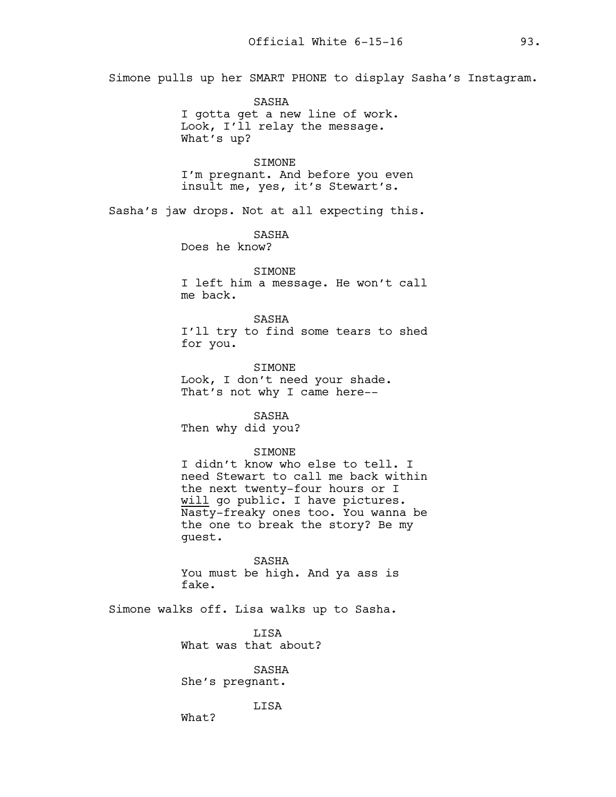Simone pulls up her SMART PHONE to display Sasha's Instagram.

SASHA I gotta get a new line of work. Look, I'll relay the message. What's up?

SIMONE I'm pregnant. And before you even insult me, yes, it's Stewart's.

Sasha's jaw drops. Not at all expecting this.

SASHA Does he know?

# SIMONE

I left him a message. He won't call me back.

SASHA I'll try to find some tears to shed for you.

**STMONE** Look, I don't need your shade. That's not why I came here--

SASHA Then why did you?

### SIMONE

I didn't know who else to tell. I need Stewart to call me back within the next twenty-four hours or I will go public. I have pictures. Nasty-freaky ones too. You wanna be the one to break the story? Be my guest.

SASHA You must be high. And ya ass is fake.

Simone walks off. Lisa walks up to Sasha.

**T.TSA** What was that about?

SASHA She's pregnant.

LISA

What?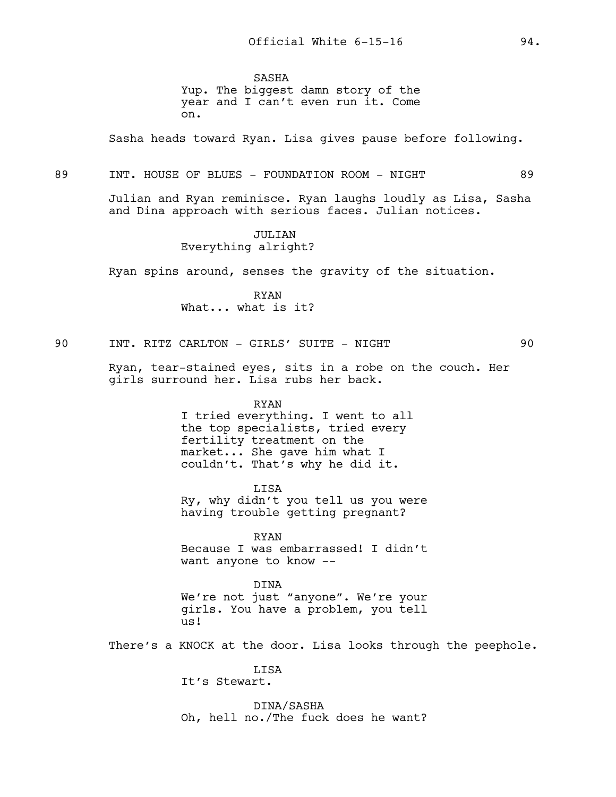SASHA Yup. The biggest damn story of the year and I can't even run it. Come on.

Sasha heads toward Ryan. Lisa gives pause before following.

### 89 INT. HOUSE OF BLUES - FOUNDATION ROOM - NIGHT 89

Julian and Ryan reminisce. Ryan laughs loudly as Lisa, Sasha and Dina approach with serious faces. Julian notices.

> JULIAN Everything alright?

Ryan spins around, senses the gravity of the situation.

RYAN What... what is it?

90 INT. RITZ CARLTON - GIRLS' SUITE - NIGHT 90

Ryan, tear-stained eyes, sits in a robe on the couch. Her girls surround her. Lisa rubs her back.

> RYAN I tried everything. I went to all the top specialists, tried every fertility treatment on the market... She gave him what I couldn't. That's why he did it.

LISA Ry, why didn't you tell us you were having trouble getting pregnant?

RYAN Because I was embarrassed! I didn't want anyone to know --

DINA We're not just "anyone". We're your girls. You have a problem, you tell us!

There's a KNOCK at the door. Lisa looks through the peephole.

LISA It's Stewart.

DINA/SASHA Oh, hell no./The fuck does he want?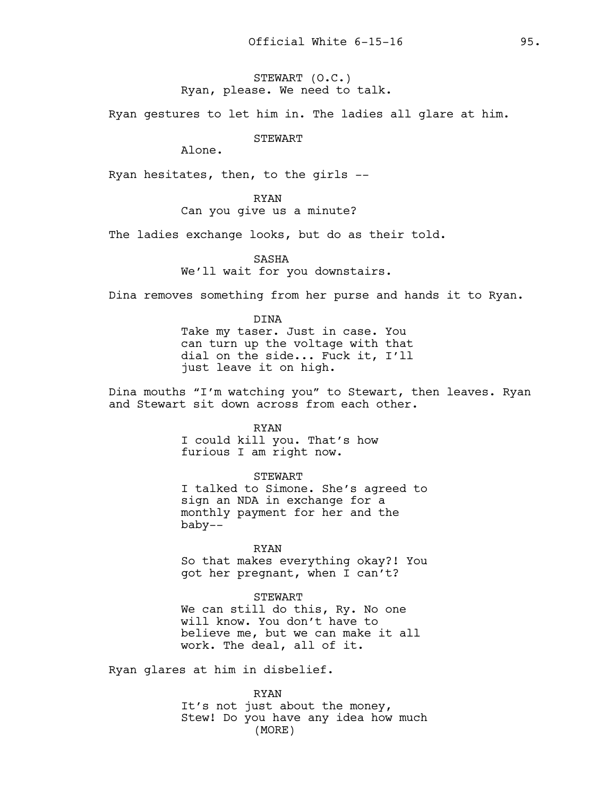STEWART (O.C.) Ryan, please. We need to talk.

Ryan gestures to let him in. The ladies all glare at him.

STEWART

Alone.

Ryan hesitates, then, to the girls --

RYAN Can you give us a minute?

The ladies exchange looks, but do as their told.

SASHA We'll wait for you downstairs.

Dina removes something from her purse and hands it to Ryan.

DINA Take my taser. Just in case. You can turn up the voltage with that dial on the side... Fuck it, I'll just leave it on high.

Dina mouths "I'm watching you" to Stewart, then leaves. Ryan and Stewart sit down across from each other.

RYAN

I could kill you. That's how furious I am right now.

STEWART I talked to Simone. She's agreed to sign an NDA in exchange for a monthly payment for her and the baby--

RYAN

So that makes everything okay?! You got her pregnant, when I can't?

#### STEWART

We can still do this, Ry. No one will know. You don't have to believe me, but we can make it all work. The deal, all of it.

Ryan glares at him in disbelief.

RYAN

It's not just about the money, Stew! Do you have any idea how much (MORE)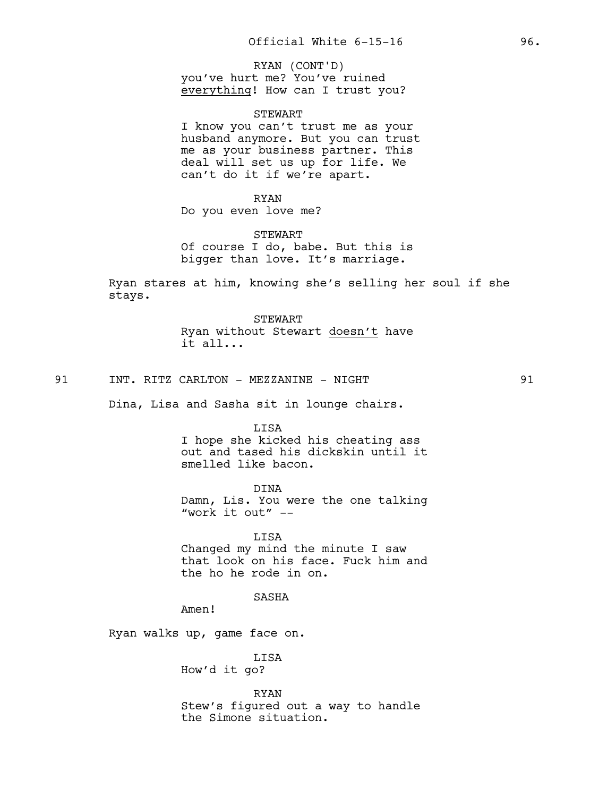you've hurt me? You've ruined everything! How can I trust you? RYAN (CONT'D)

STEWART

I know you can't trust me as your husband anymore. But you can trust me as your business partner. This deal will set us up for life. We can't do it if we're apart.

RYAN Do you even love me?

STEWART Of course I do, babe. But this is bigger than love. It's marriage.

Ryan stares at him, knowing she's selling her soul if she stays.

> STEWART Ryan without Stewart doesn't have it all...

91 INT. RITZ CARLTON - MEZZANINE - NIGHT 91

Dina, Lisa and Sasha sit in lounge chairs.

**T.TSA** 

I hope she kicked his cheating ass out and tased his dickskin until it smelled like bacon.

DINA Damn, Lis. You were the one talking "work it out" --

LISA Changed my mind the minute I saw that look on his face. Fuck him and the ho he rode in on.

## SASHA

Amen!

Ryan walks up, game face on.

LISA How'd it go?

RYAN Stew's figured out a way to handle the Simone situation.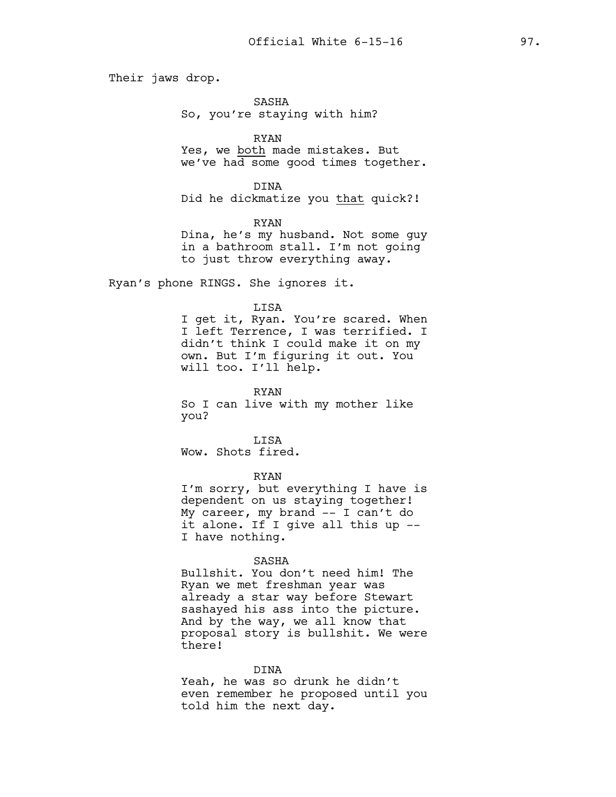Their jaws drop.

SASHA

So, you're staying with him?

RYAN

Yes, we both made mistakes. But we've had some good times together.

DINA Did he dickmatize you that quick?!

RYAN Dina, he's my husband. Not some guy in a bathroom stall. I'm not going to just throw everything away.

Ryan's phone RINGS. She ignores it.

### LISA

I get it, Ryan. You're scared. When I left Terrence, I was terrified. I didn't think I could make it on my own. But I'm figuring it out. You will too. I'll help.

RYAN

So I can live with my mother like you?

LISA Wow. Shots fired.

RYAN

I'm sorry, but everything I have is dependent on us staying together! My career, my brand -- I can't do it alone. If I give all this up -- I have nothing.

#### SASHA

Bullshit. You don't need him! The Ryan we met freshman year was already a star way before Stewart sashayed his ass into the picture. And by the way, we all know that proposal story is bullshit. We were there!

### DINA

Yeah, he was so drunk he didn't even remember he proposed until you told him the next day.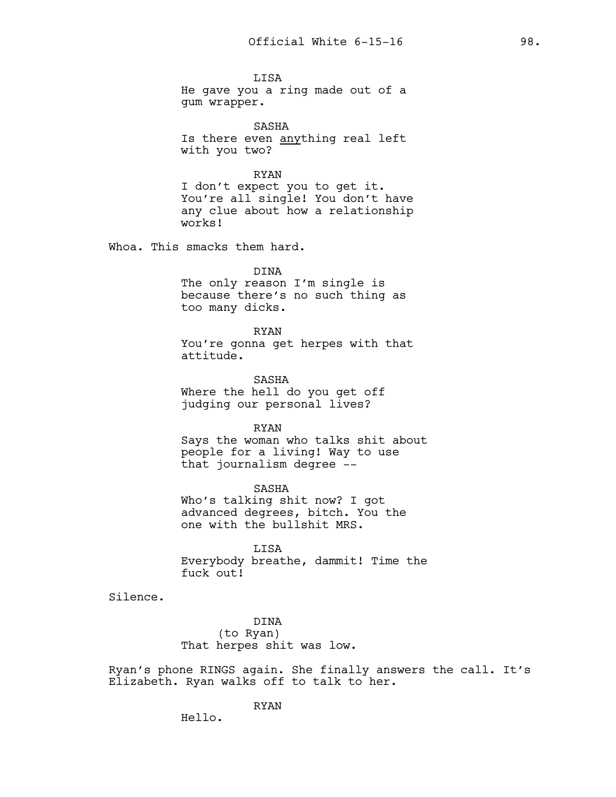LISA He gave you a ring made out of a gum wrapper.

SASHA Is there even anything real left with you two?

RYAN

I don't expect you to get it. You're all single! You don't have any clue about how a relationship works!

Whoa. This smacks them hard.

DINA

The only reason I'm single is because there's no such thing as too many dicks.

RYAN

You're gonna get herpes with that attitude.

SASHA Where the hell do you get off judging our personal lives?

RYAN

Says the woman who talks shit about people for a living! Way to use that journalism degree --

SASHA Who's talking shit now? I got advanced degrees, bitch. You the one with the bullshit MRS.

LISA Everybody breathe, dammit! Time the fuck out!

Silence.

DINA (to Ryan) That herpes shit was low.

Ryan's phone RINGS again. She finally answers the call. It's Elizabeth. Ryan walks off to talk to her.

RYAN

Hello.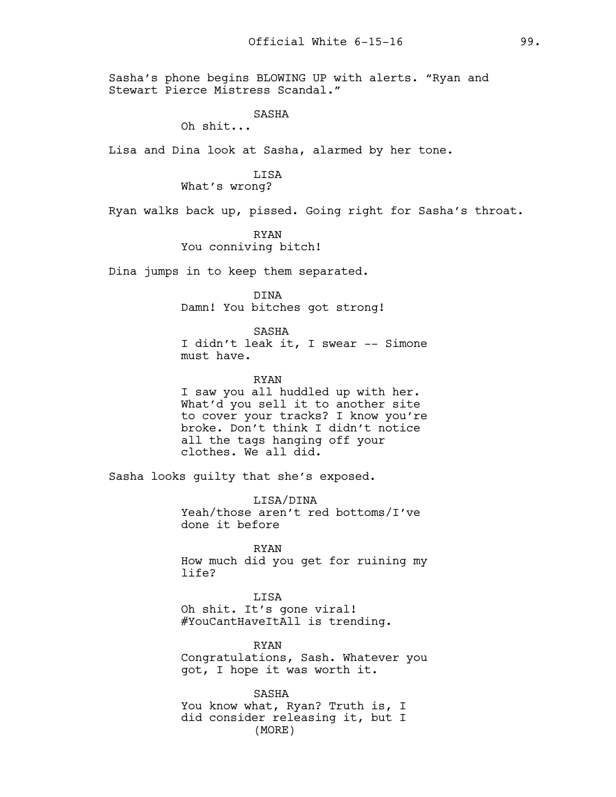Sasha's phone begins BLOWING UP with alerts. "Ryan and Stewart Pierce Mistress Scandal."

### SASHA

Oh shit...

Lisa and Dina look at Sasha, alarmed by her tone.

# LISA

What's wrong?

Ryan walks back up, pissed. Going right for Sasha's throat.

RYAN You conniving bitch!

Dina jumps in to keep them separated.

DINA

Damn! You bitches got strong!

SASHA

I didn't leak it, I swear -- Simone must have.

RYAN

I saw you all huddled up with her. What'd you sell it to another site to cover your tracks? I know you're broke. Don't think I didn't notice all the tags hanging off your clothes. We all did.

Sasha looks guilty that she's exposed.

LISA/DINA Yeah/those aren't red bottoms/I've done it before

RYAN How much did you get for ruining my life?

LISA

Oh shit. It's gone viral! #YouCantHaveItAll is trending.

RYAN Congratulations, Sash. Whatever you got, I hope it was worth it.

SASHA You know what, Ryan? Truth is, I did consider releasing it, but I (MORE)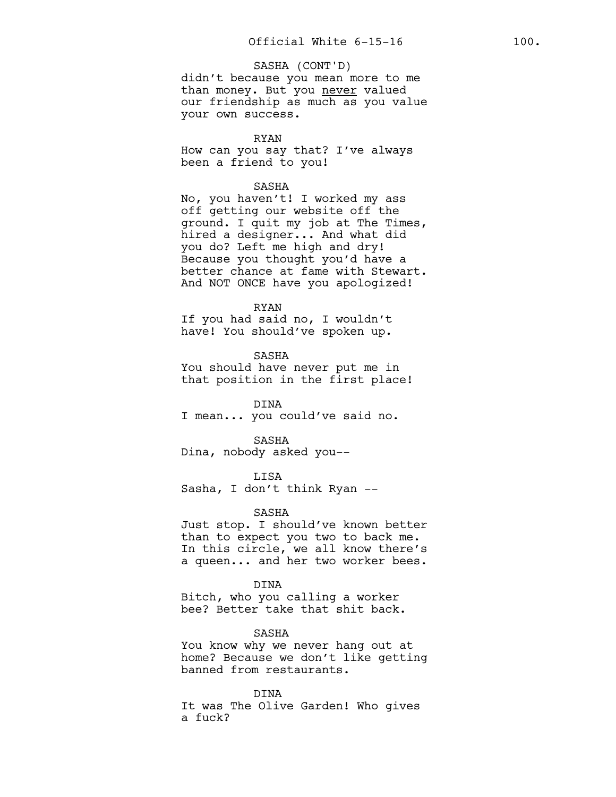### SASHA (CONT'D)

didn't because you mean more to me than money. But you never valued our friendship as much as you value your own success.

### RYAN

How can you say that? I've always been a friend to you!

### SASHA

No, you haven't! I worked my ass off getting our website off the ground. I quit my job at The Times, hired a designer... And what did you do? Left me high and dry! Because you thought you'd have a better chance at fame with Stewart. And NOT ONCE have you apologized!

#### RYAN

If you had said no, I wouldn't have! You should've spoken up.

SASHA You should have never put me in that position in the first place!

DINA I mean... you could've said no.

SASHA

Dina, nobody asked you--

LISA

Sasha, I don't think Ryan --

#### SASHA

Just stop. I should've known better than to expect you two to back me. In this circle, we all know there's a queen... and her two worker bees.

DINA

Bitch, who you calling a worker bee? Better take that shit back.

SASHA

You know why we never hang out at home? Because we don't like getting banned from restaurants.

DINA It was The Olive Garden! Who gives a fuck?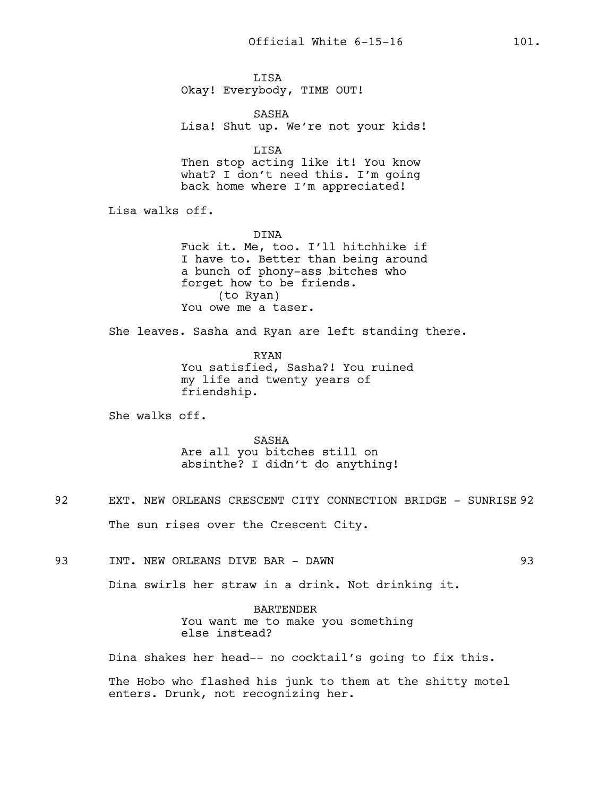LISA Okay! Everybody, TIME OUT!

SASHA Lisa! Shut up. We're not your kids!

LISA Then stop acting like it! You know what? I don't need this. I'm going back home where I'm appreciated!

Lisa walks off.

DINA

Fuck it. Me, too. I'll hitchhike if I have to. Better than being around a bunch of phony-ass bitches who forget how to be friends. (to Ryan) You owe me a taser.

She leaves. Sasha and Ryan are left standing there.

RYAN You satisfied, Sasha?! You ruined my life and twenty years of friendship.

She walks off.

SASHA Are all you bitches still on absinthe? I didn't do anything!

- 92 EXT. NEW ORLEANS CRESCENT CITY CONNECTION BRIDGE SUNRISE 92 The sun rises over the Crescent City.
- 93 INT. NEW ORLEANS DIVE BAR DAWN 93

Dina swirls her straw in a drink. Not drinking it.

BARTENDER You want me to make you something else instead?

Dina shakes her head-- no cocktail's going to fix this.

The Hobo who flashed his junk to them at the shitty motel enters. Drunk, not recognizing her.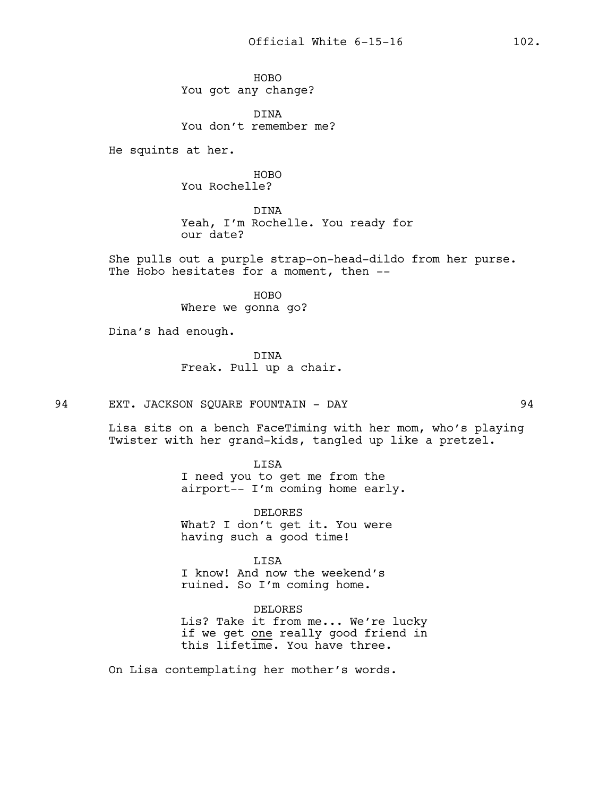HOBO You got any change?

DINA You don't remember me?

He squints at her.

HOBO You Rochelle?

DINA Yeah, I'm Rochelle. You ready for our date?

She pulls out a purple strap-on-head-dildo from her purse. The Hobo hesitates for a moment, then --

> HOBO Where we gonna go?

Dina's had enough.

DINA Freak. Pull up a chair.

94 EXT. JACKSON SQUARE FOUNTAIN - DAY 94

Lisa sits on a bench FaceTiming with her mom, who's playing Twister with her grand-kids, tangled up like a pretzel.

LISA

I need you to get me from the airport-- I'm coming home early.

DELORES What? I don't get it. You were having such a good time!

LISA

I know! And now the weekend's ruined. So I'm coming home.

DELORES

Lis? Take it from me... We're lucky if we get one really good friend in this lifetime. You have three.

On Lisa contemplating her mother's words.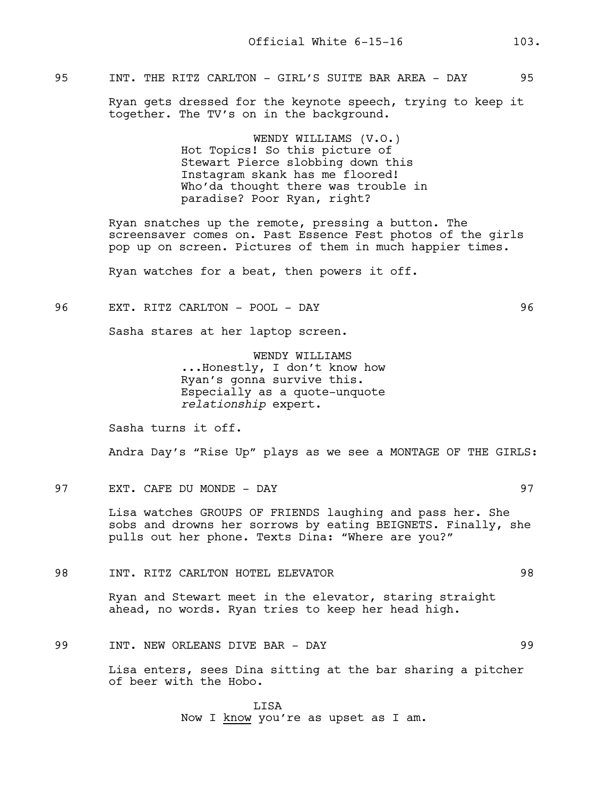# 95 INT. THE RITZ CARLTON - GIRL'S SUITE BAR AREA - DAY 95

Ryan gets dressed for the keynote speech, trying to keep it together. The TV's on in the background.

> WENDY WILLIAMS (V.O.) Hot Topics! So this picture of Stewart Pierce slobbing down this Instagram skank has me floored! Who'da thought there was trouble in paradise? Poor Ryan, right?

Ryan snatches up the remote, pressing a button. The screensaver comes on. Past Essence Fest photos of the girls pop up on screen. Pictures of them in much happier times.

Ryan watches for a beat, then powers it off.

### 96 EXT. RITZ CARLTON - POOL - DAY 96

Sasha stares at her laptop screen.

WENDY WILLIAMS ...Honestly, I don't know how Ryan's gonna survive this. Especially as a quote-unquote *relationship* expert.

Sasha turns it off.

Andra Day's "Rise Up" plays as we see a MONTAGE OF THE GIRLS:

97 EXT. CAFE DU MONDE - DAY 97

Lisa watches GROUPS OF FRIENDS laughing and pass her. She sobs and drowns her sorrows by eating BEIGNETS. Finally, she pulls out her phone. Texts Dina: "Where are you?"

98 INT. RITZ CARLTON HOTEL ELEVATOR 98

Ryan and Stewart meet in the elevator, staring straight ahead, no words. Ryan tries to keep her head high.

# 99 INT. NEW ORLEANS DIVE BAR - DAY 99

Lisa enters, sees Dina sitting at the bar sharing a pitcher of beer with the Hobo.

> LISA Now I know you're as upset as I am.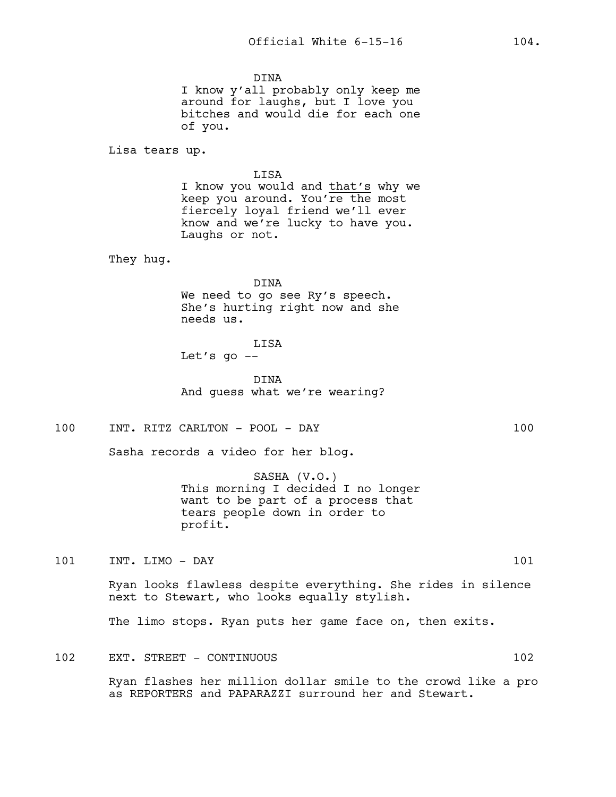DINA I know y'all probably only keep me around for laughs, but I love you bitches and would die for each one of you.

Lisa tears up.

LISA

I know you would and that's why we keep you around. You're the most fiercely loyal friend we'll ever know and we're lucky to have you. Laughs or not.

They hug.

DINA We need to go see Ry's speech. She's hurting right now and she needs us.

# LISA

Let's go  $-$ 

DINA And guess what we're wearing?

100 INT. RITZ CARLTON - POOL - DAY 100

Sasha records a video for her blog.

SASHA (V.O.) This morning I decided I no longer want to be part of a process that tears people down in order to profit.

101 INT. LIMO - DAY 101

Ryan looks flawless despite everything. She rides in silence next to Stewart, who looks equally stylish.

The limo stops. Ryan puts her game face on, then exits.

102 EXT. STREET - CONTINUOUS 102

Ryan flashes her million dollar smile to the crowd like a pro as REPORTERS and PAPARAZZI surround her and Stewart.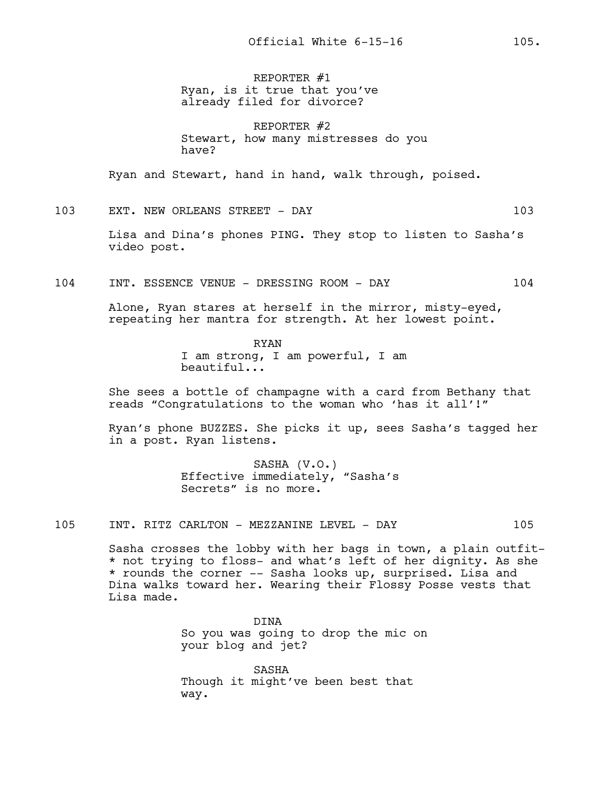REPORTER #1 Ryan, is it true that you've already filed for divorce?

REPORTER #2 Stewart, how many mistresses do you have?

Ryan and Stewart, hand in hand, walk through, poised.

103 EXT. NEW ORLEANS STREET - DAY 103

Lisa and Dina's phones PING. They stop to listen to Sasha's video post.

104 INT. ESSENCE VENUE - DRESSING ROOM - DAY 104

Alone, Ryan stares at herself in the mirror, misty-eyed, repeating her mantra for strength. At her lowest point.

> RYAN I am strong, I am powerful, I am beautiful...

She sees a bottle of champagne with a card from Bethany that reads "Congratulations to the woman who 'has it all'!"

Ryan's phone BUZZES. She picks it up, sees Sasha's tagged her in a post. Ryan listens.

> SASHA (V.O.) Effective immediately, "Sasha's Secrets" is no more.

105 INT. RITZ CARLTON - MEZZANINE LEVEL - DAY 105

Sasha crosses the lobby with her bags in town, a plain outfit- \* not trying to floss- and what's left of her dignity. As she \* rounds the corner -- Sasha looks up, surprised. Lisa and Dina walks toward her. Wearing their Flossy Posse vests that Lisa made.

> DINA So you was going to drop the mic on your blog and jet?

SASHA Though it might've been best that way.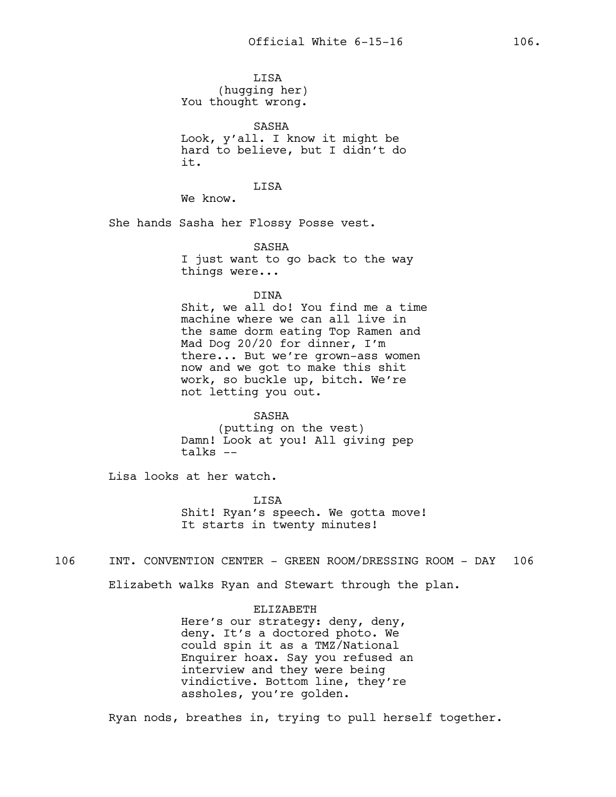LISA (hugging her) You thought wrong.

SASHA Look, y'all. I know it might be hard to believe, but I didn't do it.

**T.TSA** 

We know.

She hands Sasha her Flossy Posse vest.

SASHA

I just want to go back to the way things were...

DINA

Shit, we all do! You find me a time machine where we can all live in the same dorm eating Top Ramen and Mad Dog 20/20 for dinner, I'm there... But we're grown-ass women now and we got to make this shit work, so buckle up, bitch. We're not letting you out.

SASHA (putting on the vest) Damn! Look at you! All giving pep talks  $--$ 

Lisa looks at her watch.

**T.TSA** Shit! Ryan's speech. We gotta move! It starts in twenty minutes!

106 INT. CONVENTION CENTER - GREEN ROOM/DRESSING ROOM - DAY 106

Elizabeth walks Ryan and Stewart through the plan.

ELIZABETH

Here's our strategy: deny, deny, deny. It's a doctored photo. We could spin it as a TMZ/National Enquirer hoax. Say you refused an interview and they were being vindictive. Bottom line, they're assholes, you're golden.

Ryan nods, breathes in, trying to pull herself together.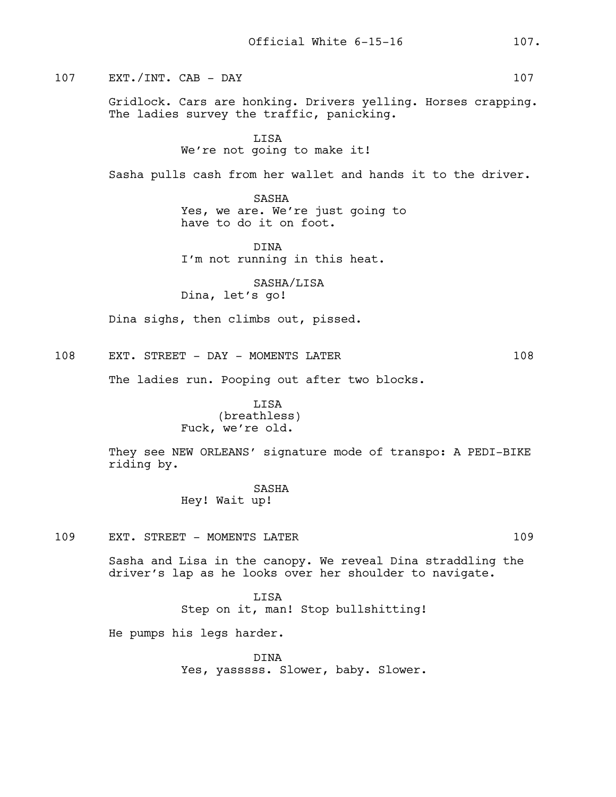107 EXT./INT. CAB - DAY 107

Gridlock. Cars are honking. Drivers yelling. Horses crapping. The ladies survey the traffic, panicking.

LISA

We're not going to make it!

Sasha pulls cash from her wallet and hands it to the driver.

SASHA Yes, we are. We're just going to have to do it on foot.

DINA I'm not running in this heat.

SASHA/LISA Dina, let's go!

Dina sighs, then climbs out, pissed.

108 EXT. STREET - DAY - MOMENTS LATER 108

The ladies run. Pooping out after two blocks.

# LISA (breathless) Fuck, we're old.

They see NEW ORLEANS' signature mode of transpo: A PEDI-BIKE riding by.

> SASHA Hey! Wait up!

109 EXT. STREET - MOMENTS LATER 109

Sasha and Lisa in the canopy. We reveal Dina straddling the driver's lap as he looks over her shoulder to navigate.

> LISA Step on it, man! Stop bullshitting!

He pumps his legs harder.

DINA Yes, yasssss. Slower, baby. Slower.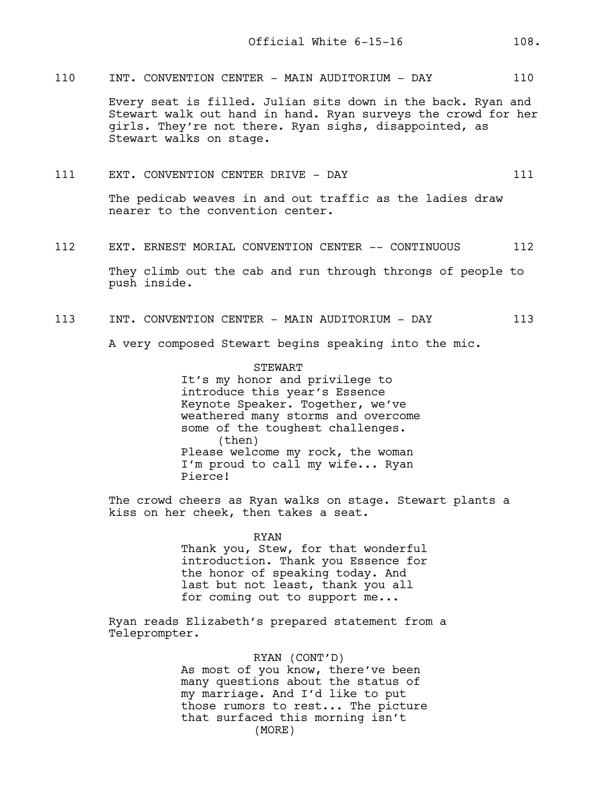110 INT. CONVENTION CENTER - MAIN AUDITORIUM - DAY 110

Every seat is filled. Julian sits down in the back. Ryan and Stewart walk out hand in hand. Ryan surveys the crowd for her girls. They're not there. Ryan sighs, disappointed, as Stewart walks on stage.

111 EXT. CONVENTION CENTER DRIVE - DAY 111

The pedicab weaves in and out traffic as the ladies draw nearer to the convention center.

112 EXT. ERNEST MORIAL CONVENTION CENTER -- CONTINUOUS 112

They climb out the cab and run through throngs of people to push inside.

113 INT. CONVENTION CENTER - MAIN AUDITORIUM - DAY 113

A very composed Stewart begins speaking into the mic.

**STEWART** It's my honor and privilege to introduce this year's Essence Keynote Speaker. Together, we've weathered many storms and overcome some of the toughest challenges. (then) Please welcome my rock, the woman I'm proud to call my wife... Ryan Pierce!

The crowd cheers as Ryan walks on stage. Stewart plants a kiss on her cheek, then takes a seat.

> RYAN Thank you, Stew, for that wonderful introduction. Thank you Essence for the honor of speaking today. And last but not least, thank you all for coming out to support me...

Ryan reads Elizabeth's prepared statement from a Teleprompter.

### RYAN (CONT'D)

As most of you know, there've been many questions about the status of my marriage. And I'd like to put those rumors to rest... The picture that surfaced this morning isn't (MORE)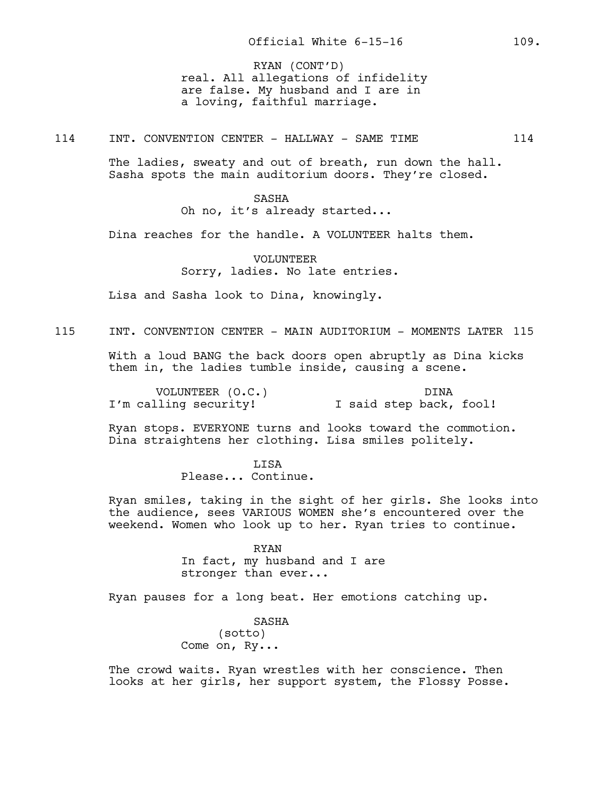real. All allegations of infidelity are false. My husband and I are in a loving, faithful marriage. RYAN (CONT'D)

114 INT. CONVENTION CENTER - HALLWAY - SAME TIME 114

The ladies, sweaty and out of breath, run down the hall. Sasha spots the main auditorium doors. They're closed.

#### SASHA

Oh no, it's already started...

Dina reaches for the handle. A VOLUNTEER halts them.

VOLUNTEER Sorry, ladies. No late entries.

Lisa and Sasha look to Dina, knowingly.

# 115 INT. CONVENTION CENTER - MAIN AUDITORIUM - MOMENTS LATER 115

With a loud BANG the back doors open abruptly as Dina kicks them in, the ladies tumble inside, causing a scene.

VOLUNTEER (O.C.) I'm calling security! DINA I said step back, fool!

Ryan stops. EVERYONE turns and looks toward the commotion. Dina straightens her clothing. Lisa smiles politely.

> LISA Please... Continue.

Ryan smiles, taking in the sight of her girls. She looks into the audience, sees VARIOUS WOMEN she's encountered over the weekend. Women who look up to her. Ryan tries to continue.

> RYAN In fact, my husband and I are stronger than ever...

Ryan pauses for a long beat. Her emotions catching up.

SASHA (sotto) Come on, Ry...

The crowd waits. Ryan wrestles with her conscience. Then looks at her girls, her support system, the Flossy Posse.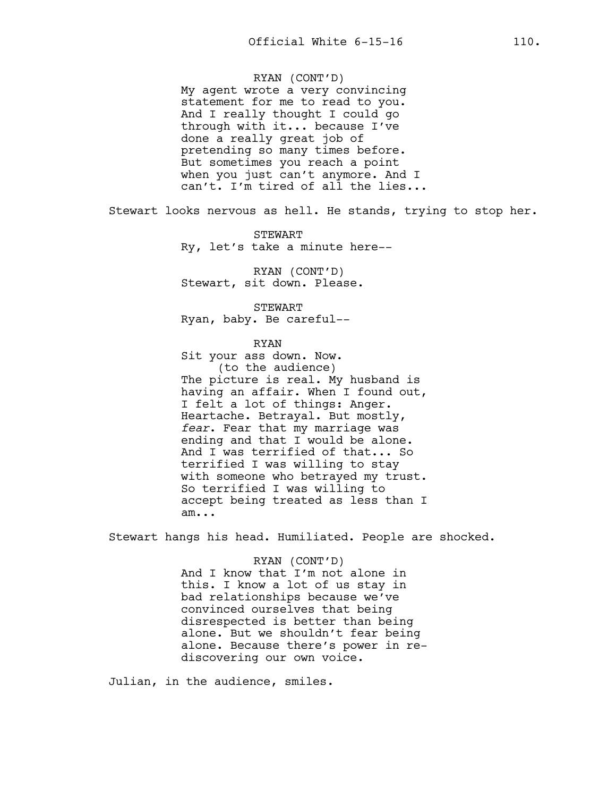RYAN (CONT'D)

My agent wrote a very convincing statement for me to read to you. And I really thought I could go through with it... because I've done a really great job of pretending so many times before. But sometimes you reach a point when you just can't anymore. And I can't. I'm tired of all the lies...

Stewart looks nervous as hell. He stands, trying to stop her.

STEWART Ry, let's take a minute here--

RYAN (CONT'D) Stewart, sit down. Please.

STEWART Ryan, baby. Be careful--

RYAN

Sit your ass down. Now. (to the audience) The picture is real. My husband is having an affair. When I found out, I felt a lot of things: Anger. Heartache. Betrayal. But mostly, *fear*. Fear that my marriage was ending and that I would be alone. And I was terrified of that... So terrified I was willing to stay with someone who betrayed my trust. So terrified I was willing to accept being treated as less than I am...

Stewart hangs his head. Humiliated. People are shocked.

RYAN (CONT'D) And I know that I'm not alone in this. I know a lot of us stay in bad relationships because we've convinced ourselves that being disrespected is better than being alone. But we shouldn't fear being alone. Because there's power in rediscovering our own voice.

Julian, in the audience, smiles.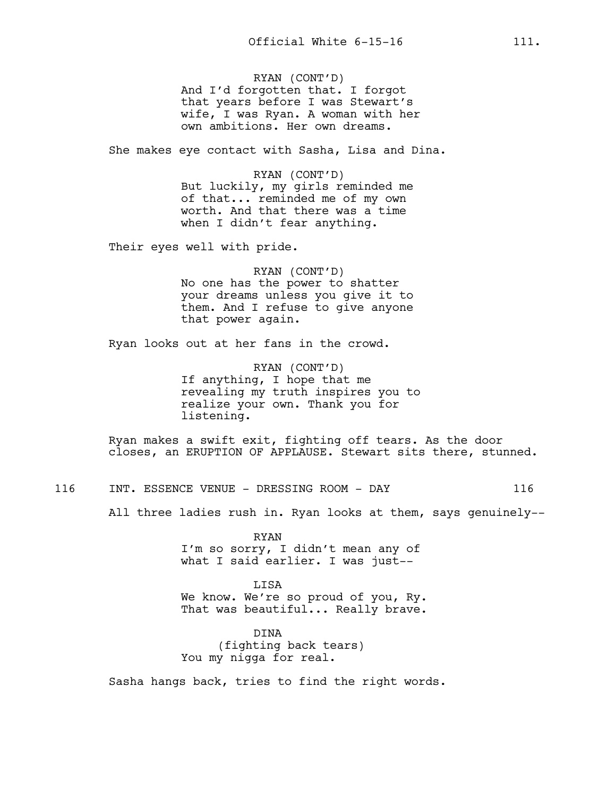RYAN (CONT'D) And I'd forgotten that. I forgot that years before I was Stewart's wife, I was Ryan. A woman with her own ambitions. Her own dreams.

She makes eye contact with Sasha, Lisa and Dina.

RYAN (CONT'D) But luckily, my girls reminded me of that... reminded me of my own worth. And that there was a time when I didn't fear anything.

Their eyes well with pride.

RYAN (CONT'D) No one has the power to shatter your dreams unless you give it to them. And I refuse to give anyone that power again.

Ryan looks out at her fans in the crowd.

RYAN (CONT'D) If anything, I hope that me revealing my truth inspires you to realize your own. Thank you for listening.

Ryan makes a swift exit, fighting off tears. As the door closes, an ERUPTION OF APPLAUSE. Stewart sits there, stunned.

116 INT. ESSENCE VENUE - DRESSING ROOM - DAY 116

All three ladies rush in. Ryan looks at them, says genuinely--

RYAN I'm so sorry, I didn't mean any of what I said earlier. I was just--

LISA We know. We're so proud of you, Ry. That was beautiful... Really brave.

DINA (fighting back tears) You my nigga for real.

Sasha hangs back, tries to find the right words.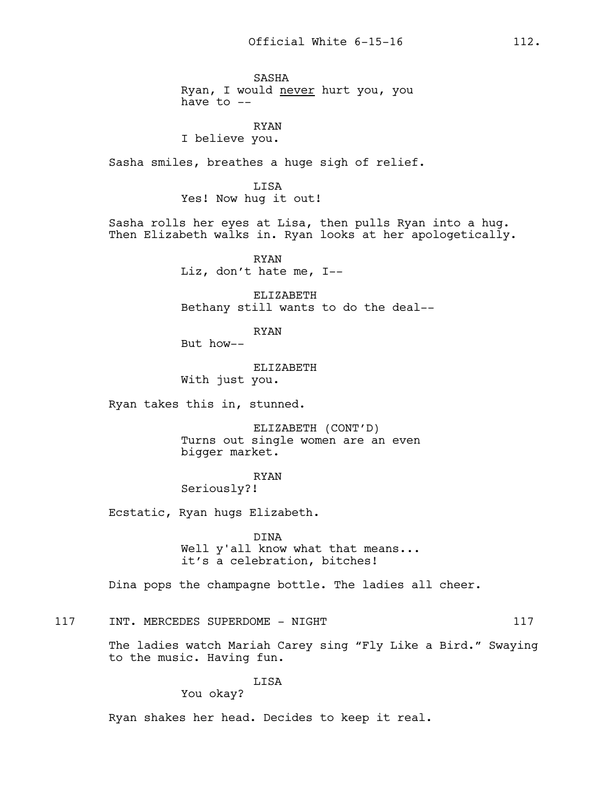SASHA Ryan, I would never hurt you, you have to  $--$ 

### RYAN I believe you.

Sasha smiles, breathes a huge sigh of relief.

LISA Yes! Now hug it out!

Sasha rolls her eyes at Lisa, then pulls Ryan into a hug. Then Elizabeth walks in. Ryan looks at her apologetically.

> RYAN Liz, don't hate me, I--

ELIZABETH Bethany still wants to do the deal--

RYAN

But how--

ELIZABETH With just you.

Ryan takes this in, stunned.

ELIZABETH (CONT'D) Turns out single women are an even bigger market.

RYAN

Seriously?!

Ecstatic, Ryan hugs Elizabeth.

DINA Well y'all know what that means... it's a celebration, bitches!

Dina pops the champagne bottle. The ladies all cheer.

117 INT. MERCEDES SUPERDOME - NIGHT 117

The ladies watch Mariah Carey sing "Fly Like a Bird." Swaying to the music. Having fun.

LISA

You okay?

Ryan shakes her head. Decides to keep it real.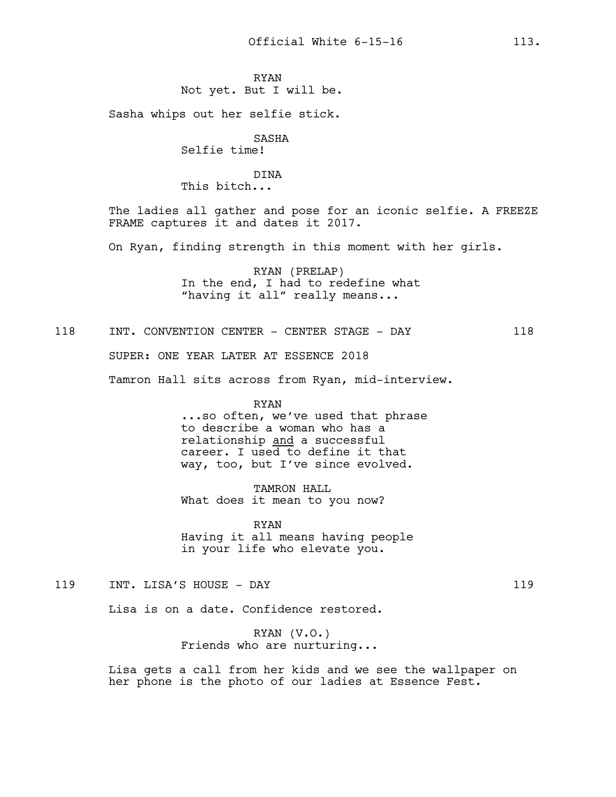## RYAN Not yet. But I will be.

Sasha whips out her selfie stick.

SASHA Selfie time!

DINA This bitch...

The ladies all gather and pose for an iconic selfie. A FREEZE FRAME captures it and dates it 2017.

On Ryan, finding strength in this moment with her girls.

RYAN (PRELAP) In the end, I had to redefine what "having it all" really means...

118 INT. CONVENTION CENTER - CENTER STAGE - DAY 118 SUPER: ONE YEAR LATER AT ESSENCE 2018 Tamron Hall sits across from Ryan, mid-interview.

> RYAN ...so often, we've used that phrase to describe a woman who has a relationship and a successful career. I used to define it that way, too, but I've since evolved.

TAMRON HALL What does it mean to you now?

RYAN Having it all means having people in your life who elevate you.

119 INT. LISA'S HOUSE - DAY 119

Lisa is on a date. Confidence restored.

RYAN (V.O.) Friends who are nurturing...

Lisa gets a call from her kids and we see the wallpaper on her phone is the photo of our ladies at Essence Fest.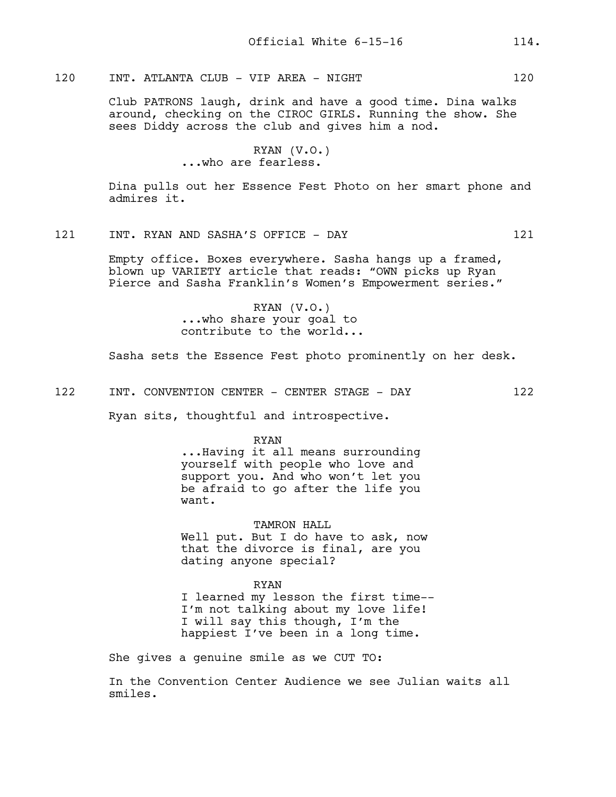# 120 INT. ATLANTA CLUB - VIP AREA - NIGHT 120

Club PATRONS laugh, drink and have a good time. Dina walks around, checking on the CIROC GIRLS. Running the show. She sees Diddy across the club and gives him a nod.

> RYAN (V.O.) ...who are fearless.

Dina pulls out her Essence Fest Photo on her smart phone and admires it.

121 INT. RYAN AND SASHA'S OFFICE - DAY 121

Empty office. Boxes everywhere. Sasha hangs up a framed, blown up VARIETY article that reads: "OWN picks up Ryan Pierce and Sasha Franklin's Women's Empowerment series."

> RYAN (V.O.) ...who share your goal to contribute to the world...

Sasha sets the Essence Fest photo prominently on her desk.

122 INT. CONVENTION CENTER - CENTER STAGE - DAY 122

Ryan sits, thoughtful and introspective.

#### RYAN

...Having it all means surrounding yourself with people who love and support you. And who won't let you be afraid to go after the life you want.

TAMRON HALL Well put. But I do have to ask, now that the divorce is final, are you dating anyone special?

RYAN I learned my lesson the first time-- I'm not talking about my love life! I will say this though, I'm the happiest I've been in a long time.

She gives a genuine smile as we CUT TO:

In the Convention Center Audience we see Julian waits all smiles.